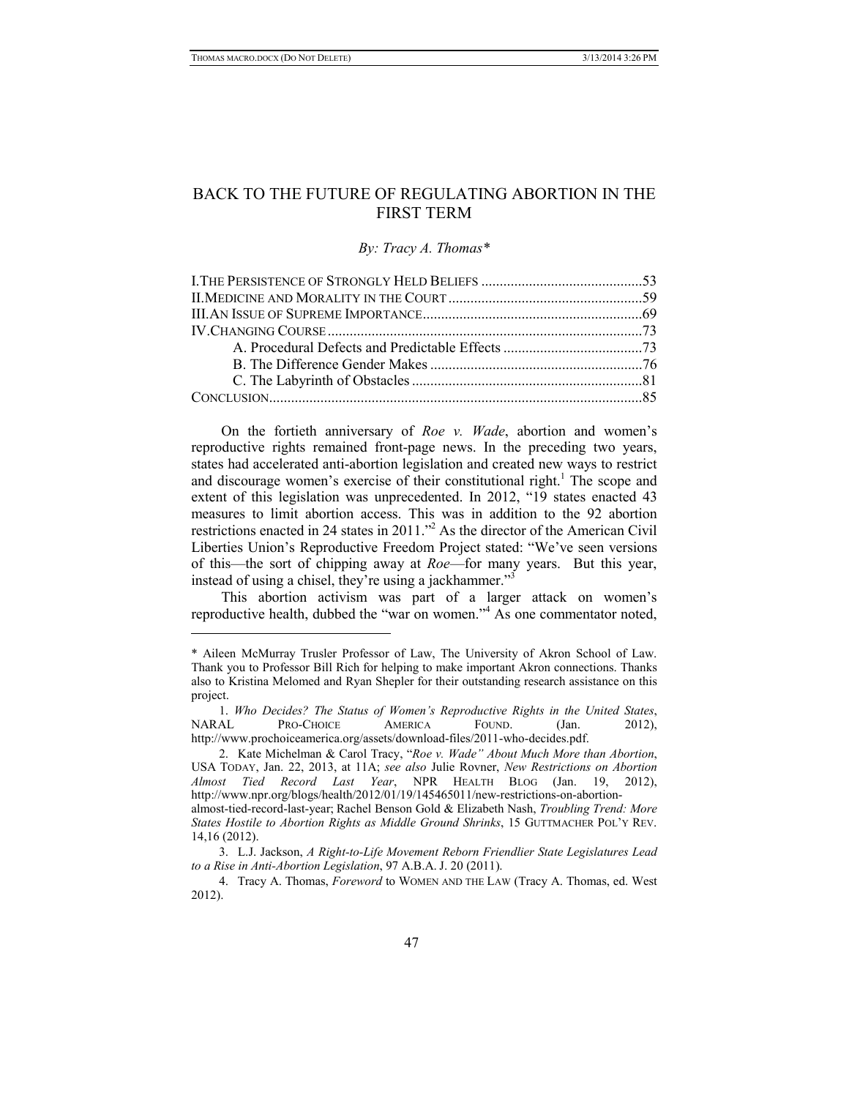# BACK TO THE FUTURE OF REGULATING ABORTION IN THE FIRST TERM

#### *By: Tracy A. Thomas\**

On the fortieth anniversary of *Roe v. Wade*, abortion and women's reproductive rights remained front-page news. In the preceding two years, states had accelerated anti-abortion legislation and created new ways to restrict and discourage women's exercise of their constitutional right.<sup>1</sup> The scope and extent of this legislation was unprecedented. In 2012, "19 states enacted 43 measures to limit abortion access. This was in addition to the 92 abortion restrictions enacted in 24 states in 2011."2 As the director of the American Civil Liberties Union's Reproductive Freedom Project stated: "We've seen versions of this—the sort of chipping away at *Roe*—for many years. But this year, instead of using a chisel, they're using a jackhammer."<sup>3</sup>

This abortion activism was part of a larger attack on women's reproductive health, dubbed the "war on women."<sup>4</sup> As one commentator noted,

<sup>\*</sup> Aileen McMurray Trusler Professor of Law, The University of Akron School of Law. Thank you to Professor Bill Rich for helping to make important Akron connections. Thanks also to Kristina Melomed and Ryan Shepler for their outstanding research assistance on this project.

<sup>1.</sup> *Who Decides? The Status of Women's Reproductive Rights in the United States*, NARAL PRO-CHOICE AMERICA FOUND. (Jan. 2012), http://www.prochoiceamerica.org/assets/download-files/2011-who-decides.pdf.

<sup>2.</sup> Kate Michelman & Carol Tracy, "*Roe v. Wade" About Much More than Abortion*, USA TODAY, Jan. 22, 2013, at 11A; *see also* Julie Rovner, *New Restrictions on Abortion Almost Tied Record Last Year*, NPR HEALTH BLOG (Jan. 19, 2012), http://www.npr.org/blogs/health/2012/01/19/145465011/new-restrictions-on-abortionalmost-tied-record-last-year; Rachel Benson Gold & Elizabeth Nash, *Troubling Trend: More States Hostile to Abortion Rights as Middle Ground Shrinks*, 15 GUTTMACHER POL'Y REV. 14,16 (2012).

<sup>3.</sup> L.J. Jackson, *A Right-to-Life Movement Reborn Friendlier State Legislatures Lead to a Rise in Anti-Abortion Legislation*, 97 A.B.A. J. 20 (2011).

<sup>4.</sup> Tracy A. Thomas, *Foreword* to WOMEN AND THE LAW (Tracy A. Thomas, ed. West 2012).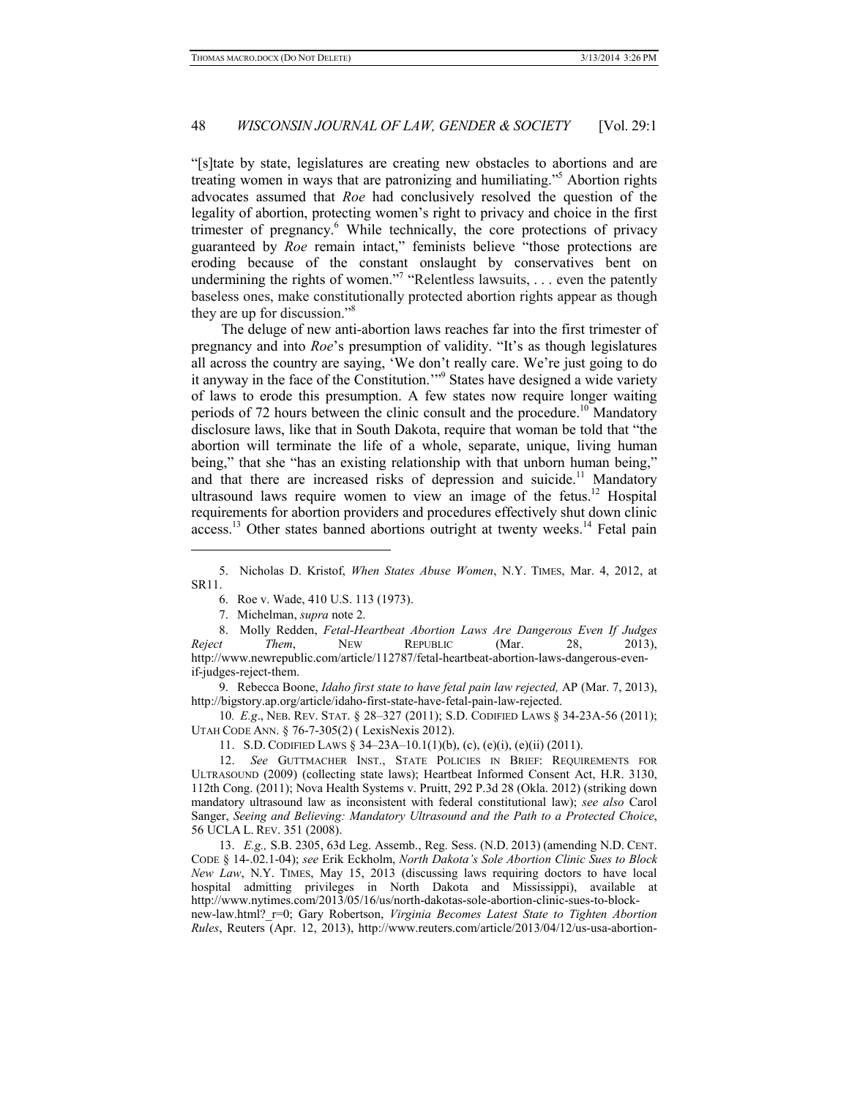"[s]tate by state, legislatures are creating new obstacles to abortions and are treating women in ways that are patronizing and humiliating."5 Abortion rights advocates assumed that *Roe* had conclusively resolved the question of the legality of abortion, protecting women's right to privacy and choice in the first trimester of pregnancy.<sup>6</sup> While technically, the core protections of privacy guaranteed by *Roe* remain intact," feminists believe "those protections are eroding because of the constant onslaught by conservatives bent on undermining the rights of women."<sup>7</sup> "Relentless lawsuits,  $\dots$  even the patently baseless ones, make constitutionally protected abortion rights appear as though they are up for discussion."8

The deluge of new anti-abortion laws reaches far into the first trimester of pregnancy and into *Roe*'s presumption of validity. "It's as though legislatures all across the country are saying, 'We don't really care. We're just going to do it anyway in the face of the Constitution.'"9 States have designed a wide variety of laws to erode this presumption. A few states now require longer waiting periods of 72 hours between the clinic consult and the procedure.<sup>10</sup> Mandatory disclosure laws, like that in South Dakota, require that woman be told that "the abortion will terminate the life of a whole, separate, unique, living human being," that she "has an existing relationship with that unborn human being," and that there are increased risks of depression and suicide.<sup>11</sup> Mandatory ultrasound laws require women to view an image of the fetus.<sup>12</sup> Hospital requirements for abortion providers and procedures effectively shut down clinic access.<sup>13</sup> Other states banned abortions outright at twenty weeks.<sup>14</sup> Fetal pain

1

8. Molly Redden, *Fetal-Heartbeat Abortion Laws Are Dangerous Even If Judges Reject Them*, NEW REPUBLIC (Mar. 28, 2013), http://www.newrepublic.com/article/112787/fetal-heartbeat-abortion-laws-dangerous-evenif-judges-reject-them.

9. Rebecca Boone, *Idaho first state to have fetal pain law rejected,* AP (Mar. 7, 2013), http://bigstory.ap.org/article/idaho-first-state-have-fetal-pain-law-rejected.

10*. E.g*., NEB. REV. STAT. § 28–327 (2011); S.D. CODIFIED LAWS § 34-23A-56 (2011); UTAH CODE ANN. § 76-7-305(2) ( LexisNexis 2012).

11. S.D. CODIFIED LAWS § 34–23A–10.1(1)(b), (c), (e)(i), (e)(ii) (2011).

12. *See* GUTTMACHER INST., STATE POLICIES IN BRIEF: REQUIREMENTS FOR ULTRASOUND (2009) (collecting state laws); Heartbeat Informed Consent Act, H.R. 3130, 112th Cong. (2011); Nova Health Systems v. Pruitt, 292 P.3d 28 (Okla. 2012) (striking down mandatory ultrasound law as inconsistent with federal constitutional law); *see also* Carol Sanger, *Seeing and Believing: Mandatory Ultrasound and the Path to a Protected Choice*, 56 UCLA L. REV. 351 (2008).

13. *E.g.,* S.B. 2305, 63d Leg. Assemb., Reg. Sess. (N.D. 2013) (amending N.D. CENT. CODE § 14-.02.1-04); *see* Erik Eckholm, *North Dakota's Sole Abortion Clinic Sues to Block New Law*, N.Y. TIMES, May 15, 2013 (discussing laws requiring doctors to have local hospital admitting privileges in North Dakota and Mississippi), available at http://www.nytimes.com/2013/05/16/us/north-dakotas-sole-abortion-clinic-sues-to-block-

new-law.html?\_r=0; Gary Robertson, *Virginia Becomes Latest State to Tighten Abortion Rules*, Reuters (Apr. 12, 2013), http://www.reuters.com/article/2013/04/12/us-usa-abortion-

<sup>5.</sup> Nicholas D. Kristof, *When States Abuse Women*, N.Y. TIMES, Mar. 4, 2012, at SR11.

<sup>6.</sup> Roe v. Wade, 410 U.S. 113 (1973).

<sup>7.</sup> Michelman, *supra* note 2.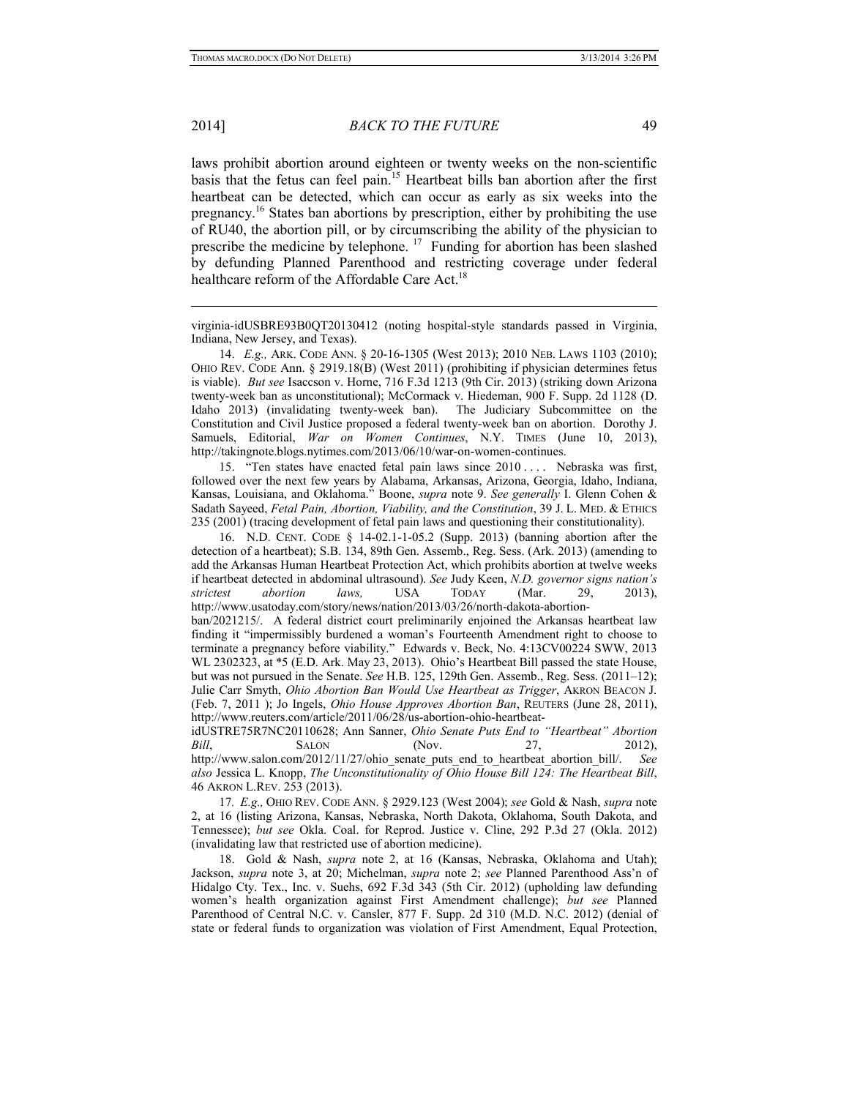2014] *BACK TO THE FUTURE* 49

laws prohibit abortion around eighteen or twenty weeks on the non-scientific basis that the fetus can feel pain.15 Heartbeat bills ban abortion after the first heartbeat can be detected, which can occur as early as six weeks into the pregnancy.16 States ban abortions by prescription, either by prohibiting the use of RU40, the abortion pill, or by circumscribing the ability of the physician to prescribe the medicine by telephone.  $17$  Funding for abortion has been slashed by defunding Planned Parenthood and restricting coverage under federal healthcare reform of the Affordable Care Act.<sup>18</sup>

virginia-idUSBRE93B0QT20130412 (noting hospital-style standards passed in Virginia, Indiana, New Jersey, and Texas).

14. *E.g.,* ARK. CODE ANN. § 20-16-1305 (West 2013); 2010 NEB. LAWS 1103 (2010); OHIO REV. CODE Ann. § 2919.18(B) (West 2011) (prohibiting if physician determines fetus is viable). *But see* Isaccson v. Horne, 716 F.3d 1213 (9th Cir. 2013) (striking down Arizona twenty-week ban as unconstitutional); McCormack v. Hiedeman, 900 F. Supp. 2d 1128 (D. Idaho 2013) (invalidating twenty-week ban). The Judiciary Subcommittee on the Constitution and Civil Justice proposed a federal twenty-week ban on abortion. Dorothy J. Samuels, Editorial, *War on Women Continues*, N.Y. TIMES (June 10, 2013), http://takingnote.blogs.nytimes.com/2013/06/10/war-on-women-continues.

15. "Ten states have enacted fetal pain laws since 2010 . . . . Nebraska was first, followed over the next few years by Alabama, Arkansas, Arizona, Georgia, Idaho, Indiana, Kansas, Louisiana, and Oklahoma." Boone, *supra* note 9. *See generally* I. Glenn Cohen & Sadath Sayeed, *Fetal Pain, Abortion, Viability, and the Constitution*, 39 J. L. MED. & ETHICS 235 (2001) (tracing development of fetal pain laws and questioning their constitutionality).

16. N.D. CENT. CODE § 14-02.1-1-05.2 (Supp. 2013) (banning abortion after the detection of a heartbeat); S.B. 134, 89th Gen. Assemb., Reg. Sess. (Ark. 2013) (amending to add the Arkansas Human Heartbeat Protection Act, which prohibits abortion at twelve weeks if heartbeat detected in abdominal ultrasound). *See* Judy Keen, *N.D. governor signs nation's strictest abortion laws,* USA TODAY (Mar. 29, 2013), http://www.usatoday.com/story/news/nation/2013/03/26/north-dakota-abortionban/2021215/. A federal district court preliminarily enjoined the Arkansas heartbeat law finding it "impermissibly burdened a woman's Fourteenth Amendment right to choose to terminate a pregnancy before viability." Edwards v. Beck, No. 4:13CV00224 SWW, 2013 WL 2302323, at \*5 (E.D. Ark. May 23, 2013). Ohio's Heartbeat Bill passed the state House, but was not pursued in the Senate. *See* H.B. 125, 129th Gen. Assemb., Reg. Sess. (2011–12); Julie Carr Smyth, *Ohio Abortion Ban Would Use Heartbeat as Trigger*, AKRON BEACON J. (Feb. 7, 2011 ); Jo Ingels, *Ohio House Approves Abortion Ban*, REUTERS (June 28, 2011), http://www.reuters.com/article/2011/06/28/us-abortion-ohio-heartbeat-

idUSTRE75R7NC20110628; Ann Sanner, *Ohio Senate Puts End to "Heartbeat" Abortion Bill*, **SALON** (Nov. 27, 2012), http://www.salon.com/2012/11/27/ohio\_senate\_puts\_end\_to\_heartbeat\_abortion\_bill/. *See also* Jessica L. Knopp, *The Unconstitutionality of Ohio House Bill 124: The Heartbeat Bill*, 46 AKRON L.REV. 253 (2013).

17*. E.g.,* OHIO REV. CODE ANN. § 2929.123 (West 2004); *see* Gold & Nash, *supra* note 2, at 16 (listing Arizona, Kansas, Nebraska, North Dakota, Oklahoma, South Dakota, and Tennessee); *but see* Okla. Coal. for Reprod. Justice v. Cline, 292 P.3d 27 (Okla. 2012) (invalidating law that restricted use of abortion medicine).

18. Gold & Nash, *supra* note 2, at 16 (Kansas, Nebraska, Oklahoma and Utah); Jackson, *supra* note 3, at 20; Michelman, *supra* note 2; *see* Planned Parenthood Ass'n of Hidalgo Cty. Tex., Inc. v. Suehs, 692 F.3d 343 (5th Cir. 2012) (upholding law defunding women's health organization against First Amendment challenge); *but see* Planned Parenthood of Central N.C. v. Cansler, 877 F. Supp. 2d 310 (M.D. N.C. 2012) (denial of state or federal funds to organization was violation of First Amendment, Equal Protection,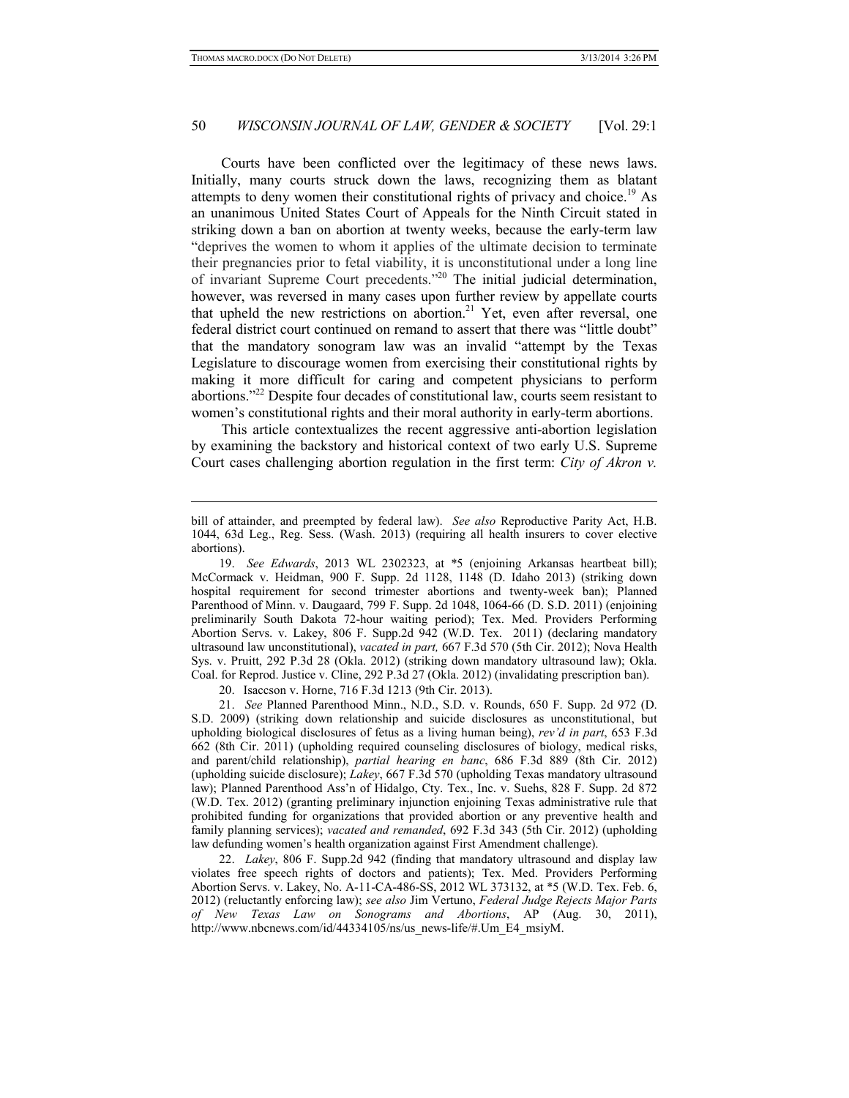### 50 *WISCONSIN JOURNAL OF LAW, GENDER & SOCIETY* [Vol. 29:1]

Courts have been conflicted over the legitimacy of these news laws. Initially, many courts struck down the laws, recognizing them as blatant attempts to deny women their constitutional rights of privacy and choice.<sup>19</sup> As an unanimous United States Court of Appeals for the Ninth Circuit stated in striking down a ban on abortion at twenty weeks, because the early-term law "deprives the women to whom it applies of the ultimate decision to terminate their pregnancies prior to fetal viability, it is unconstitutional under a long line of invariant Supreme Court precedents."20 The initial judicial determination, however, was reversed in many cases upon further review by appellate courts that upheld the new restrictions on abortion.<sup>21</sup> Yet, even after reversal, one federal district court continued on remand to assert that there was "little doubt" that the mandatory sonogram law was an invalid "attempt by the Texas Legislature to discourage women from exercising their constitutional rights by making it more difficult for caring and competent physicians to perform abortions."22 Despite four decades of constitutional law, courts seem resistant to women's constitutional rights and their moral authority in early-term abortions.

This article contextualizes the recent aggressive anti-abortion legislation by examining the backstory and historical context of two early U.S. Supreme Court cases challenging abortion regulation in the first term: *City of Akron v.* 

20. Isaccson v. Horne, 716 F.3d 1213 (9th Cir. 2013).

21. *See* Planned Parenthood Minn., N.D., S.D. v. Rounds, 650 F. Supp. 2d 972 (D. S.D. 2009) (striking down relationship and suicide disclosures as unconstitutional, but upholding biological disclosures of fetus as a living human being), *rev'd in part*, 653 F.3d 662 (8th Cir. 2011) (upholding required counseling disclosures of biology, medical risks, and parent/child relationship), *partial hearing en banc*, 686 F.3d 889 (8th Cir. 2012) (upholding suicide disclosure); *Lakey*, 667 F.3d 570 (upholding Texas mandatory ultrasound law); Planned Parenthood Ass'n of Hidalgo, Cty. Tex., Inc. v. Suehs, 828 F. Supp. 2d 872 (W.D. Tex. 2012) (granting preliminary injunction enjoining Texas administrative rule that prohibited funding for organizations that provided abortion or any preventive health and family planning services); *vacated and remanded*, 692 F.3d 343 (5th Cir. 2012) (upholding law defunding women's health organization against First Amendment challenge).

22. *Lakey*, 806 F. Supp.2d 942 (finding that mandatory ultrasound and display law violates free speech rights of doctors and patients); Tex. Med. Providers Performing Abortion Servs. v. Lakey, No. A-11-CA-486-SS, 2012 WL 373132, at \*5 (W.D. Tex. Feb. 6, 2012) (reluctantly enforcing law); *see also* Jim Vertuno, *Federal Judge Rejects Major Parts of New Texas Law on Sonograms and Abortions*, AP (Aug. 30, 2011), http://www.nbcnews.com/id/44334105/ns/us\_news-life/#.Um\_E4\_msiyM.

bill of attainder, and preempted by federal law). *See also* Reproductive Parity Act, H.B. 1044, 63d Leg., Reg. Sess. (Wash. 2013) (requiring all health insurers to cover elective abortions).

<sup>19.</sup> *See Edwards*, 2013 WL 2302323, at \*5 (enjoining Arkansas heartbeat bill); McCormack v. Heidman, 900 F. Supp. 2d 1128, 1148 (D. Idaho 2013) (striking down hospital requirement for second trimester abortions and twenty-week ban); Planned Parenthood of Minn. v. Daugaard, 799 F. Supp. 2d 1048, 1064-66 (D. S.D. 2011) (enjoining preliminarily South Dakota 72-hour waiting period); Tex. Med. Providers Performing Abortion Servs. v. Lakey, 806 F. Supp.2d 942 (W.D. Tex. 2011) (declaring mandatory ultrasound law unconstitutional), *vacated in part,* 667 F.3d 570 (5th Cir. 2012); Nova Health Sys. v. Pruitt, 292 P.3d 28 (Okla. 2012) (striking down mandatory ultrasound law); Okla. Coal. for Reprod. Justice v. Cline, 292 P.3d 27 (Okla. 2012) (invalidating prescription ban).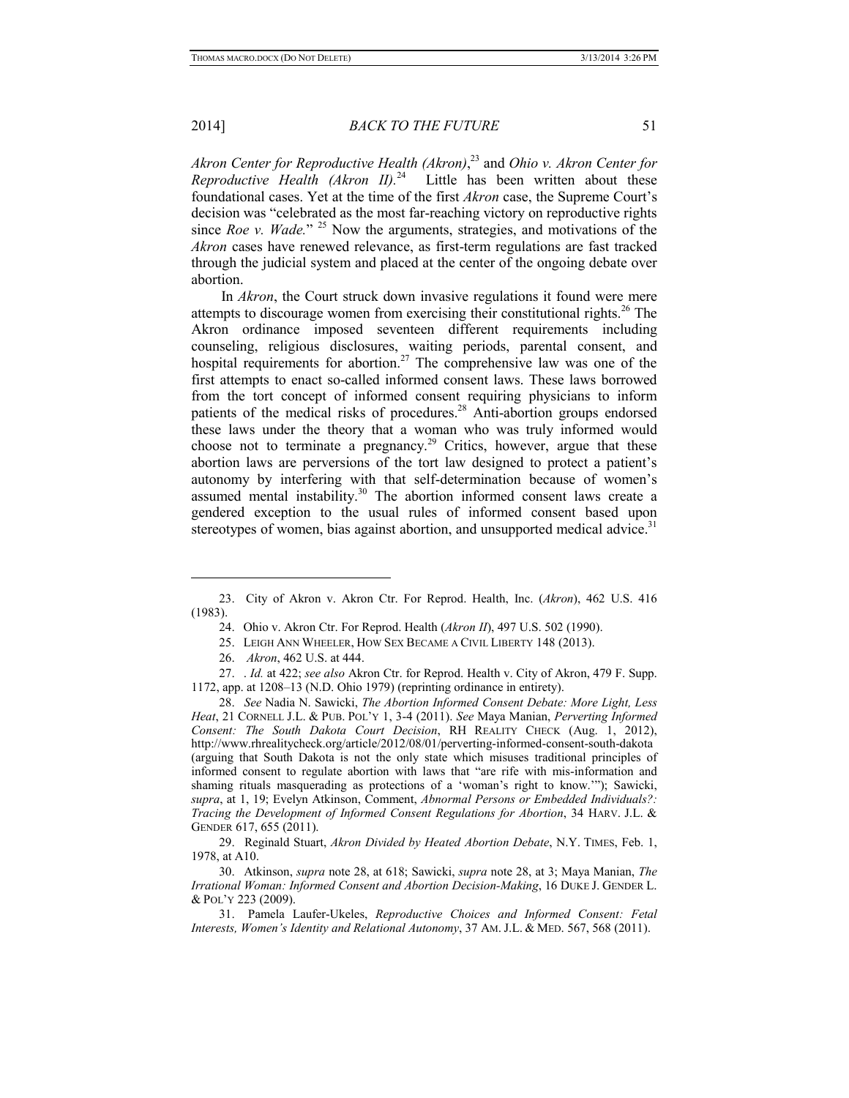### 2014] *BACK TO THE FUTURE* 51

*Akron Center for Reproductive Health (Akron)*, 23 and *Ohio v. Akron Center for Reproductive Health (Akron II).*<sup>24</sup> Little has been written about these foundational cases. Yet at the time of the first *Akron* case, the Supreme Court's decision was "celebrated as the most far-reaching victory on reproductive rights since *Roe v. Wade.*" 25 Now the arguments, strategies, and motivations of the *Akron* cases have renewed relevance, as first-term regulations are fast tracked through the judicial system and placed at the center of the ongoing debate over abortion.

In *Akron*, the Court struck down invasive regulations it found were mere attempts to discourage women from exercising their constitutional rights.26 The Akron ordinance imposed seventeen different requirements including counseling, religious disclosures, waiting periods, parental consent, and hospital requirements for abortion.<sup>27</sup> The comprehensive law was one of the first attempts to enact so-called informed consent laws. These laws borrowed from the tort concept of informed consent requiring physicians to inform patients of the medical risks of procedures.<sup>28</sup> Anti-abortion groups endorsed these laws under the theory that a woman who was truly informed would choose not to terminate a pregnancy.<sup>29</sup> Critics, however, argue that these abortion laws are perversions of the tort law designed to protect a patient's autonomy by interfering with that self-determination because of women's assumed mental instability.30 The abortion informed consent laws create a gendered exception to the usual rules of informed consent based upon stereotypes of women, bias against abortion, and unsupported medical advice.<sup>31</sup>

26. *Akron*, 462 U.S. at 444.

<sup>23.</sup> City of Akron v. Akron Ctr. For Reprod. Health, Inc. (*Akron*), 462 U.S. 416 (1983).

<sup>24.</sup> Ohio v. Akron Ctr. For Reprod. Health (*Akron II*), 497 U.S. 502 (1990).

<sup>25.</sup> LEIGH ANN WHEELER, HOW SEX BECAME A CIVIL LIBERTY 148 (2013).

<sup>27. .</sup> *Id.* at 422; *see also* Akron Ctr. for Reprod. Health v. City of Akron, 479 F. Supp. 1172, app. at 1208–13 (N.D. Ohio 1979) (reprinting ordinance in entirety).

<sup>28.</sup> *See* Nadia N. Sawicki, *The Abortion Informed Consent Debate: More Light, Less Heat*, 21 CORNELL J.L. & PUB. POL'Y 1, 3-4 (2011). *See* Maya Manian, *Perverting Informed Consent: The South Dakota Court Decision*, RH REALITY CHECK (Aug. 1, 2012), http://www.rhrealitycheck.org/article/2012/08/01/perverting-informed-consent-south-dakota (arguing that South Dakota is not the only state which misuses traditional principles of informed consent to regulate abortion with laws that "are rife with mis-information and shaming rituals masquerading as protections of a 'woman's right to know.'"); Sawicki, *supra*, at 1, 19; Evelyn Atkinson, Comment, *Abnormal Persons or Embedded Individuals?: Tracing the Development of Informed Consent Regulations for Abortion*, 34 HARV. J.L. & GENDER 617, 655 (2011).

<sup>29.</sup> Reginald Stuart, *Akron Divided by Heated Abortion Debate*, N.Y. TIMES, Feb. 1, 1978, at A10.

<sup>30.</sup> Atkinson, *supra* note 28, at 618; Sawicki, *supra* note 28, at 3; Maya Manian, *The Irrational Woman: Informed Consent and Abortion Decision-Making*, 16 DUKE J. GENDER L. & POL'Y 223 (2009).

<sup>31.</sup> Pamela Laufer-Ukeles, *Reproductive Choices and Informed Consent: Fetal Interests, Women's Identity and Relational Autonomy*, 37 AM. J.L. & MED. 567, 568 (2011).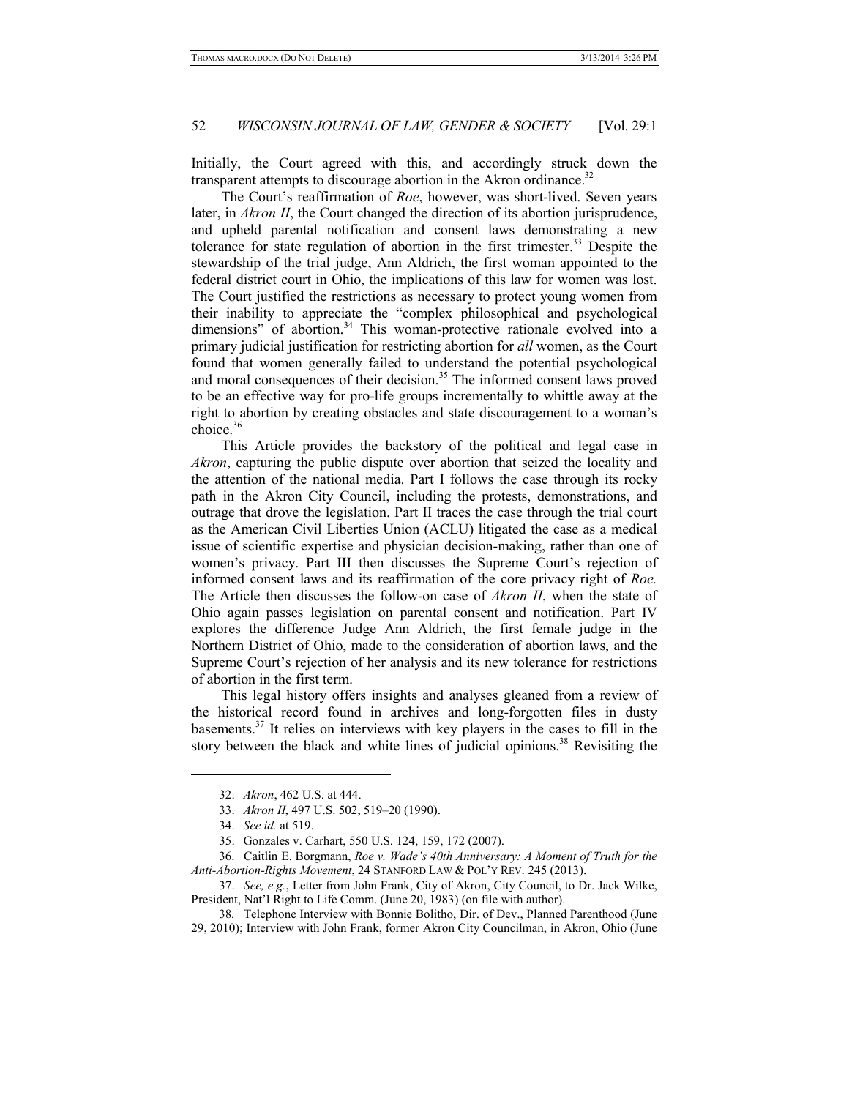Initially, the Court agreed with this, and accordingly struck down the transparent attempts to discourage abortion in the Akron ordinance.<sup>32</sup>

The Court's reaffirmation of *Roe*, however, was short-lived. Seven years later, in *Akron II*, the Court changed the direction of its abortion jurisprudence, and upheld parental notification and consent laws demonstrating a new tolerance for state regulation of abortion in the first trimester.<sup>33</sup> Despite the stewardship of the trial judge, Ann Aldrich, the first woman appointed to the federal district court in Ohio, the implications of this law for women was lost. The Court justified the restrictions as necessary to protect young women from their inability to appreciate the "complex philosophical and psychological dimensions" of abortion.<sup>34</sup> This woman-protective rationale evolved into a primary judicial justification for restricting abortion for *all* women, as the Court found that women generally failed to understand the potential psychological and moral consequences of their decision.<sup>35</sup> The informed consent laws proved to be an effective way for pro-life groups incrementally to whittle away at the right to abortion by creating obstacles and state discouragement to a woman's choice.36

This Article provides the backstory of the political and legal case in *Akron*, capturing the public dispute over abortion that seized the locality and the attention of the national media. Part I follows the case through its rocky path in the Akron City Council, including the protests, demonstrations, and outrage that drove the legislation. Part II traces the case through the trial court as the American Civil Liberties Union (ACLU) litigated the case as a medical issue of scientific expertise and physician decision-making, rather than one of women's privacy. Part III then discusses the Supreme Court's rejection of informed consent laws and its reaffirmation of the core privacy right of *Roe.*  The Article then discusses the follow-on case of *Akron II*, when the state of Ohio again passes legislation on parental consent and notification. Part IV explores the difference Judge Ann Aldrich, the first female judge in the Northern District of Ohio, made to the consideration of abortion laws, and the Supreme Court's rejection of her analysis and its new tolerance for restrictions of abortion in the first term.

This legal history offers insights and analyses gleaned from a review of the historical record found in archives and long-forgotten files in dusty basements.<sup>37</sup> It relies on interviews with key players in the cases to fill in the story between the black and white lines of judicial opinions.<sup>38</sup> Revisiting the

1

<sup>32.</sup> *Akron*, 462 U.S. at 444.

<sup>33.</sup> *Akron II*, 497 U.S. 502, 519–20 (1990).

<sup>34.</sup> *See id.* at 519.

<sup>35.</sup> Gonzales v. Carhart, 550 U.S. 124, 159, 172 (2007).

<sup>36.</sup> Caitlin E. Borgmann, *Roe v. Wade's 40th Anniversary: A Moment of Truth for the Anti-Abortion-Rights Movement*, 24 STANFORD LAW & POL'Y REV. 245 (2013).

<sup>37.</sup> *See, e.g.*, Letter from John Frank, City of Akron, City Council, to Dr. Jack Wilke, President, Nat'l Right to Life Comm. (June 20, 1983) (on file with author).

<sup>38</sup>*.* Telephone Interview with Bonnie Bolitho, Dir. of Dev., Planned Parenthood (June 29, 2010); Interview with John Frank, former Akron City Councilman, in Akron, Ohio (June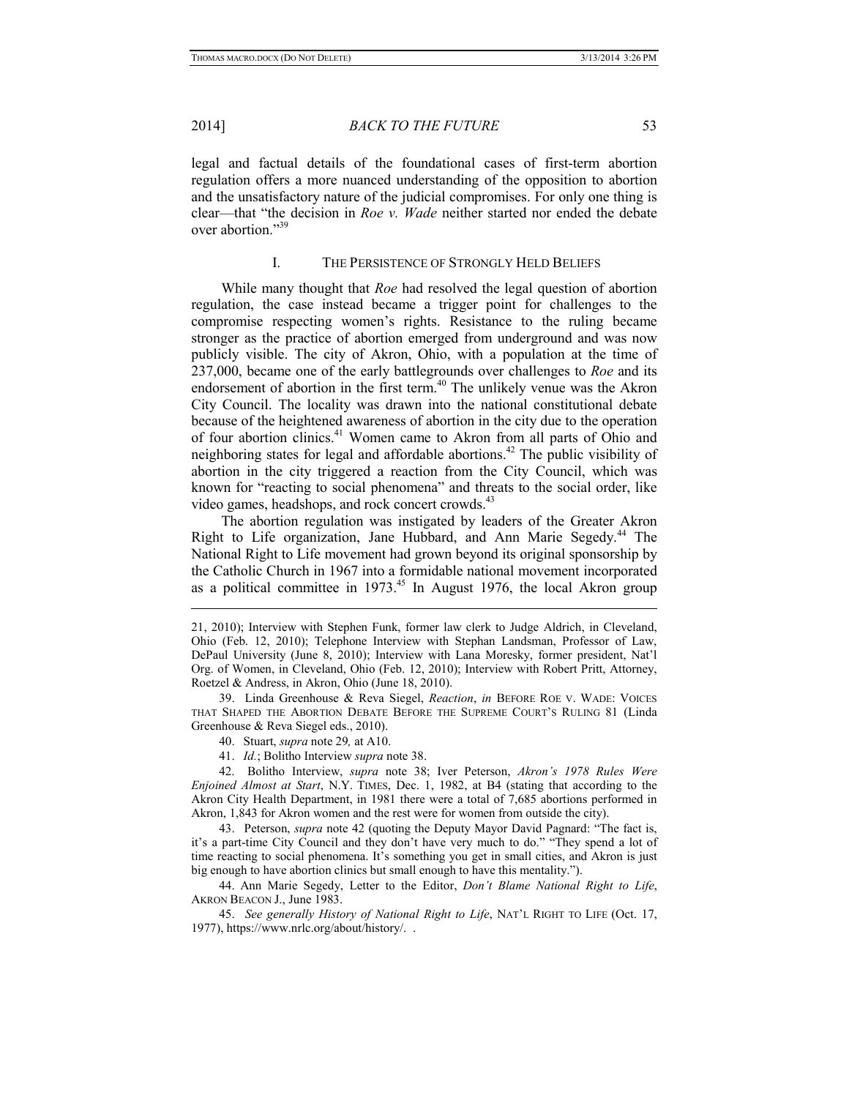1

#### 2014] *BACK TO THE FUTURE* 53

legal and factual details of the foundational cases of first-term abortion regulation offers a more nuanced understanding of the opposition to abortion and the unsatisfactory nature of the judicial compromises. For only one thing is clear—that "the decision in *Roe v. Wade* neither started nor ended the debate over abortion."39

#### I. THE PERSISTENCE OF STRONGLY HELD BELIEFS

While many thought that *Roe* had resolved the legal question of abortion regulation, the case instead became a trigger point for challenges to the compromise respecting women's rights. Resistance to the ruling became stronger as the practice of abortion emerged from underground and was now publicly visible. The city of Akron, Ohio, with a population at the time of 237,000, became one of the early battlegrounds over challenges to *Roe* and its endorsement of abortion in the first term.<sup>40</sup> The unlikely venue was the Akron City Council. The locality was drawn into the national constitutional debate because of the heightened awareness of abortion in the city due to the operation of four abortion clinics.<sup>41</sup> Women came to Akron from all parts of Ohio and neighboring states for legal and affordable abortions.<sup>42</sup> The public visibility of abortion in the city triggered a reaction from the City Council, which was known for "reacting to social phenomena" and threats to the social order, like video games, headshops, and rock concert crowds.<sup>43</sup>

The abortion regulation was instigated by leaders of the Greater Akron Right to Life organization, Jane Hubbard, and Ann Marie Segedy.<sup>44</sup> The National Right to Life movement had grown beyond its original sponsorship by the Catholic Church in 1967 into a formidable national movement incorporated as a political committee in 1973.<sup>45</sup> In August 1976, the local Akron group

41. *Id.*; Bolitho Interview *supra* note 38.

42. Bolitho Interview, *supra* note 38; Iver Peterson, *Akron's 1978 Rules Were Enjoined Almost at Start*, N.Y. TIMES, Dec. 1, 1982, at B4 (stating that according to the Akron City Health Department, in 1981 there were a total of 7,685 abortions performed in Akron, 1,843 for Akron women and the rest were for women from outside the city).

43. Peterson, *supra* note 42 (quoting the Deputy Mayor David Pagnard: "The fact is, it's a part-time City Council and they don't have very much to do." "They spend a lot of time reacting to social phenomena. It's something you get in small cities, and Akron is just big enough to have abortion clinics but small enough to have this mentality.").

44. Ann Marie Segedy, Letter to the Editor, *Don't Blame National Right to Life*, AKRON BEACON J., June 1983.

45. *See generally History of National Right to Life*, NAT'L RIGHT TO LIFE (Oct. 17, 1977), https://www.nrlc.org/about/history/. .

<sup>21, 2010);</sup> Interview with Stephen Funk, former law clerk to Judge Aldrich, in Cleveland, Ohio (Feb. 12, 2010); Telephone Interview with Stephan Landsman, Professor of Law, DePaul University (June 8, 2010); Interview with Lana Moresky, former president, Nat'l Org. of Women, in Cleveland, Ohio (Feb. 12, 2010); Interview with Robert Pritt, Attorney, Roetzel & Andress, in Akron, Ohio (June 18, 2010).

<sup>39.</sup> Linda Greenhouse & Reva Siegel, *Reaction*, *in* BEFORE ROE V. WADE: VOICES THAT SHAPED THE ABORTION DEBATE BEFORE THE SUPREME COURT'S RULING 81 (Linda Greenhouse & Reva Siegel eds., 2010).

<sup>40.</sup> Stuart, *supra* note 29*,* at A10.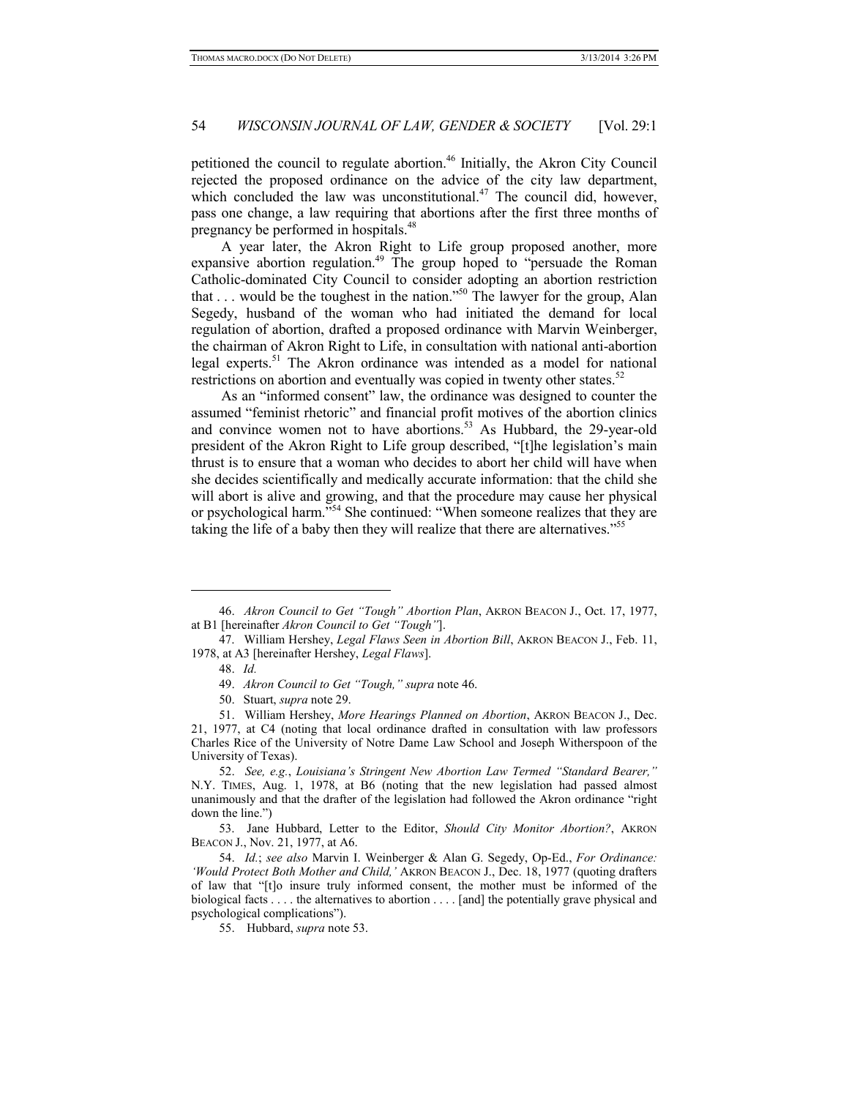petitioned the council to regulate abortion.46 Initially, the Akron City Council rejected the proposed ordinance on the advice of the city law department, which concluded the law was unconstitutional. $47$  The council did, however, pass one change, a law requiring that abortions after the first three months of pregnancy be performed in hospitals.48

A year later, the Akron Right to Life group proposed another, more expansive abortion regulation.<sup>49</sup> The group hoped to "persuade the Roman" Catholic-dominated City Council to consider adopting an abortion restriction that  $\dots$  would be the toughest in the nation."<sup>50</sup> The lawyer for the group, Alan Segedy, husband of the woman who had initiated the demand for local regulation of abortion, drafted a proposed ordinance with Marvin Weinberger, the chairman of Akron Right to Life, in consultation with national anti-abortion legal experts.<sup>51</sup> The Akron ordinance was intended as a model for national restrictions on abortion and eventually was copied in twenty other states.<sup>52</sup>

As an "informed consent" law, the ordinance was designed to counter the assumed "feminist rhetoric" and financial profit motives of the abortion clinics and convince women not to have abortions.<sup>53</sup> As Hubbard, the 29-year-old president of the Akron Right to Life group described, "[t]he legislation's main thrust is to ensure that a woman who decides to abort her child will have when she decides scientifically and medically accurate information: that the child she will abort is alive and growing, and that the procedure may cause her physical or psychological harm."54 She continued: "When someone realizes that they are taking the life of a baby then they will realize that there are alternatives."55

-

<sup>46.</sup> *Akron Council to Get "Tough" Abortion Plan*, AKRON BEACON J., Oct. 17, 1977, at B1 [hereinafter *Akron Council to Get "Tough"*].

<sup>47.</sup> William Hershey, *Legal Flaws Seen in Abortion Bill*, AKRON BEACON J., Feb. 11, 1978, at A3 [hereinafter Hershey, *Legal Flaws*].

<sup>48.</sup> *Id.* 

<sup>49.</sup> *Akron Council to Get "Tough," supra* note 46.

<sup>50.</sup> Stuart, *supra* note 29.

<sup>51.</sup> William Hershey, *More Hearings Planned on Abortion*, AKRON BEACON J., Dec. 21, 1977, at C4 (noting that local ordinance drafted in consultation with law professors Charles Rice of the University of Notre Dame Law School and Joseph Witherspoon of the University of Texas).

<sup>52.</sup> *See, e.g.*, *Louisiana's Stringent New Abortion Law Termed "Standard Bearer,"* N.Y. TIMES, Aug. 1, 1978, at B6 (noting that the new legislation had passed almost unanimously and that the drafter of the legislation had followed the Akron ordinance "right down the line.")

<sup>53.</sup> Jane Hubbard, Letter to the Editor, *Should City Monitor Abortion?*, AKRON BEACON J., Nov. 21, 1977, at A6.

<sup>54.</sup> *Id.*; *see also* Marvin I. Weinberger & Alan G. Segedy, Op-Ed., *For Ordinance: 'Would Protect Both Mother and Child,'* AKRON BEACON J., Dec. 18, 1977 (quoting drafters of law that "[t]o insure truly informed consent, the mother must be informed of the biological facts . . . . the alternatives to abortion . . . . [and] the potentially grave physical and psychological complications").

<sup>55.</sup> Hubbard, *supra* note 53.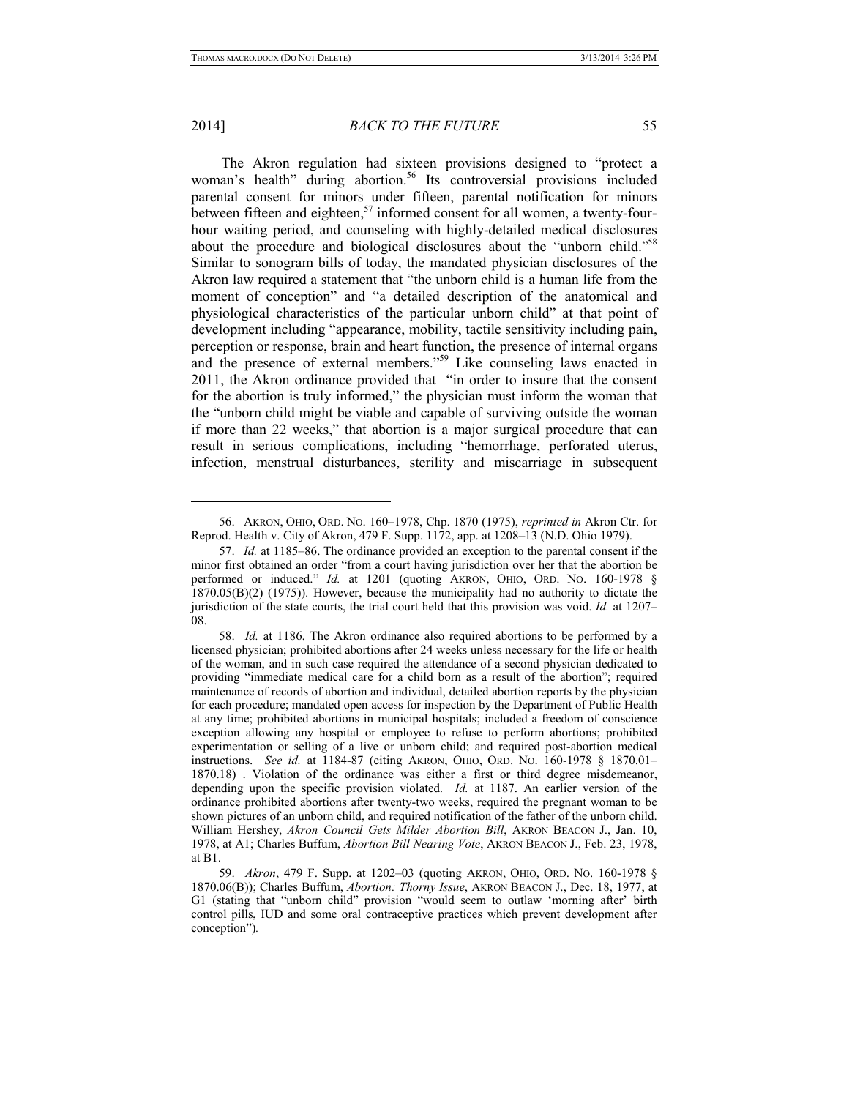### 2014] *BACK TO THE FUTURE* 55

The Akron regulation had sixteen provisions designed to "protect a woman's health" during abortion.<sup>56</sup> Its controversial provisions included parental consent for minors under fifteen, parental notification for minors between fifteen and eighteen,<sup>57</sup> informed consent for all women, a twenty-fourhour waiting period, and counseling with highly-detailed medical disclosures about the procedure and biological disclosures about the "unborn child."58 Similar to sonogram bills of today, the mandated physician disclosures of the Akron law required a statement that "the unborn child is a human life from the moment of conception" and "a detailed description of the anatomical and physiological characteristics of the particular unborn child" at that point of development including "appearance, mobility, tactile sensitivity including pain, perception or response, brain and heart function, the presence of internal organs and the presence of external members."<sup>59</sup> Like counseling laws enacted in 2011, the Akron ordinance provided that "in order to insure that the consent for the abortion is truly informed," the physician must inform the woman that the "unborn child might be viable and capable of surviving outside the woman if more than 22 weeks," that abortion is a major surgical procedure that can result in serious complications, including "hemorrhage, perforated uterus, infection, menstrual disturbances, sterility and miscarriage in subsequent

<sup>56.</sup> AKRON, OHIO, ORD. NO. 160–1978, Chp. 1870 (1975), *reprinted in* Akron Ctr. for Reprod. Health v. City of Akron, 479 F. Supp. 1172, app. at 1208–13 (N.D. Ohio 1979).

<sup>57.</sup> *Id.* at 1185–86. The ordinance provided an exception to the parental consent if the minor first obtained an order "from a court having jurisdiction over her that the abortion be performed or induced." *Id.* at 1201 (quoting AKRON, OHIO, ORD. NO. 160-1978 § 1870.05(B)(2) (1975)). However, because the municipality had no authority to dictate the jurisdiction of the state courts, the trial court held that this provision was void. *Id.* at 1207– 08.

<sup>58.</sup> *Id.* at 1186. The Akron ordinance also required abortions to be performed by a licensed physician; prohibited abortions after 24 weeks unless necessary for the life or health of the woman, and in such case required the attendance of a second physician dedicated to providing "immediate medical care for a child born as a result of the abortion"; required maintenance of records of abortion and individual, detailed abortion reports by the physician for each procedure; mandated open access for inspection by the Department of Public Health at any time; prohibited abortions in municipal hospitals; included a freedom of conscience exception allowing any hospital or employee to refuse to perform abortions; prohibited experimentation or selling of a live or unborn child; and required post-abortion medical instructions. *See id.* at 1184-87 (citing AKRON, OHIO, ORD. NO. 160-1978 § 1870.01– 1870.18) . Violation of the ordinance was either a first or third degree misdemeanor, depending upon the specific provision violated. *Id.* at 1187. An earlier version of the ordinance prohibited abortions after twenty-two weeks, required the pregnant woman to be shown pictures of an unborn child, and required notification of the father of the unborn child. William Hershey, *Akron Council Gets Milder Abortion Bill*, AKRON BEACON J., Jan. 10, 1978, at A1; Charles Buffum, *Abortion Bill Nearing Vote*, AKRON BEACON J., Feb. 23, 1978, at B1.

<sup>59.</sup> *Akron*, 479 F. Supp. at 1202–03 (quoting AKRON, OHIO, ORD. NO. 160-1978 § 1870.06(B)); Charles Buffum, *Abortion: Thorny Issue*, AKRON BEACON J., Dec. 18, 1977, at G1 (stating that "unborn child" provision "would seem to outlaw 'morning after' birth control pills, IUD and some oral contraceptive practices which prevent development after conception")*.*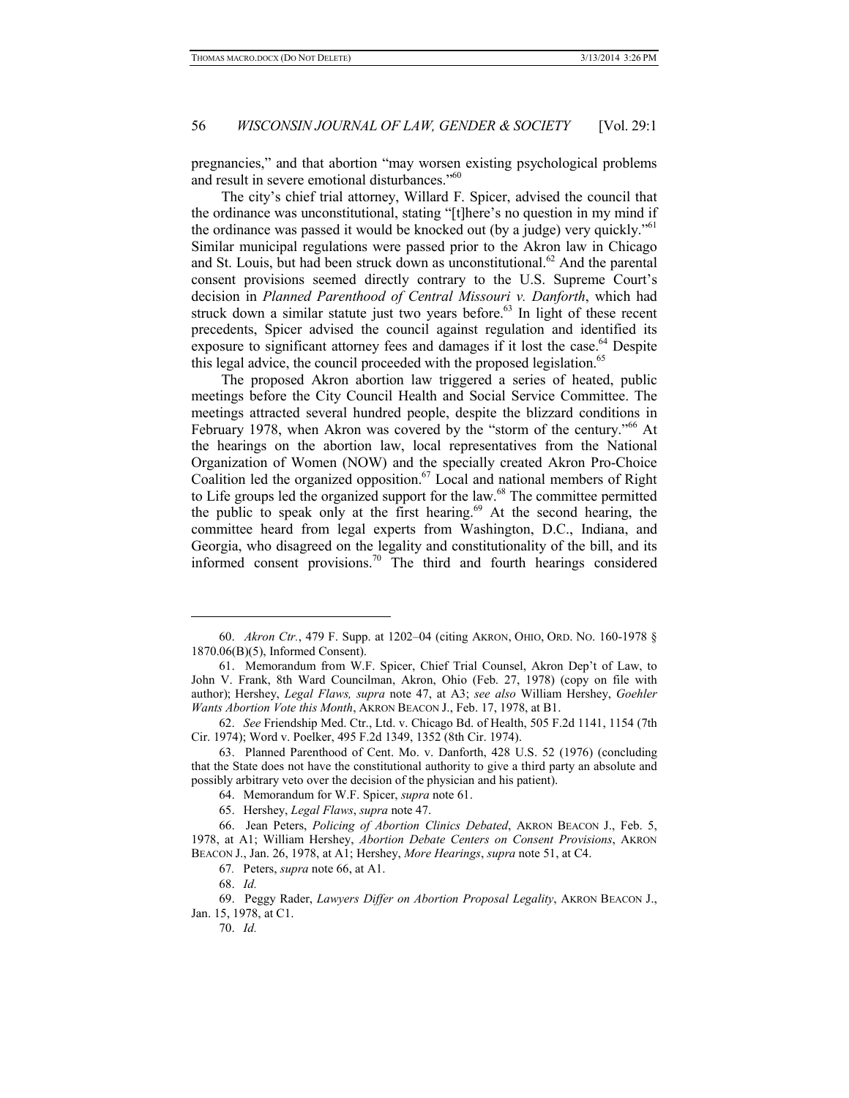pregnancies," and that abortion "may worsen existing psychological problems and result in severe emotional disturbances."<sup>60</sup>

The city's chief trial attorney, Willard F. Spicer, advised the council that the ordinance was unconstitutional, stating "[t]here's no question in my mind if the ordinance was passed it would be knocked out (by a judge) very quickly.<sup>"61</sup> Similar municipal regulations were passed prior to the Akron law in Chicago and St. Louis, but had been struck down as unconstitutional.<sup>62</sup> And the parental consent provisions seemed directly contrary to the U.S. Supreme Court's decision in *Planned Parenthood of Central Missouri v. Danforth*, which had struck down a similar statute just two years before.<sup>63</sup> In light of these recent precedents, Spicer advised the council against regulation and identified its exposure to significant attorney fees and damages if it lost the case.<sup>64</sup> Despite this legal advice, the council proceeded with the proposed legislation.<sup>65</sup>

The proposed Akron abortion law triggered a series of heated, public meetings before the City Council Health and Social Service Committee. The meetings attracted several hundred people, despite the blizzard conditions in February 1978, when Akron was covered by the "storm of the century."<sup>66</sup> At the hearings on the abortion law, local representatives from the National Organization of Women (NOW) and the specially created Akron Pro-Choice Coalition led the organized opposition.<sup>67</sup> Local and national members of Right to Life groups led the organized support for the law.<sup>68</sup> The committee permitted the public to speak only at the first hearing.<sup>69</sup> At the second hearing, the committee heard from legal experts from Washington, D.C., Indiana, and Georgia, who disagreed on the legality and constitutionality of the bill, and its informed consent provisions.70 The third and fourth hearings considered

1

<sup>60.</sup> *Akron Ctr.*, 479 F. Supp. at 1202–04 (citing AKRON, OHIO, ORD. NO. 160-1978 § 1870.06(B)(5), Informed Consent).

<sup>61.</sup> Memorandum from W.F. Spicer, Chief Trial Counsel, Akron Dep't of Law, to John V. Frank, 8th Ward Councilman, Akron, Ohio (Feb. 27, 1978) (copy on file with author); Hershey, *Legal Flaws, supra* note 47, at A3; *see also* William Hershey, *Goehler Wants Abortion Vote this Month*, AKRON BEACON J., Feb. 17, 1978, at B1.

<sup>62.</sup> *See* Friendship Med. Ctr., Ltd. v. Chicago Bd. of Health, 505 F.2d 1141, 1154 (7th Cir. 1974); Word v. Poelker, 495 F.2d 1349, 1352 (8th Cir. 1974).

<sup>63.</sup> Planned Parenthood of Cent. Mo. v. Danforth, 428 U.S. 52 (1976) (concluding that the State does not have the constitutional authority to give a third party an absolute and possibly arbitrary veto over the decision of the physician and his patient).

<sup>64.</sup> Memorandum for W.F. Spicer, *supra* note 61.

<sup>65.</sup> Hershey, *Legal Flaws*, *supra* note 47.

<sup>66.</sup> Jean Peters, *Policing of Abortion Clinics Debated*, AKRON BEACON J., Feb. 5, 1978, at A1; William Hershey, *Abortion Debate Centers on Consent Provisions*, AKRON BEACON J., Jan. 26, 1978, at A1; Hershey, *More Hearings*, *supra* note 51, at C4.

<sup>67</sup>*.* Peters, *supra* note 66, at A1.

<sup>68.</sup> *Id.* 

<sup>69.</sup> Peggy Rader, *Lawyers Differ on Abortion Proposal Legality*, AKRON BEACON J., Jan. 15, 1978, at C1.

<sup>70.</sup> *Id.*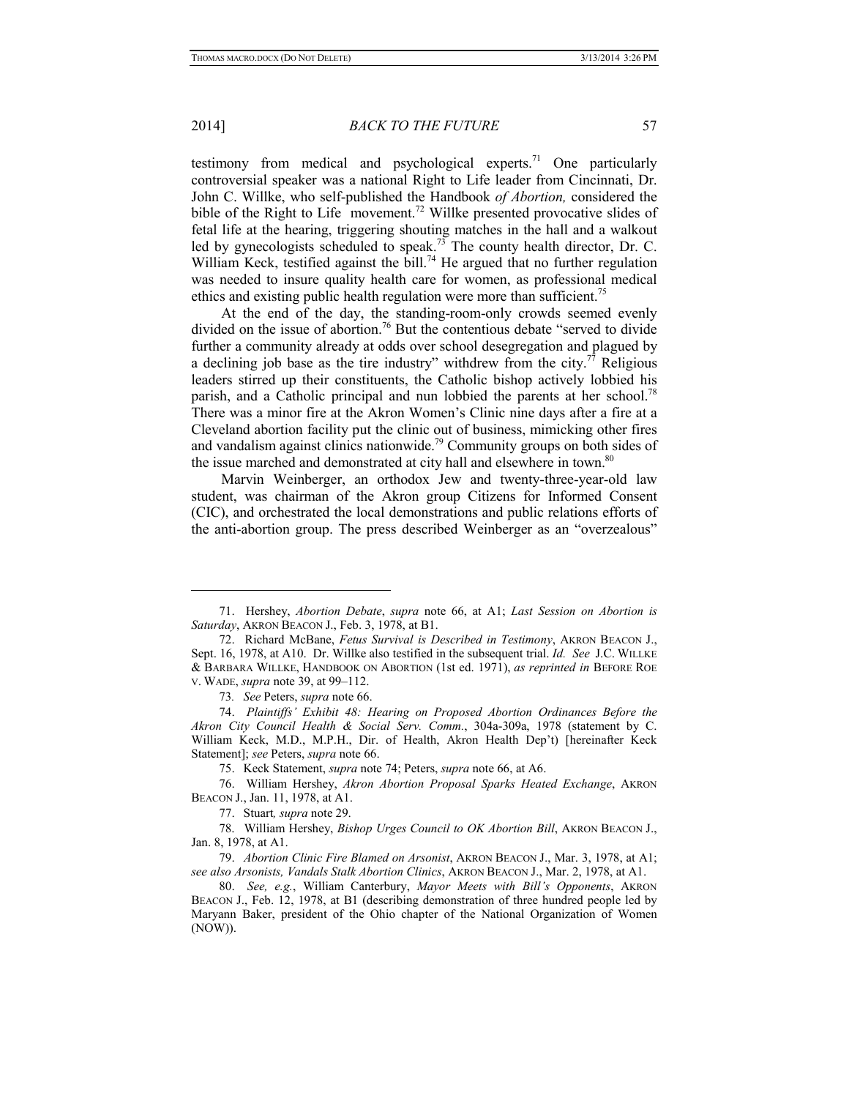## 2014] *BACK TO THE FUTURE* 57

testimony from medical and psychological experts.<sup>71</sup> One particularly controversial speaker was a national Right to Life leader from Cincinnati, Dr. John C. Willke, who self-published the Handbook *of Abortion,* considered the bible of the Right to Life movement.<sup>72</sup> Willke presented provocative slides of fetal life at the hearing, triggering shouting matches in the hall and a walkout led by gynecologists scheduled to speak.<sup>73</sup> The county health director, Dr. C. William Keck, testified against the bill.<sup>74</sup> He argued that no further regulation was needed to insure quality health care for women, as professional medical ethics and existing public health regulation were more than sufficient.<sup>75</sup>

At the end of the day, the standing-room-only crowds seemed evenly divided on the issue of abortion.<sup>76</sup> But the contentious debate "served to divide further a community already at odds over school desegregation and plagued by a declining job base as the tire industry" withdrew from the city.<sup>77</sup> Religious leaders stirred up their constituents, the Catholic bishop actively lobbied his parish, and a Catholic principal and nun lobbied the parents at her school.<sup>78</sup> There was a minor fire at the Akron Women's Clinic nine days after a fire at a Cleveland abortion facility put the clinic out of business, mimicking other fires and vandalism against clinics nationwide.79 Community groups on both sides of the issue marched and demonstrated at city hall and elsewhere in town.<sup>80</sup>

Marvin Weinberger, an orthodox Jew and twenty-three-year-old law student, was chairman of the Akron group Citizens for Informed Consent (CIC), and orchestrated the local demonstrations and public relations efforts of the anti-abortion group. The press described Weinberger as an "overzealous"

<sup>71.</sup> Hershey, *Abortion Debate*, *supra* note 66, at A1; *Last Session on Abortion is Saturday*, AKRON BEACON J., Feb. 3, 1978, at B1.

<sup>72.</sup> Richard McBane, *Fetus Survival is Described in Testimony*, AKRON BEACON J., Sept. 16, 1978, at A10. Dr. Willke also testified in the subsequent trial. *Id. See* J.C. WILLKE & BARBARA WILLKE, HANDBOOK ON ABORTION (1st ed. 1971), *as reprinted in* BEFORE ROE V. WADE, *supra* note 39, at 99–112.

<sup>73</sup>*. See* Peters, *supra* note 66.

<sup>74.</sup> *Plaintiffs' Exhibit 48: Hearing on Proposed Abortion Ordinances Before the Akron City Council Health & Social Serv. Comm.*, 304a-309a, 1978 (statement by C. William Keck, M.D., M.P.H., Dir. of Health, Akron Health Dep't) [hereinafter Keck Statement]; *see* Peters, *supra* note 66.

<sup>75.</sup> Keck Statement, *supra* note 74; Peters, *supra* note 66, at A6.

<sup>76.</sup> William Hershey, *Akron Abortion Proposal Sparks Heated Exchange*, AKRON BEACON J., Jan. 11, 1978, at A1.

<sup>77.</sup> Stuart*, supra* note 29.

<sup>78.</sup> William Hershey, *Bishop Urges Council to OK Abortion Bill*, AKRON BEACON J., Jan. 8, 1978, at A1.

<sup>79.</sup> *Abortion Clinic Fire Blamed on Arsonist*, AKRON BEACON J., Mar. 3, 1978, at A1; *see also Arsonists, Vandals Stalk Abortion Clinics*, AKRON BEACON J., Mar. 2, 1978, at A1.

<sup>80.</sup> *See, e.g.*, William Canterbury, *Mayor Meets with Bill's Opponents*, AKRON BEACON J., Feb. 12, 1978, at B1 (describing demonstration of three hundred people led by Maryann Baker, president of the Ohio chapter of the National Organization of Women (NOW)).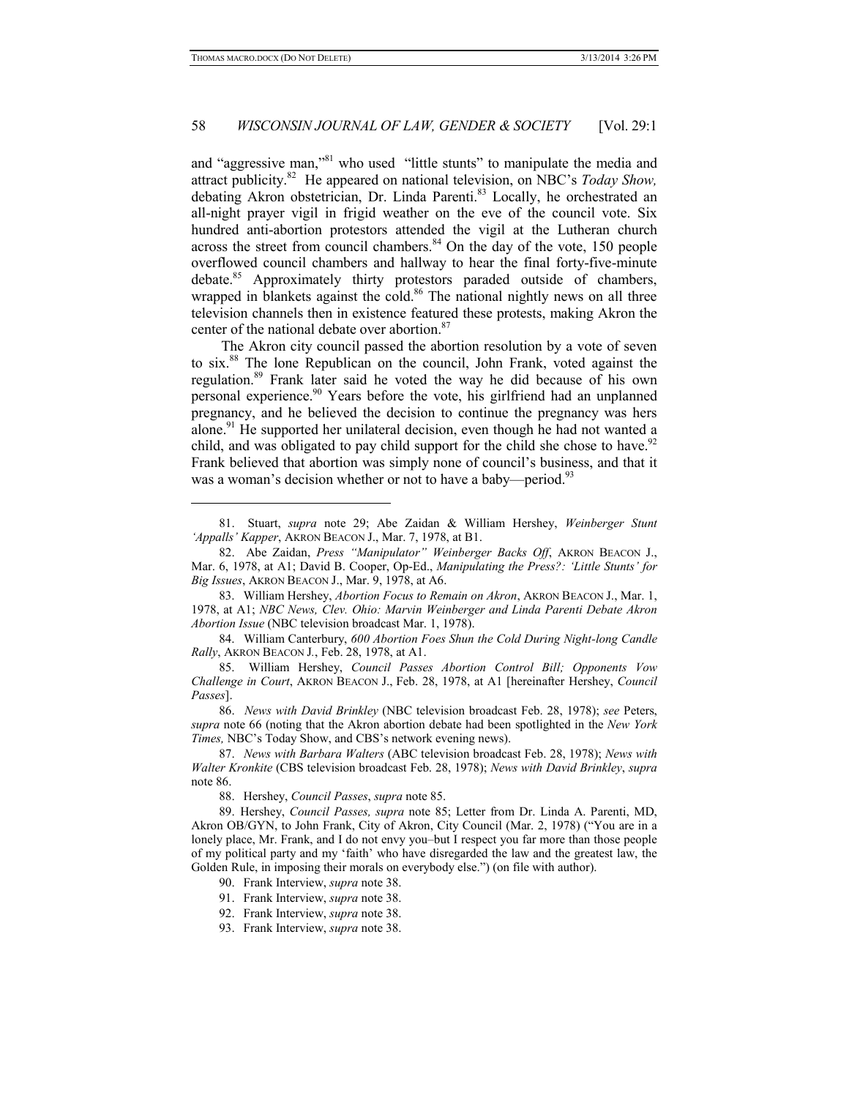## 58 *WISCONSIN JOURNAL OF LAW, GENDER & SOCIETY* [Vol. 29:1]

and "aggressive man,"81 who used "little stunts" to manipulate the media and attract publicity.82 He appeared on national television, on NBC's *Today Show,* debating Akron obstetrician, Dr. Linda Parenti.<sup>83</sup> Locally, he orchestrated an all-night prayer vigil in frigid weather on the eve of the council vote. Six hundred anti-abortion protestors attended the vigil at the Lutheran church across the street from council chambers. $84$  On the day of the vote, 150 people overflowed council chambers and hallway to hear the final forty-five-minute debate.<sup>85</sup> Approximately thirty protestors paraded outside of chambers, wrapped in blankets against the cold.<sup>86</sup> The national nightly news on all three television channels then in existence featured these protests, making Akron the center of the national debate over abortion.<sup>87</sup>

The Akron city council passed the abortion resolution by a vote of seven to six.88 The lone Republican on the council, John Frank, voted against the regulation.89 Frank later said he voted the way he did because of his own personal experience.<sup>90</sup> Years before the vote, his girlfriend had an unplanned pregnancy, and he believed the decision to continue the pregnancy was hers alone.<sup>91</sup> He supported her unilateral decision, even though he had not wanted a child, and was obligated to pay child support for the child she chose to have.<sup>92</sup> Frank believed that abortion was simply none of council's business, and that it was a woman's decision whether or not to have a baby—period.<sup>93</sup>

83. William Hershey, *Abortion Focus to Remain on Akron*, AKRON BEACON J., Mar. 1, 1978, at A1; *NBC News, Clev. Ohio: Marvin Weinberger and Linda Parenti Debate Akron Abortion Issue* (NBC television broadcast Mar. 1, 1978).

84. William Canterbury, *600 Abortion Foes Shun the Cold During Night-long Candle Rally*, AKRON BEACON J*.*, Feb. 28, 1978, at A1.

85. William Hershey, *Council Passes Abortion Control Bill; Opponents Vow Challenge in Court*, AKRON BEACON J., Feb. 28, 1978, at A1 [hereinafter Hershey, *Council Passes*].

86. *News with David Brinkley* (NBC television broadcast Feb. 28, 1978); *see* Peters, *supra* note 66 (noting that the Akron abortion debate had been spotlighted in the *New York Times,* NBC's Today Show, and CBS's network evening news).

87. *News with Barbara Walters* (ABC television broadcast Feb. 28, 1978); *News with Walter Kronkite* (CBS television broadcast Feb. 28, 1978); *News with David Brinkley*, *supra* note 86.

88. Hershey, *Council Passes*, *supra* note 85.

89. Hershey, *Council Passes, supra* note 85; Letter from Dr. Linda A. Parenti, MD, Akron OB/GYN, to John Frank, City of Akron, City Council (Mar. 2, 1978) ("You are in a lonely place, Mr. Frank, and I do not envy you–but I respect you far more than those people of my political party and my 'faith' who have disregarded the law and the greatest law, the Golden Rule, in imposing their morals on everybody else.") (on file with author).

- 90. Frank Interview, *supra* note 38.
- 91. Frank Interview, *supra* note 38.
- 92. Frank Interview, *supra* note 38.
- 93. Frank Interview, *supra* note 38.

<sup>81.</sup> Stuart, *supra* note 29; Abe Zaidan & William Hershey, *Weinberger Stunt 'Appalls' Kapper*, AKRON BEACON J., Mar. 7, 1978, at B1.

<sup>82.</sup> Abe Zaidan, *Press "Manipulator" Weinberger Backs Off*, AKRON BEACON J., Mar. 6, 1978, at A1; David B. Cooper, Op-Ed., *Manipulating the Press?: 'Little Stunts' for Big Issues*, AKRON BEACON J., Mar. 9, 1978, at A6.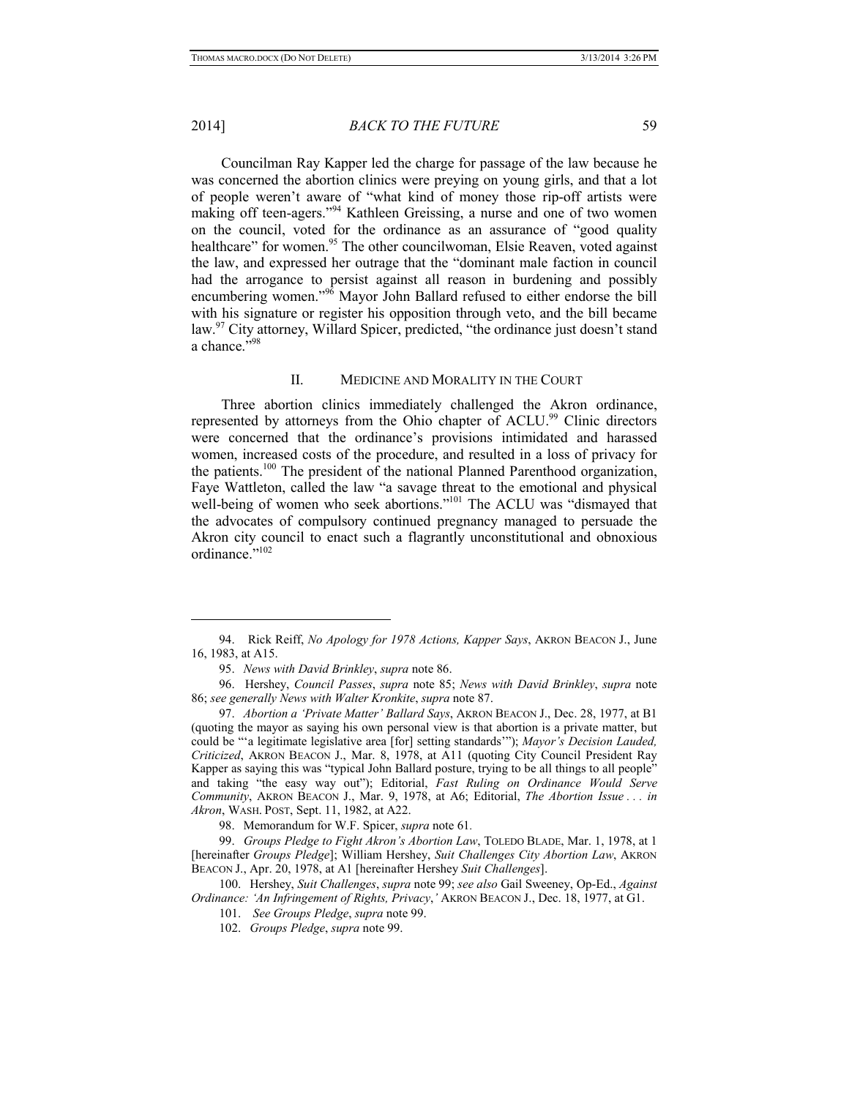#### 2014] *BACK TO THE FUTURE* 59

Councilman Ray Kapper led the charge for passage of the law because he was concerned the abortion clinics were preying on young girls, and that a lot of people weren't aware of "what kind of money those rip-off artists were making off teen-agers."94 Kathleen Greissing, a nurse and one of two women on the council, voted for the ordinance as an assurance of "good quality healthcare" for women.<sup>95</sup> The other councilwoman, Elsie Reaven, voted against the law, and expressed her outrage that the "dominant male faction in council had the arrogance to persist against all reason in burdening and possibly encumbering women."<sup>96</sup> Mayor John Ballard refused to either endorse the bill with his signature or register his opposition through veto, and the bill became law.<sup>97</sup> City attorney, Willard Spicer, predicted, "the ordinance just doesn't stand a chance."98

#### II. MEDICINE AND MORALITY IN THE COURT

Three abortion clinics immediately challenged the Akron ordinance, represented by attorneys from the Ohio chapter of ACLU.<sup>99</sup> Clinic directors were concerned that the ordinance's provisions intimidated and harassed women, increased costs of the procedure, and resulted in a loss of privacy for the patients.<sup>100</sup> The president of the national Planned Parenthood organization, Faye Wattleton, called the law "a savage threat to the emotional and physical well-being of women who seek abortions."<sup>101</sup> The ACLU was "dismayed that the advocates of compulsory continued pregnancy managed to persuade the Akron city council to enact such a flagrantly unconstitutional and obnoxious ordinance."<sup>102</sup>

<sup>94.</sup> Rick Reiff, *No Apology for 1978 Actions, Kapper Says*, AKRON BEACON J., June 16, 1983, at A15.

<sup>95.</sup> *News with David Brinkley*, *supra* note 86.

<sup>96.</sup> Hershey, *Council Passes*, *supra* note 85; *News with David Brinkley*, *supra* note 86; *see generally News with Walter Kronkite*, *supra* note 87.

<sup>97.</sup> *Abortion a 'Private Matter' Ballard Says*, AKRON BEACON J., Dec. 28, 1977, at B1 (quoting the mayor as saying his own personal view is that abortion is a private matter, but could be "'a legitimate legislative area [for] setting standards'"); *Mayor's Decision Lauded, Criticized*, AKRON BEACON J., Mar. 8, 1978, at A11 (quoting City Council President Ray Kapper as saying this was "typical John Ballard posture, trying to be all things to all people" and taking "the easy way out"); Editorial, *Fast Ruling on Ordinance Would Serve Community*, AKRON BEACON J., Mar. 9, 1978, at A6; Editorial, *The Abortion Issue . . . in Akron*, WASH. POST, Sept. 11, 1982, at A22.

<sup>98.</sup> Memorandum for W.F. Spicer, *supra* note 61*.* 

<sup>99.</sup> *Groups Pledge to Fight Akron's Abortion Law*, TOLEDO BLADE, Mar. 1, 1978, at 1 [hereinafter *Groups Pledge*]; William Hershey, *Suit Challenges City Abortion Law*, AKRON BEACON J., Apr. 20, 1978, at A1 [hereinafter Hershey *Suit Challenges*].

<sup>100.</sup> Hershey, *Suit Challenges*, *supra* note 99; *see also* Gail Sweeney, Op-Ed., *Against Ordinance: 'An Infringement of Rights, Privacy*,*'* AKRON BEACON J., Dec. 18, 1977, at G1.

<sup>101.</sup> *See Groups Pledge*, *supra* note 99.

<sup>102.</sup> *Groups Pledge*, *supra* note 99.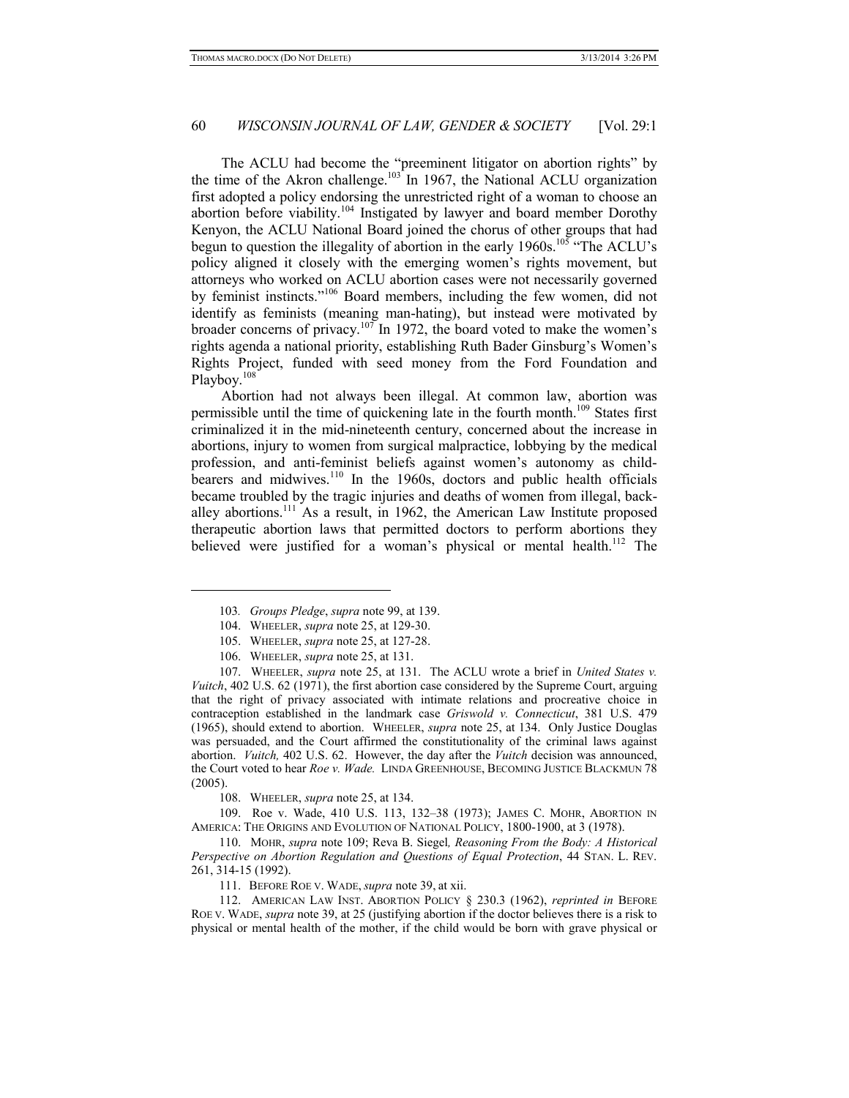The ACLU had become the "preeminent litigator on abortion rights" by the time of the Akron challenge.<sup>103</sup> In 1967, the National ACLU organization first adopted a policy endorsing the unrestricted right of a woman to choose an abortion before viability.<sup>104</sup> Instigated by lawyer and board member Dorothy Kenyon, the ACLU National Board joined the chorus of other groups that had begun to question the illegality of abortion in the early  $1960s$ .<sup>105</sup> "The ACLU's policy aligned it closely with the emerging women's rights movement, but attorneys who worked on ACLU abortion cases were not necessarily governed by feminist instincts."106 Board members, including the few women, did not identify as feminists (meaning man-hating), but instead were motivated by broader concerns of privacy.<sup>107</sup> In 1972, the board voted to make the women's rights agenda a national priority, establishing Ruth Bader Ginsburg's Women's Rights Project, funded with seed money from the Ford Foundation and Playboy.<sup>108</sup>

Abortion had not always been illegal. At common law, abortion was permissible until the time of quickening late in the fourth month.109 States first criminalized it in the mid-nineteenth century, concerned about the increase in abortions, injury to women from surgical malpractice, lobbying by the medical profession, and anti-feminist beliefs against women's autonomy as childbearers and midwives.<sup>110</sup> In the 1960s, doctors and public health officials became troubled by the tragic injuries and deaths of women from illegal, backalley abortions.111 As a result, in 1962, the American Law Institute proposed therapeutic abortion laws that permitted doctors to perform abortions they believed were justified for a woman's physical or mental health.<sup>112</sup> The

-

107. WHEELER, *supra* note 25, at 131. The ACLU wrote a brief in *United States v. Vuitch*, 402 U.S. 62 (1971), the first abortion case considered by the Supreme Court, arguing that the right of privacy associated with intimate relations and procreative choice in contraception established in the landmark case *Griswold v. Connecticut*, 381 U.S. 479 (1965), should extend to abortion. WHEELER, *supra* note 25, at 134. Only Justice Douglas was persuaded, and the Court affirmed the constitutionality of the criminal laws against abortion. *Vuitch,* 402 U.S. 62. However, the day after the *Vuitch* decision was announced, the Court voted to hear *Roe v. Wade.* LINDA GREENHOUSE, BECOMING JUSTICE BLACKMUN 78 (2005).

108. WHEELER, *supra* note 25, at 134.

109. Roe v. Wade, 410 U.S. 113, 132–38 (1973); JAMES C. MOHR, ABORTION IN AMERICA: THE ORIGINS AND EVOLUTION OF NATIONAL POLICY, 1800-1900, at 3 (1978).

110. MOHR, *supra* note 109; Reva B. Siegel*, Reasoning From the Body: A Historical Perspective on Abortion Regulation and Questions of Equal Protection*, 44 STAN. L. REV. 261, 314-15 (1992).

111. BEFORE ROE V. WADE, *supra* note 39, at xii.

112. AMERICAN LAW INST. ABORTION POLICY § 230.3 (1962), *reprinted in* BEFORE ROE V. WADE, *supra* note 39, at 25 (justifying abortion if the doctor believes there is a risk to physical or mental health of the mother, if the child would be born with grave physical or

<sup>103</sup>*. Groups Pledge*, *supra* note 99, at 139.

<sup>104.</sup> WHEELER, *supra* note 25, at 129-30.

<sup>105.</sup> WHEELER, *supra* note 25, at 127-28.

<sup>106.</sup> WHEELER, *supra* note 25, at 131.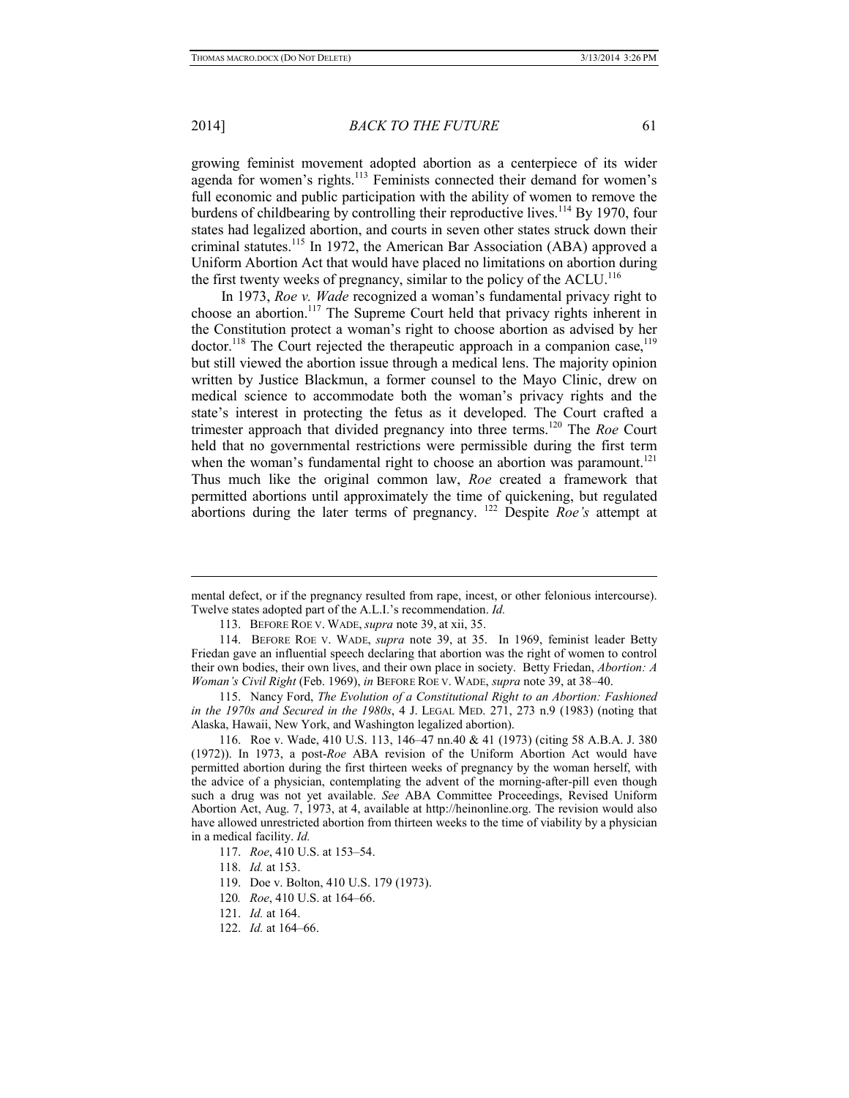#### 2014] *BACK TO THE FUTURE* 61

growing feminist movement adopted abortion as a centerpiece of its wider agenda for women's rights.<sup>113</sup> Feminists connected their demand for women's full economic and public participation with the ability of women to remove the burdens of childbearing by controlling their reproductive lives.<sup>114</sup> By 1970, four states had legalized abortion, and courts in seven other states struck down their criminal statutes.115 In 1972, the American Bar Association (ABA) approved a Uniform Abortion Act that would have placed no limitations on abortion during the first twenty weeks of pregnancy, similar to the policy of the ACLU.<sup>116</sup>

In 1973, *Roe v. Wade* recognized a woman's fundamental privacy right to choose an abortion.<sup>117</sup> The Supreme Court held that privacy rights inherent in the Constitution protect a woman's right to choose abortion as advised by her  $\mu$  doctor.<sup>118</sup> The Court rejected the therapeutic approach in a companion case,<sup>119</sup> but still viewed the abortion issue through a medical lens. The majority opinion written by Justice Blackmun, a former counsel to the Mayo Clinic, drew on medical science to accommodate both the woman's privacy rights and the state's interest in protecting the fetus as it developed. The Court crafted a trimester approach that divided pregnancy into three terms.120 The *Roe* Court held that no governmental restrictions were permissible during the first term when the woman's fundamental right to choose an abortion was paramount.<sup>121</sup> Thus much like the original common law, *Roe* created a framework that permitted abortions until approximately the time of quickening, but regulated abortions during the later terms of pregnancy. 122 Despite *Roe's* attempt at

mental defect, or if the pregnancy resulted from rape, incest, or other felonious intercourse). Twelve states adopted part of the A.L.I.'s recommendation. *Id.* 

<sup>113.</sup> BEFORE ROE V. WADE, *supra* note 39, at xii, 35.

<sup>114.</sup> BEFORE ROE V. WADE, *supra* note 39, at 35. In 1969, feminist leader Betty Friedan gave an influential speech declaring that abortion was the right of women to control their own bodies, their own lives, and their own place in society. Betty Friedan, *Abortion: A Woman's Civil Right* (Feb. 1969), *in* BEFORE ROE V. WADE, *supra* note 39, at 38–40.

<sup>115.</sup> Nancy Ford, *The Evolution of a Constitutional Right to an Abortion: Fashioned in the 1970s and Secured in the 1980s*, 4 J. LEGAL MED. 271, 273 n.9 (1983) (noting that Alaska, Hawaii, New York, and Washington legalized abortion).

<sup>116.</sup> Roe v. Wade, 410 U.S. 113, 146–47 nn.40 & 41 (1973) (citing 58 A.B.A. J. 380 (1972)). In 1973, a post-*Roe* ABA revision of the Uniform Abortion Act would have permitted abortion during the first thirteen weeks of pregnancy by the woman herself, with the advice of a physician, contemplating the advent of the morning-after-pill even though such a drug was not yet available. *See* ABA Committee Proceedings, Revised Uniform Abortion Act, Aug. 7, 1973, at 4, available at http://heinonline.org. The revision would also have allowed unrestricted abortion from thirteen weeks to the time of viability by a physician in a medical facility. *Id.* 

<sup>117.</sup> *Roe*, 410 U.S. at 153–54.

<sup>118.</sup> *Id.* at 153.

<sup>119.</sup> Doe v. Bolton, 410 U.S. 179 (1973).

<sup>120</sup>*. Roe*, 410 U.S. at 164–66.

<sup>121.</sup> *Id.* at 164.

<sup>122.</sup> *Id.* at 164–66.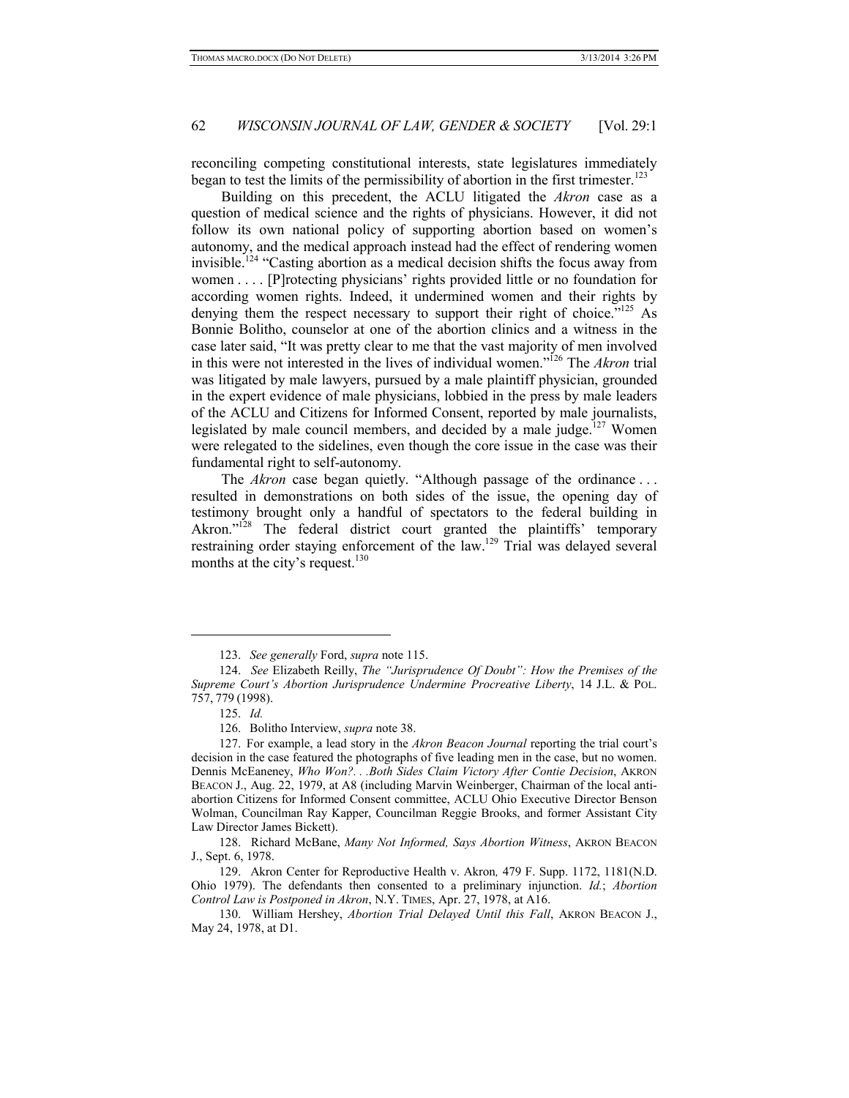reconciling competing constitutional interests, state legislatures immediately began to test the limits of the permissibility of abortion in the first trimester.<sup>123</sup>

Building on this precedent, the ACLU litigated the *Akron* case as a question of medical science and the rights of physicians. However, it did not follow its own national policy of supporting abortion based on women's autonomy, and the medical approach instead had the effect of rendering women invisible.124 "Casting abortion as a medical decision shifts the focus away from women . . . . [P]rotecting physicians' rights provided little or no foundation for according women rights. Indeed, it undermined women and their rights by denying them the respect necessary to support their right of choice."<sup>125</sup> As Bonnie Bolitho, counselor at one of the abortion clinics and a witness in the case later said, "It was pretty clear to me that the vast majority of men involved in this were not interested in the lives of individual women."126 The *Akron* trial was litigated by male lawyers, pursued by a male plaintiff physician, grounded in the expert evidence of male physicians, lobbied in the press by male leaders of the ACLU and Citizens for Informed Consent, reported by male journalists, legislated by male council members, and decided by a male judge. $127$  Women were relegated to the sidelines, even though the core issue in the case was their fundamental right to self-autonomy.

The *Akron* case began quietly. "Although passage of the ordinance . . . resulted in demonstrations on both sides of the issue, the opening day of testimony brought only a handful of spectators to the federal building in Akron."<sup>128</sup> The federal district court granted the plaintiffs' temporary restraining order staying enforcement of the law.129 Trial was delayed several months at the city's request.<sup>130</sup>

-

<sup>123.</sup> *See generally* Ford, *supra* note 115.

<sup>124.</sup> *See* Elizabeth Reilly, *The "Jurisprudence Of Doubt": How the Premises of the Supreme Court's Abortion Jurisprudence Undermine Procreative Liberty*, 14 J.L. & POL. 757, 779 (1998).

<sup>125.</sup> *Id.* 

<sup>126.</sup> Bolitho Interview, *supra* note 38.

<sup>127.</sup> For example, a lead story in the *Akron Beacon Journal* reporting the trial court's decision in the case featured the photographs of five leading men in the case, but no women. Dennis McEaneney, *Who Won?. . .Both Sides Claim Victory After Contie Decision*, AKRON BEACON J., Aug. 22, 1979, at A8 (including Marvin Weinberger, Chairman of the local antiabortion Citizens for Informed Consent committee, ACLU Ohio Executive Director Benson Wolman, Councilman Ray Kapper, Councilman Reggie Brooks, and former Assistant City Law Director James Bickett).

<sup>128.</sup> Richard McBane, *Many Not Informed, Says Abortion Witness*, AKRON BEACON J., Sept. 6, 1978.

<sup>129.</sup> Akron Center for Reproductive Health v. Akron*,* 479 F. Supp. 1172, 1181(N.D. Ohio 1979). The defendants then consented to a preliminary injunction. *Id.*; *Abortion Control Law is Postponed in Akron*, N.Y. TIMES, Apr. 27, 1978, at A16.

<sup>130.</sup> William Hershey, *Abortion Trial Delayed Until this Fall*, AKRON BEACON J., May 24, 1978, at D1.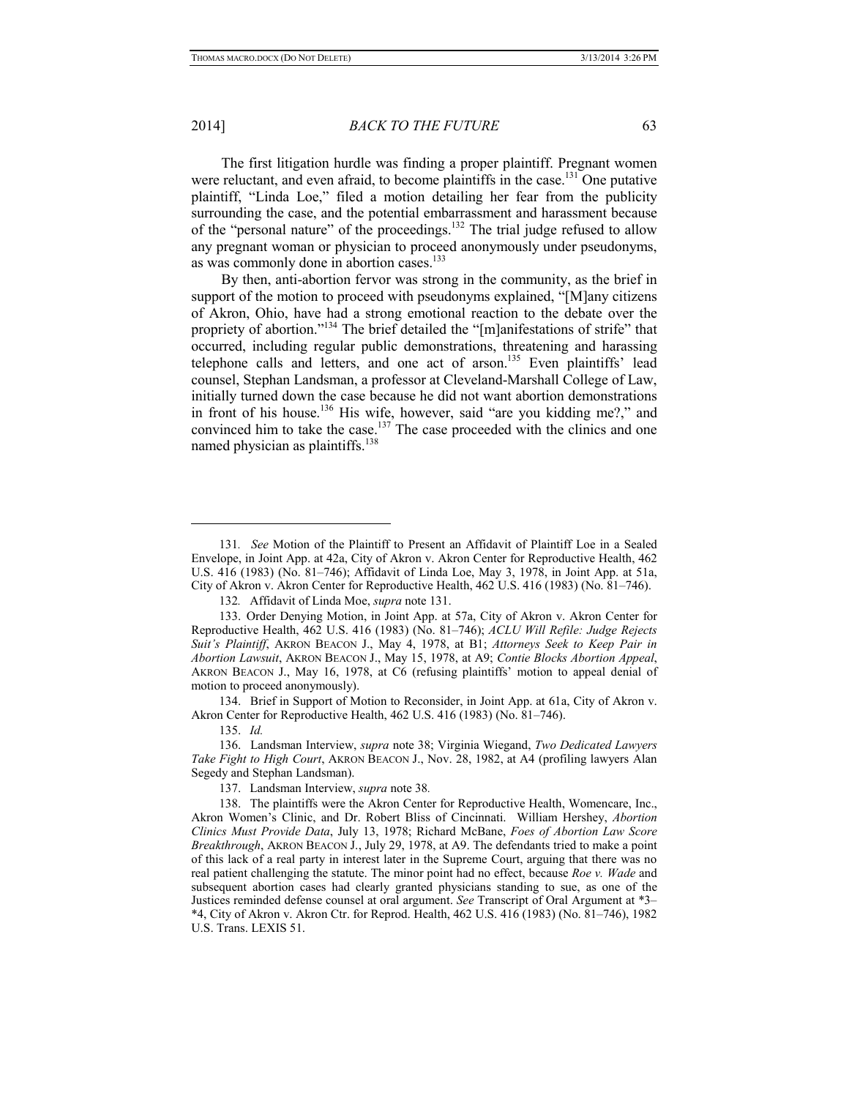2014] *BACK TO THE FUTURE* 63

The first litigation hurdle was finding a proper plaintiff. Pregnant women were reluctant, and even afraid, to become plaintiffs in the case.<sup>131</sup> One putative plaintiff, "Linda Loe," filed a motion detailing her fear from the publicity surrounding the case, and the potential embarrassment and harassment because of the "personal nature" of the proceedings.132 The trial judge refused to allow any pregnant woman or physician to proceed anonymously under pseudonyms, as was commonly done in abortion cases.<sup>133</sup>

By then, anti-abortion fervor was strong in the community, as the brief in support of the motion to proceed with pseudonyms explained, "[M]any citizens of Akron, Ohio, have had a strong emotional reaction to the debate over the propriety of abortion."<sup>134</sup> The brief detailed the "[m]anifestations of strife" that occurred, including regular public demonstrations, threatening and harassing telephone calls and letters, and one act of arson.<sup>135</sup> Even plaintiffs' lead counsel, Stephan Landsman, a professor at Cleveland-Marshall College of Law, initially turned down the case because he did not want abortion demonstrations in front of his house.<sup>136</sup> His wife, however, said "are you kidding me?," and convinced him to take the case.<sup>137</sup> The case proceeded with the clinics and one named physician as plaintiffs.<sup>138</sup>

134. Brief in Support of Motion to Reconsider, in Joint App. at 61a, City of Akron v. Akron Center for Reproductive Health, 462 U.S. 416 (1983) (No. 81–746).

135. *Id.*

-

137. Landsman Interview, *supra* note 38*.* 

<sup>131</sup>*. See* Motion of the Plaintiff to Present an Affidavit of Plaintiff Loe in a Sealed Envelope, in Joint App. at 42a, City of Akron v. Akron Center for Reproductive Health, 462 U.S. 416 (1983) (No. 81–746); Affidavit of Linda Loe, May 3, 1978, in Joint App. at 51a, City of Akron v. Akron Center for Reproductive Health, 462 U.S. 416 (1983) (No. 81–746).

<sup>132</sup>*.* Affidavit of Linda Moe, *supra* note 131.

<sup>133.</sup> Order Denying Motion, in Joint App. at 57a, City of Akron v. Akron Center for Reproductive Health, 462 U.S. 416 (1983) (No. 81–746); *ACLU Will Refile: Judge Rejects Suit's Plaintiff*, AKRON BEACON J., May 4, 1978, at B1; *Attorneys Seek to Keep Pair in Abortion Lawsuit*, AKRON BEACON J., May 15, 1978, at A9; *Contie Blocks Abortion Appeal*, AKRON BEACON J., May 16, 1978, at C6 (refusing plaintiffs' motion to appeal denial of motion to proceed anonymously).

<sup>136.</sup> Landsman Interview, *supra* note 38; Virginia Wiegand, *Two Dedicated Lawyers Take Fight to High Court*, AKRON BEACON J., Nov. 28, 1982, at A4 (profiling lawyers Alan Segedy and Stephan Landsman).

<sup>138.</sup> The plaintiffs were the Akron Center for Reproductive Health, Womencare, Inc., Akron Women's Clinic, and Dr. Robert Bliss of Cincinnati. William Hershey, *Abortion Clinics Must Provide Data*, July 13, 1978; Richard McBane, *Foes of Abortion Law Score Breakthrough*, AKRON BEACON J., July 29, 1978, at A9. The defendants tried to make a point of this lack of a real party in interest later in the Supreme Court, arguing that there was no real patient challenging the statute. The minor point had no effect, because *Roe v. Wade* and subsequent abortion cases had clearly granted physicians standing to sue, as one of the Justices reminded defense counsel at oral argument. *See* Transcript of Oral Argument at \*3– \*4, City of Akron v. Akron Ctr. for Reprod. Health, 462 U.S. 416 (1983) (No. 81–746), 1982 U.S. Trans. LEXIS 51.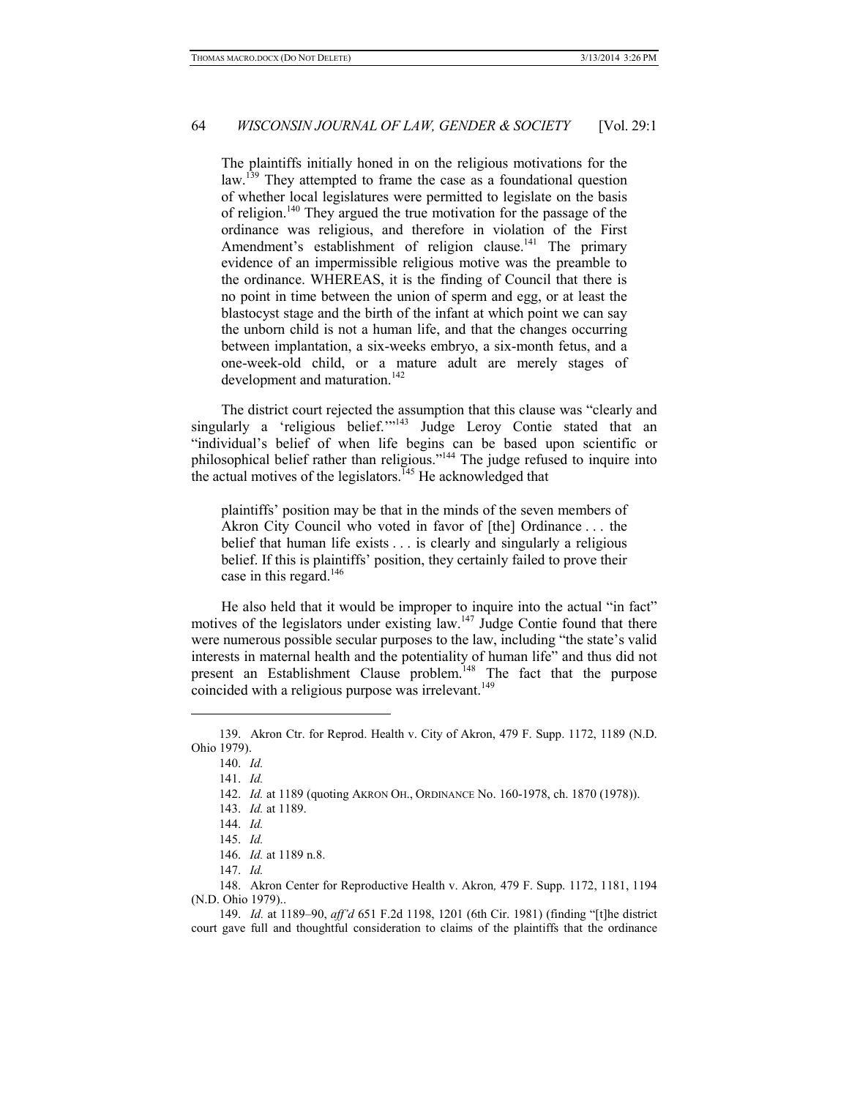The plaintiffs initially honed in on the religious motivations for the law.<sup>139</sup> They attempted to frame the case as a foundational question of whether local legislatures were permitted to legislate on the basis of religion.<sup>140</sup> They argued the true motivation for the passage of the ordinance was religious, and therefore in violation of the First Amendment's establishment of religion clause.<sup>141</sup> The primary evidence of an impermissible religious motive was the preamble to the ordinance. WHEREAS, it is the finding of Council that there is no point in time between the union of sperm and egg, or at least the blastocyst stage and the birth of the infant at which point we can say the unborn child is not a human life, and that the changes occurring between implantation, a six-weeks embryo, a six-month fetus, and a one-week-old child, or a mature adult are merely stages of development and maturation.<sup>142</sup>

The district court rejected the assumption that this clause was "clearly and singularly a 'religious belief.'"<sup>143</sup> Judge Leroy Contie stated that an "individual's belief of when life begins can be based upon scientific or philosophical belief rather than religious."144 The judge refused to inquire into the actual motives of the legislators.<sup> $145$ </sup> He acknowledged that

plaintiffs' position may be that in the minds of the seven members of Akron City Council who voted in favor of [the] Ordinance . . . the belief that human life exists . . . is clearly and singularly a religious belief. If this is plaintiffs' position, they certainly failed to prove their case in this regard.<sup>146</sup>

He also held that it would be improper to inquire into the actual "in fact" motives of the legislators under existing law.<sup>147</sup> Judge Contie found that there were numerous possible secular purposes to the law, including "the state's valid interests in maternal health and the potentiality of human life" and thus did not present an Establishment Clause problem.<sup>148</sup> The fact that the purpose coincided with a religious purpose was irrelevant.<sup>149</sup>

-

<sup>139.</sup> Akron Ctr. for Reprod. Health v. City of Akron, 479 F. Supp. 1172, 1189 (N.D. Ohio 1979).

<sup>140.</sup> *Id.* 

<sup>141.</sup> *Id.* 

<sup>142.</sup> *Id.* at 1189 (quoting AKRON OH., ORDINANCE No. 160-1978, ch. 1870 (1978)).

<sup>143.</sup> *Id.* at 1189.

<sup>144.</sup> *Id.*

<sup>145.</sup> *Id.*

<sup>146.</sup> *Id.* at 1189 n.8.

<sup>147.</sup> *Id.*

<sup>148.</sup> Akron Center for Reproductive Health v. Akron*,* 479 F. Supp. 1172, 1181, 1194 (N.D. Ohio 1979)..

<sup>149.</sup> *Id.* at 1189–90, *aff'd* 651 F.2d 1198, 1201 (6th Cir. 1981) (finding "[t]he district court gave full and thoughtful consideration to claims of the plaintiffs that the ordinance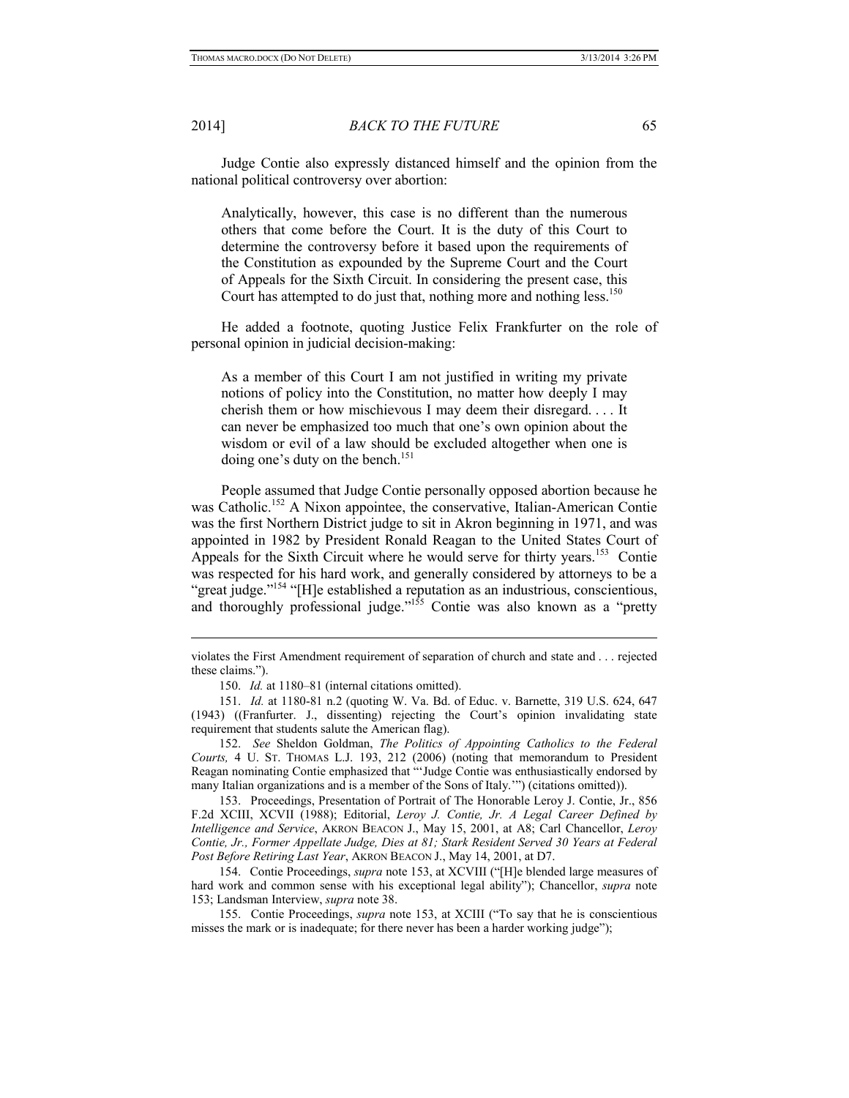1

2014] *BACK TO THE FUTURE* 65

Judge Contie also expressly distanced himself and the opinion from the national political controversy over abortion:

Analytically, however, this case is no different than the numerous others that come before the Court. It is the duty of this Court to determine the controversy before it based upon the requirements of the Constitution as expounded by the Supreme Court and the Court of Appeals for the Sixth Circuit. In considering the present case, this Court has attempted to do just that, nothing more and nothing less.<sup>150</sup>

He added a footnote, quoting Justice Felix Frankfurter on the role of personal opinion in judicial decision-making:

As a member of this Court I am not justified in writing my private notions of policy into the Constitution, no matter how deeply I may cherish them or how mischievous I may deem their disregard. . . . It can never be emphasized too much that one's own opinion about the wisdom or evil of a law should be excluded altogether when one is doing one's duty on the bench.<sup>151</sup>

People assumed that Judge Contie personally opposed abortion because he was Catholic.<sup>152</sup> A Nixon appointee, the conservative, Italian-American Contie was the first Northern District judge to sit in Akron beginning in 1971, and was appointed in 1982 by President Ronald Reagan to the United States Court of Appeals for the Sixth Circuit where he would serve for thirty years.<sup>153</sup> Contie was respected for his hard work, and generally considered by attorneys to be a "great judge."<sup>154</sup> "[H]e established a reputation as an industrious, conscientious, and thoroughly professional judge."<sup>155</sup> Contie was also known as a "pretty

153. Proceedings, Presentation of Portrait of The Honorable Leroy J. Contie, Jr., 856 F.2d XCIII, XCVII (1988); Editorial, *Leroy J. Contie, Jr. A Legal Career Defined by Intelligence and Service*, AKRON BEACON J., May 15, 2001, at A8; Carl Chancellor, *Leroy Contie, Jr., Former Appellate Judge, Dies at 81; Stark Resident Served 30 Years at Federal Post Before Retiring Last Year*, AKRON BEACON J., May 14, 2001, at D7.

154. Contie Proceedings, *supra* note 153, at XCVIII ("[H]e blended large measures of hard work and common sense with his exceptional legal ability"); Chancellor, *supra* note 153; Landsman Interview, *supra* note 38.

155. Contie Proceedings, *supra* note 153, at XCIII ("To say that he is conscientious misses the mark or is inadequate; for there never has been a harder working judge");

violates the First Amendment requirement of separation of church and state and . . . rejected these claims.").

<sup>150.</sup> *Id.* at 1180–81 (internal citations omitted).

<sup>151.</sup> *Id.* at 1180-81 n.2 (quoting W. Va. Bd. of Educ. v. Barnette, 319 U.S. 624, 647 (1943) ((Franfurter. J., dissenting) rejecting the Court's opinion invalidating state requirement that students salute the American flag).

<sup>152.</sup> *See* Sheldon Goldman, *The Politics of Appointing Catholics to the Federal Courts,* 4 U. ST. THOMAS L.J. 193, 212 (2006) (noting that memorandum to President Reagan nominating Contie emphasized that "'Judge Contie was enthusiastically endorsed by many Italian organizations and is a member of the Sons of Italy.'") (citations omitted)).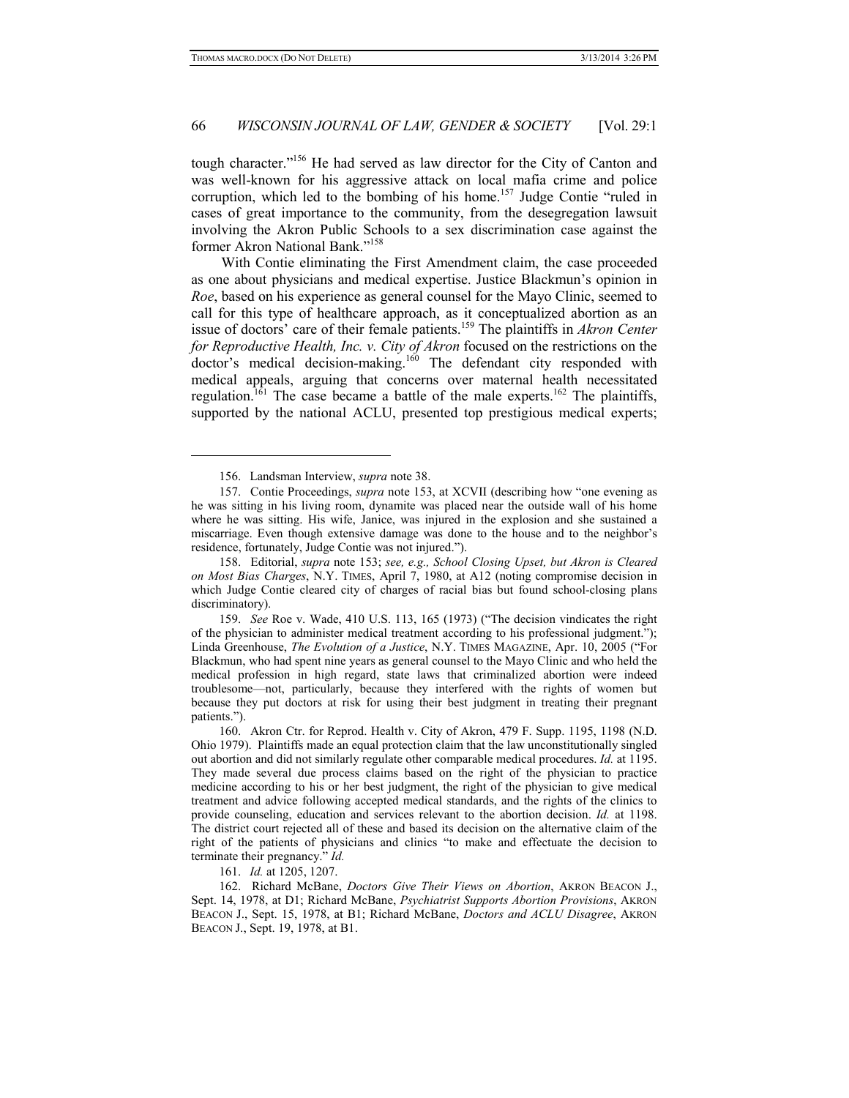tough character."156 He had served as law director for the City of Canton and was well-known for his aggressive attack on local mafia crime and police corruption, which led to the bombing of his home.<sup>157</sup> Judge Contie "ruled in cases of great importance to the community, from the desegregation lawsuit involving the Akron Public Schools to a sex discrimination case against the former Akron National Bank."158

With Contie eliminating the First Amendment claim, the case proceeded as one about physicians and medical expertise. Justice Blackmun's opinion in *Roe*, based on his experience as general counsel for the Mayo Clinic, seemed to call for this type of healthcare approach, as it conceptualized abortion as an issue of doctors' care of their female patients.159 The plaintiffs in *Akron Center*  for Reproductive Health, Inc. v. City of Akron focused on the restrictions on the doctor's medical decision-making.160 The defendant city responded with medical appeals, arguing that concerns over maternal health necessitated regulation.<sup>161</sup> The case became a battle of the male experts.<sup>162</sup> The plaintiffs, supported by the national ACLU, presented top prestigious medical experts;

-

158. Editorial, *supra* note 153; *see, e.g., School Closing Upset, but Akron is Cleared on Most Bias Charges*, N.Y. TIMES, April 7, 1980, at A12 (noting compromise decision in which Judge Contie cleared city of charges of racial bias but found school-closing plans discriminatory).

159. *See* Roe v. Wade, 410 U.S. 113, 165 (1973) ("The decision vindicates the right of the physician to administer medical treatment according to his professional judgment."); Linda Greenhouse, *The Evolution of a Justice*, N.Y. TIMES MAGAZINE, Apr. 10, 2005 ("For Blackmun, who had spent nine years as general counsel to the Mayo Clinic and who held the medical profession in high regard, state laws that criminalized abortion were indeed troublesome—not, particularly, because they interfered with the rights of women but because they put doctors at risk for using their best judgment in treating their pregnant patients.").

160. Akron Ctr. for Reprod. Health v. City of Akron, 479 F. Supp. 1195, 1198 (N.D. Ohio 1979). Plaintiffs made an equal protection claim that the law unconstitutionally singled out abortion and did not similarly regulate other comparable medical procedures. *Id.* at 1195. They made several due process claims based on the right of the physician to practice medicine according to his or her best judgment, the right of the physician to give medical treatment and advice following accepted medical standards, and the rights of the clinics to provide counseling, education and services relevant to the abortion decision. *Id.* at 1198. The district court rejected all of these and based its decision on the alternative claim of the right of the patients of physicians and clinics "to make and effectuate the decision to terminate their pregnancy." *Id.*

161. *Id.* at 1205, 1207.

162. Richard McBane, *Doctors Give Their Views on Abortion*, AKRON BEACON J., Sept. 14, 1978, at D1; Richard McBane, *Psychiatrist Supports Abortion Provisions*, AKRON BEACON J., Sept. 15, 1978, at B1; Richard McBane, *Doctors and ACLU Disagree*, AKRON BEACON J., Sept. 19, 1978, at B1.

<sup>156.</sup> Landsman Interview, *supra* note 38.

<sup>157.</sup> Contie Proceedings, *supra* note 153, at XCVII (describing how "one evening as he was sitting in his living room, dynamite was placed near the outside wall of his home where he was sitting. His wife, Janice, was injured in the explosion and she sustained a miscarriage. Even though extensive damage was done to the house and to the neighbor's residence, fortunately, Judge Contie was not injured.").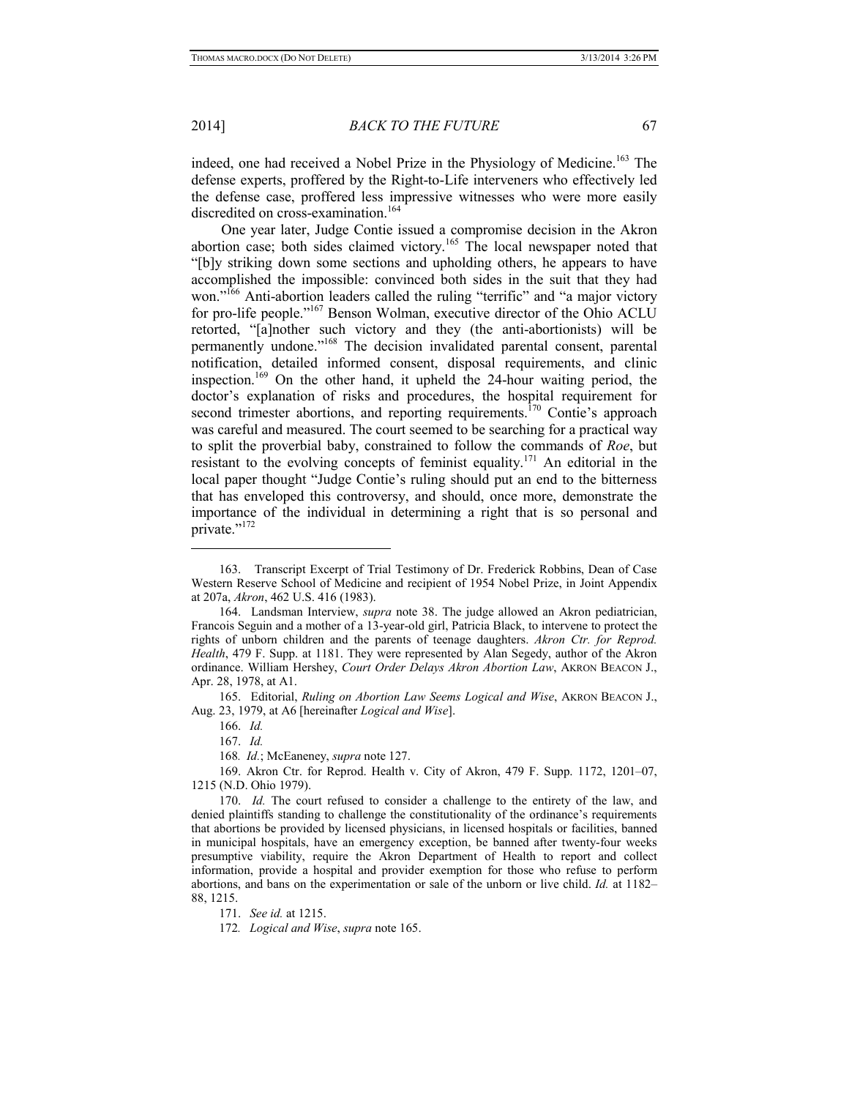2014] *BACK TO THE FUTURE* 67

indeed, one had received a Nobel Prize in the Physiology of Medicine.<sup>163</sup> The defense experts, proffered by the Right-to-Life interveners who effectively led the defense case, proffered less impressive witnesses who were more easily discredited on cross-examination.<sup>164</sup>

One year later, Judge Contie issued a compromise decision in the Akron abortion case; both sides claimed victory.165 The local newspaper noted that "[b]y striking down some sections and upholding others, he appears to have accomplished the impossible: convinced both sides in the suit that they had won."<sup>166</sup> Anti-abortion leaders called the ruling "terrific" and "a major victory for pro-life people."167 Benson Wolman, executive director of the Ohio ACLU retorted, "[a]nother such victory and they (the anti-abortionists) will be permanently undone."168 The decision invalidated parental consent, parental notification, detailed informed consent, disposal requirements, and clinic inspection.<sup>169</sup> On the other hand, it upheld the 24-hour waiting period, the doctor's explanation of risks and procedures, the hospital requirement for second trimester abortions, and reporting requirements.<sup>170</sup> Contie's approach was careful and measured. The court seemed to be searching for a practical way to split the proverbial baby, constrained to follow the commands of *Roe*, but resistant to the evolving concepts of feminist equality.<sup>171</sup> An editorial in the local paper thought "Judge Contie's ruling should put an end to the bitterness that has enveloped this controversy, and should, once more, demonstrate the importance of the individual in determining a right that is so personal and private."<sup>172</sup>

165. Editorial, *Ruling on Abortion Law Seems Logical and Wise*, AKRON BEACON J., Aug. 23, 1979, at A6 [hereinafter *Logical and Wise*].

166. *Id.* 

-

167. *Id.* 

168*. Id.*; McEaneney, *supra* note 127.

169. Akron Ctr. for Reprod. Health v. City of Akron, 479 F. Supp. 1172, 1201–07, 1215 (N.D. Ohio 1979).

170. *Id.* The court refused to consider a challenge to the entirety of the law, and denied plaintiffs standing to challenge the constitutionality of the ordinance's requirements that abortions be provided by licensed physicians, in licensed hospitals or facilities, banned in municipal hospitals, have an emergency exception, be banned after twenty-four weeks presumptive viability, require the Akron Department of Health to report and collect information, provide a hospital and provider exemption for those who refuse to perform abortions, and bans on the experimentation or sale of the unborn or live child. *Id.* at 1182– 88, 1215.

171. *See id.* at 1215.

172*. Logical and Wise*, *supra* note 165.

<sup>163.</sup> Transcript Excerpt of Trial Testimony of Dr. Frederick Robbins, Dean of Case Western Reserve School of Medicine and recipient of 1954 Nobel Prize, in Joint Appendix at 207a, *Akron*, 462 U.S. 416 (1983).

<sup>164.</sup> Landsman Interview, *supra* note 38. The judge allowed an Akron pediatrician, Francois Seguin and a mother of a 13-year-old girl, Patricia Black, to intervene to protect the rights of unborn children and the parents of teenage daughters. *Akron Ctr. for Reprod. Health*, 479 F. Supp. at 1181. They were represented by Alan Segedy, author of the Akron ordinance. William Hershey, *Court Order Delays Akron Abortion Law*, AKRON BEACON J., Apr. 28, 1978, at A1.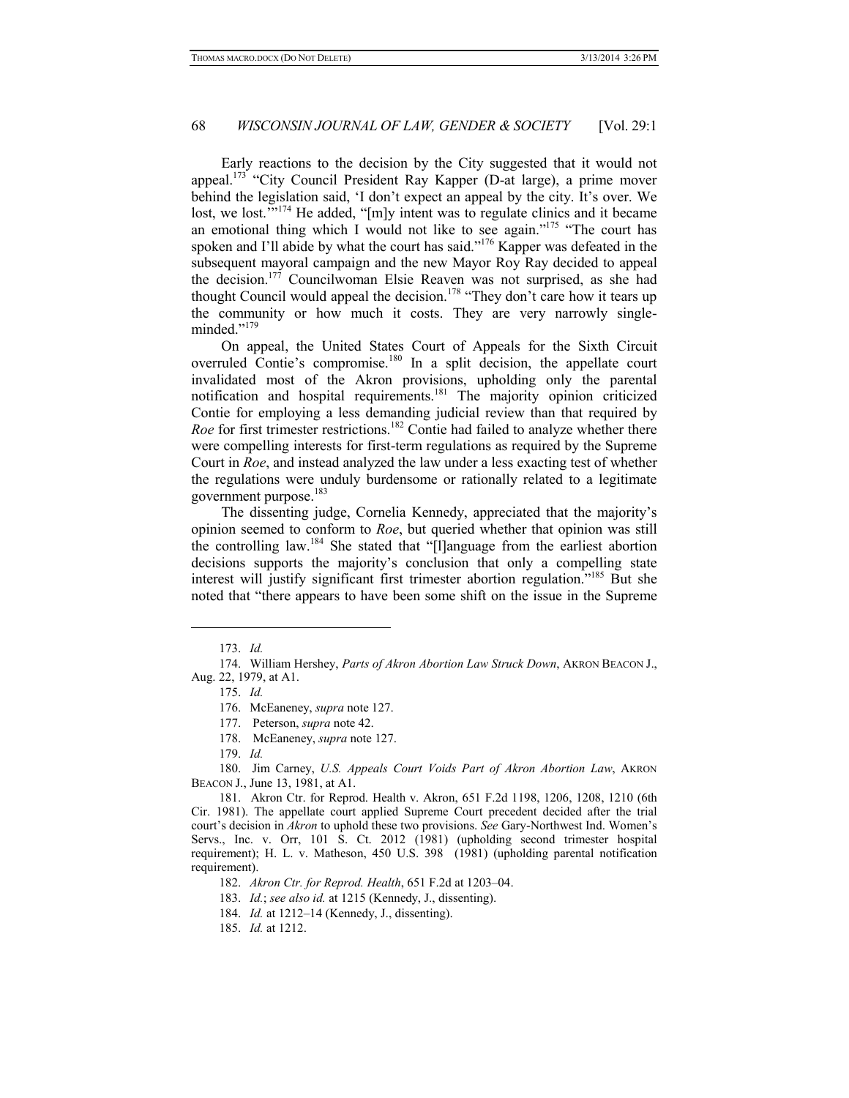Early reactions to the decision by the City suggested that it would not appeal.<sup>173</sup> "City Council President Ray Kapper (D-at large), a prime mover behind the legislation said, 'I don't expect an appeal by the city. It's over. We lost, we lost."<sup>174</sup> He added, "[m]y intent was to regulate clinics and it became an emotional thing which I would not like to see again."175 "The court has spoken and I'll abide by what the court has said."<sup>176</sup> Kapper was defeated in the subsequent mayoral campaign and the new Mayor Roy Ray decided to appeal the decision.<sup>177</sup> Councilwoman Elsie Reaven was not surprised, as she had thought Council would appeal the decision.<sup>178</sup> "They don't care how it tears up the community or how much it costs. They are very narrowly singleminded."<sup>179</sup>

On appeal, the United States Court of Appeals for the Sixth Circuit overruled Contie's compromise.180 In a split decision, the appellate court invalidated most of the Akron provisions, upholding only the parental notification and hospital requirements.181 The majority opinion criticized Contie for employing a less demanding judicial review than that required by *Roe* for first trimester restrictions.<sup>182</sup> Contie had failed to analyze whether there were compelling interests for first-term regulations as required by the Supreme Court in *Roe*, and instead analyzed the law under a less exacting test of whether the regulations were unduly burdensome or rationally related to a legitimate government purpose.<sup>183</sup>

The dissenting judge, Cornelia Kennedy, appreciated that the majority's opinion seemed to conform to *Roe*, but queried whether that opinion was still the controlling law.184 She stated that "[l]anguage from the earliest abortion decisions supports the majority's conclusion that only a compelling state interest will justify significant first trimester abortion regulation."185 But she noted that "there appears to have been some shift on the issue in the Supreme

-

180. Jim Carney, *U.S. Appeals Court Voids Part of Akron Abortion Law*, AKRON BEACON J., June 13, 1981, at A1.

181. Akron Ctr. for Reprod. Health v. Akron, 651 F.2d 1198, 1206, 1208, 1210 (6th Cir. 1981). The appellate court applied Supreme Court precedent decided after the trial court's decision in *Akron* to uphold these two provisions. *See* Gary-Northwest Ind. Women's Servs., Inc. v. Orr, 101 S. Ct. 2012 (1981) (upholding second trimester hospital requirement); H. L. v. Matheson, 450 U.S. 398 (1981) (upholding parental notification requirement).

182. *Akron Ctr. for Reprod. Health*, 651 F.2d at 1203–04.

<sup>173.</sup> *Id.*

<sup>174.</sup> William Hershey, *Parts of Akron Abortion Law Struck Down*, AKRON BEACON J., Aug. 22, 1979, at A1.

<sup>175.</sup> *Id.*

<sup>176.</sup> McEaneney, *supra* note 127.

<sup>177.</sup> Peterson, *supra* note 42.

<sup>178.</sup> McEaneney, *supra* note 127.

<sup>179.</sup> *Id.*

<sup>183.</sup> *Id.*; *see also id.* at 1215 (Kennedy, J., dissenting).

<sup>184.</sup> *Id.* at 1212–14 (Kennedy, J., dissenting).

<sup>185.</sup> *Id.* at 1212.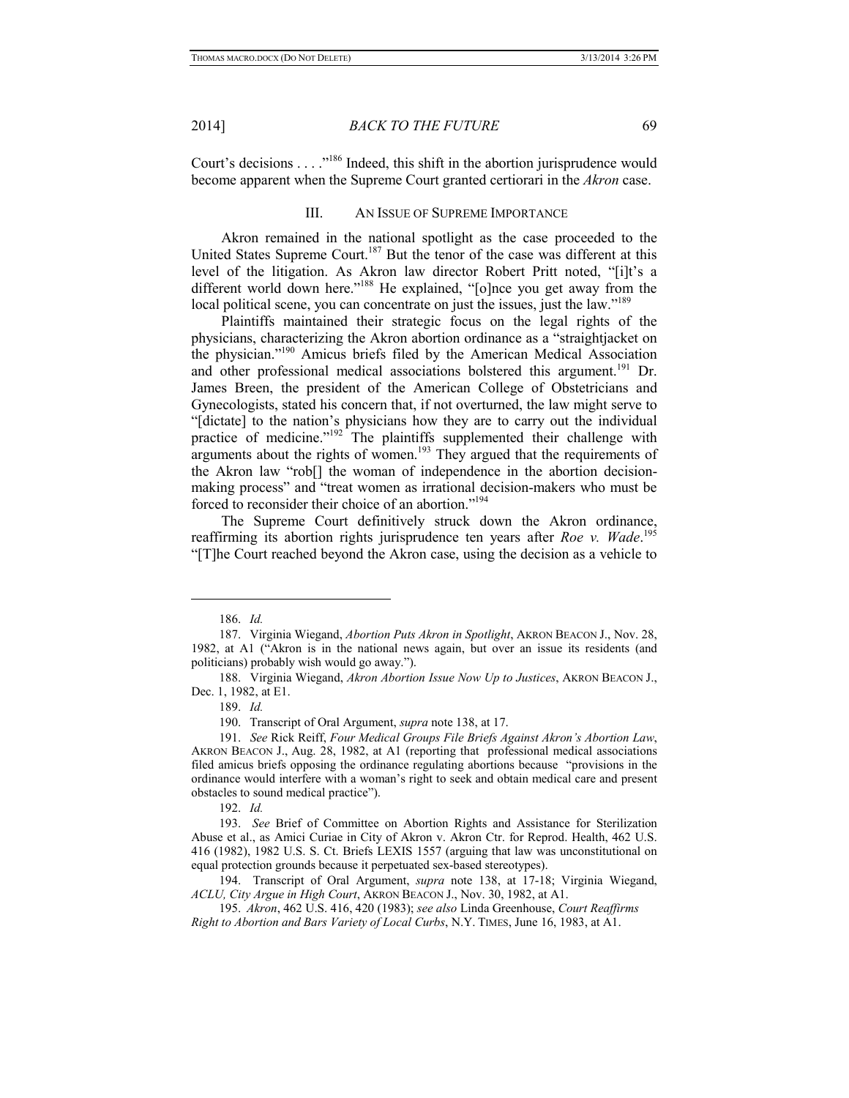2014] *BACK TO THE FUTURE* 69

Court's decisions . . . ."186 Indeed, this shift in the abortion jurisprudence would become apparent when the Supreme Court granted certiorari in the *Akron* case.

#### III. AN ISSUE OF SUPREME IMPORTANCE

Akron remained in the national spotlight as the case proceeded to the United States Supreme Court.<sup>187</sup> But the tenor of the case was different at this level of the litigation. As Akron law director Robert Pritt noted, "[i]t's a different world down here."<sup>188</sup> He explained, "[o]nce you get away from the local political scene, you can concentrate on just the issues, just the law."<sup>189</sup>

Plaintiffs maintained their strategic focus on the legal rights of the physicians, characterizing the Akron abortion ordinance as a "straightjacket on the physician."190 Amicus briefs filed by the American Medical Association and other professional medical associations bolstered this argument.<sup>191</sup> Dr. James Breen, the president of the American College of Obstetricians and Gynecologists, stated his concern that, if not overturned, the law might serve to "[dictate] to the nation's physicians how they are to carry out the individual practice of medicine."<sup>192</sup> The plaintiffs supplemented their challenge with arguments about the rights of women.<sup>193</sup> They argued that the requirements of the Akron law "rob[] the woman of independence in the abortion decisionmaking process" and "treat women as irrational decision-makers who must be forced to reconsider their choice of an abortion."194

The Supreme Court definitively struck down the Akron ordinance, reaffirming its abortion rights jurisprudence ten years after *Roe v. Wade*. 195 "[T]he Court reached beyond the Akron case, using the decision as a vehicle to

1

189. *Id.* 

<sup>186.</sup> *Id.* 

<sup>187.</sup> Virginia Wiegand, *Abortion Puts Akron in Spotlight*, AKRON BEACON J., Nov. 28, 1982, at A1 ("Akron is in the national news again, but over an issue its residents (and politicians) probably wish would go away.").

<sup>188.</sup> Virginia Wiegand, *Akron Abortion Issue Now Up to Justices*, AKRON BEACON J., Dec. 1, 1982, at E1.

<sup>190.</sup> Transcript of Oral Argument, *supra* note 138, at 17.

<sup>191.</sup> *See* Rick Reiff, *Four Medical Groups File Briefs Against Akron's Abortion Law*, AKRON BEACON J., Aug. 28, 1982, at A1 (reporting that professional medical associations filed amicus briefs opposing the ordinance regulating abortions because "provisions in the ordinance would interfere with a woman's right to seek and obtain medical care and present obstacles to sound medical practice").

<sup>192.</sup> *Id.*

<sup>193.</sup> *See* Brief of Committee on Abortion Rights and Assistance for Sterilization Abuse et al., as Amici Curiae in City of Akron v. Akron Ctr. for Reprod. Health, 462 U.S. 416 (1982), 1982 U.S. S. Ct. Briefs LEXIS 1557 (arguing that law was unconstitutional on equal protection grounds because it perpetuated sex-based stereotypes).

<sup>194.</sup> Transcript of Oral Argument, *supra* note 138, at 17-18; Virginia Wiegand, *ACLU, City Argue in High Court*, AKRON BEACON J., Nov. 30, 1982, at A1.

<sup>195.</sup> *Akron*, 462 U.S. 416, 420 (1983); *see also* Linda Greenhouse, *Court Reaffirms Right to Abortion and Bars Variety of Local Curbs*, N.Y. TIMES, June 16, 1983, at A1.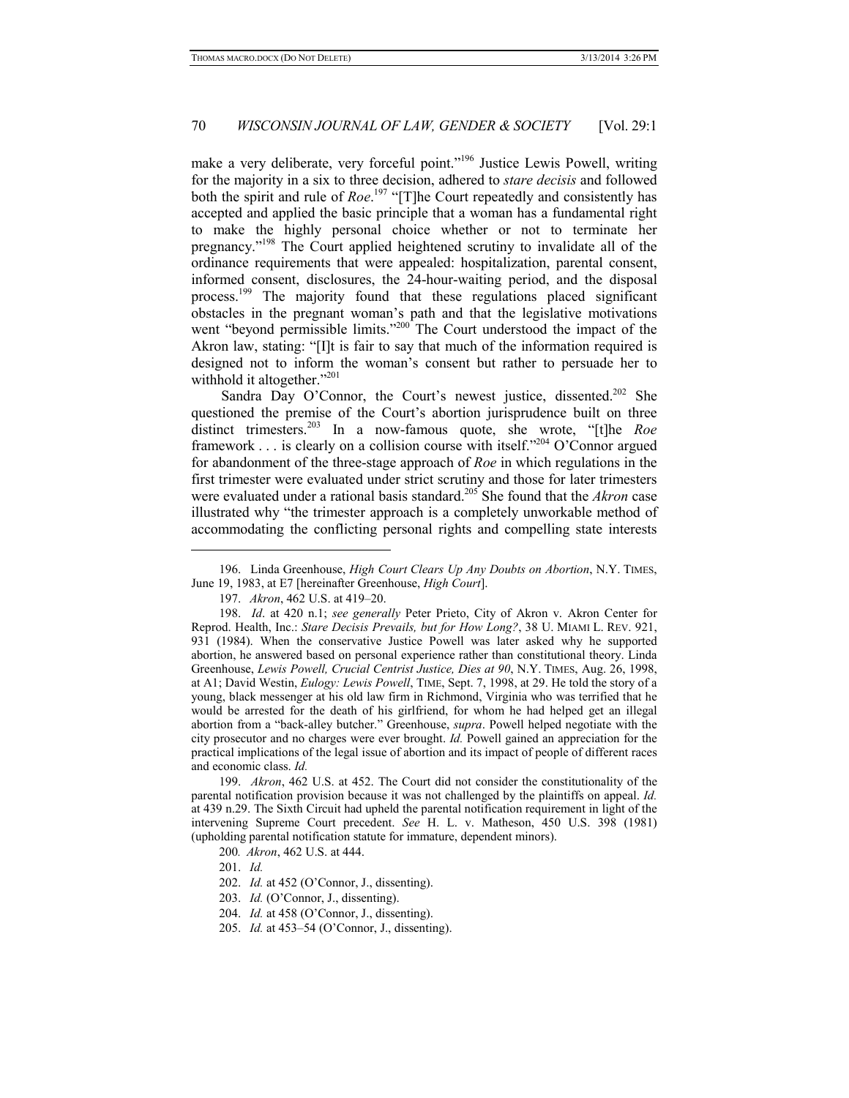make a very deliberate, very forceful point."<sup>196</sup> Justice Lewis Powell, writing for the majority in a six to three decision, adhered to *stare decisis* and followed both the spirit and rule of *Roe*. 197 "[T]he Court repeatedly and consistently has accepted and applied the basic principle that a woman has a fundamental right to make the highly personal choice whether or not to terminate her pregnancy."198 The Court applied heightened scrutiny to invalidate all of the ordinance requirements that were appealed: hospitalization, parental consent, informed consent, disclosures, the 24-hour-waiting period, and the disposal process.199 The majority found that these regulations placed significant obstacles in the pregnant woman's path and that the legislative motivations went "beyond permissible limits."<sup>200</sup> The Court understood the impact of the Akron law, stating: "[I]t is fair to say that much of the information required is designed not to inform the woman's consent but rather to persuade her to withhold it altogether."<sup>201</sup>

Sandra Day O'Connor, the Court's newest justice, dissented.<sup>202</sup> She questioned the premise of the Court's abortion jurisprudence built on three distinct trimesters.203 In a now-famous quote, she wrote, "[t]he *Roe*  framework . . . is clearly on a collision course with itself."204 O'Connor argued for abandonment of the three-stage approach of *Roe* in which regulations in the first trimester were evaluated under strict scrutiny and those for later trimesters were evaluated under a rational basis standard.205 She found that the *Akron* case illustrated why "the trimester approach is a completely unworkable method of accommodating the conflicting personal rights and compelling state interests

199. *Akron*, 462 U.S. at 452. The Court did not consider the constitutionality of the parental notification provision because it was not challenged by the plaintiffs on appeal. *Id.*  at 439 n.29. The Sixth Circuit had upheld the parental notification requirement in light of the intervening Supreme Court precedent. *See* H. L. v. Matheson, 450 U.S. 398 (1981) (upholding parental notification statute for immature, dependent minors).

201. *Id.*

1

<sup>196.</sup> Linda Greenhouse, *High Court Clears Up Any Doubts on Abortion*, N.Y. TIMES, June 19, 1983, at E7 [hereinafter Greenhouse, *High Court*].

<sup>197.</sup> *Akron*, 462 U.S. at 419–20.

<sup>198.</sup> *Id*. at 420 n.1; *see generally* Peter Prieto, City of Akron v. Akron Center for Reprod. Health, Inc.: *Stare Decisis Prevails, but for How Long?*, 38 U. MIAMI L. REV. 921, 931 (1984). When the conservative Justice Powell was later asked why he supported abortion, he answered based on personal experience rather than constitutional theory. Linda Greenhouse, *Lewis Powell, Crucial Centrist Justice, Dies at 90*, N.Y. TIMES, Aug. 26, 1998, at A1; David Westin, *Eulogy: Lewis Powell*, TIME, Sept. 7, 1998, at 29. He told the story of a young, black messenger at his old law firm in Richmond, Virginia who was terrified that he would be arrested for the death of his girlfriend, for whom he had helped get an illegal abortion from a "back-alley butcher." Greenhouse, *supra*. Powell helped negotiate with the city prosecutor and no charges were ever brought. *Id.* Powell gained an appreciation for the practical implications of the legal issue of abortion and its impact of people of different races and economic class. *Id.*

<sup>200</sup>*. Akron*, 462 U.S. at 444.

<sup>202.</sup> *Id.* at 452 (O'Connor, J., dissenting).

<sup>203.</sup> *Id.* (O'Connor, J., dissenting).

<sup>204.</sup> *Id.* at 458 (O'Connor, J., dissenting).

<sup>205.</sup> *Id.* at 453–54 (O'Connor, J., dissenting).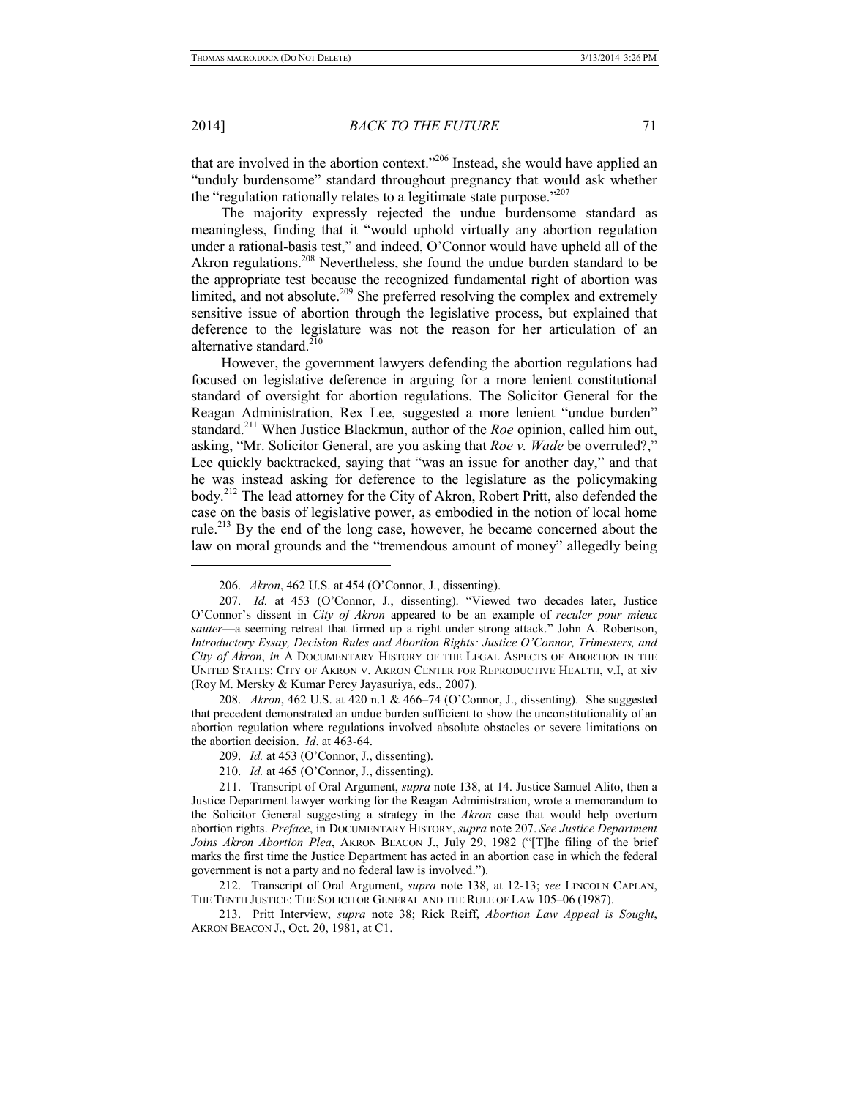### 2014] *BACK TO THE FUTURE* 71

that are involved in the abortion context."206 Instead, she would have applied an "unduly burdensome" standard throughout pregnancy that would ask whether the "regulation rationally relates to a legitimate state purpose."<sup>207</sup>

The majority expressly rejected the undue burdensome standard as meaningless, finding that it "would uphold virtually any abortion regulation under a rational-basis test," and indeed, O'Connor would have upheld all of the Akron regulations.<sup>208</sup> Nevertheless, she found the undue burden standard to be the appropriate test because the recognized fundamental right of abortion was limited, and not absolute.<sup>209</sup> She preferred resolving the complex and extremely sensitive issue of abortion through the legislative process, but explained that deference to the legislature was not the reason for her articulation of an alternative standard. $210$ 

However, the government lawyers defending the abortion regulations had focused on legislative deference in arguing for a more lenient constitutional standard of oversight for abortion regulations. The Solicitor General for the Reagan Administration, Rex Lee, suggested a more lenient "undue burden" standard.211 When Justice Blackmun, author of the *Roe* opinion, called him out, asking, "Mr. Solicitor General, are you asking that *Roe v. Wade* be overruled?," Lee quickly backtracked, saying that "was an issue for another day," and that he was instead asking for deference to the legislature as the policymaking body.212 The lead attorney for the City of Akron, Robert Pritt, also defended the case on the basis of legislative power, as embodied in the notion of local home rule.213 By the end of the long case, however, he became concerned about the law on moral grounds and the "tremendous amount of money" allegedly being

208. *Akron*, 462 U.S. at 420 n.1 & 466–74 (O'Connor, J., dissenting). She suggested that precedent demonstrated an undue burden sufficient to show the unconstitutionality of an abortion regulation where regulations involved absolute obstacles or severe limitations on the abortion decision. *Id*. at 463-64.

213. Pritt Interview, *supra* note 38; Rick Reiff, *Abortion Law Appeal is Sought*, AKRON BEACON J., Oct. 20, 1981, at C1.

<sup>206.</sup> *Akron*, 462 U.S. at 454 (O'Connor, J., dissenting).

<sup>207.</sup> *Id.* at 453 (O'Connor, J., dissenting). "Viewed two decades later, Justice O'Connor's dissent in *City of Akron* appeared to be an example of *reculer pour mieux sauter*—a seeming retreat that firmed up a right under strong attack." John A. Robertson, *Introductory Essay, Decision Rules and Abortion Rights: Justice O'Connor, Trimesters, and City of Akron*, *in* A DOCUMENTARY HISTORY OF THE LEGAL ASPECTS OF ABORTION IN THE UNITED STATES: CITY OF AKRON V. AKRON CENTER FOR REPRODUCTIVE HEALTH, v.I, at xiv (Roy M. Mersky & Kumar Percy Jayasuriya, eds., 2007).

<sup>209.</sup> *Id.* at 453 (O'Connor, J., dissenting).

<sup>210.</sup> *Id.* at 465 (O'Connor, J., dissenting).

<sup>211.</sup> Transcript of Oral Argument, *supra* note 138, at 14. Justice Samuel Alito, then a Justice Department lawyer working for the Reagan Administration, wrote a memorandum to the Solicitor General suggesting a strategy in the *Akron* case that would help overturn abortion rights. *Preface*, in DOCUMENTARY HISTORY, *supra* note 207. *See Justice Department Joins Akron Abortion Plea*, AKRON BEACON J., July 29, 1982 ("[T]he filing of the brief marks the first time the Justice Department has acted in an abortion case in which the federal government is not a party and no federal law is involved.").

<sup>212.</sup> Transcript of Oral Argument, *supra* note 138, at 12-13; *see* LINCOLN CAPLAN, THE TENTH JUSTICE: THE SOLICITOR GENERAL AND THE RULE OF LAW 105–06 (1987).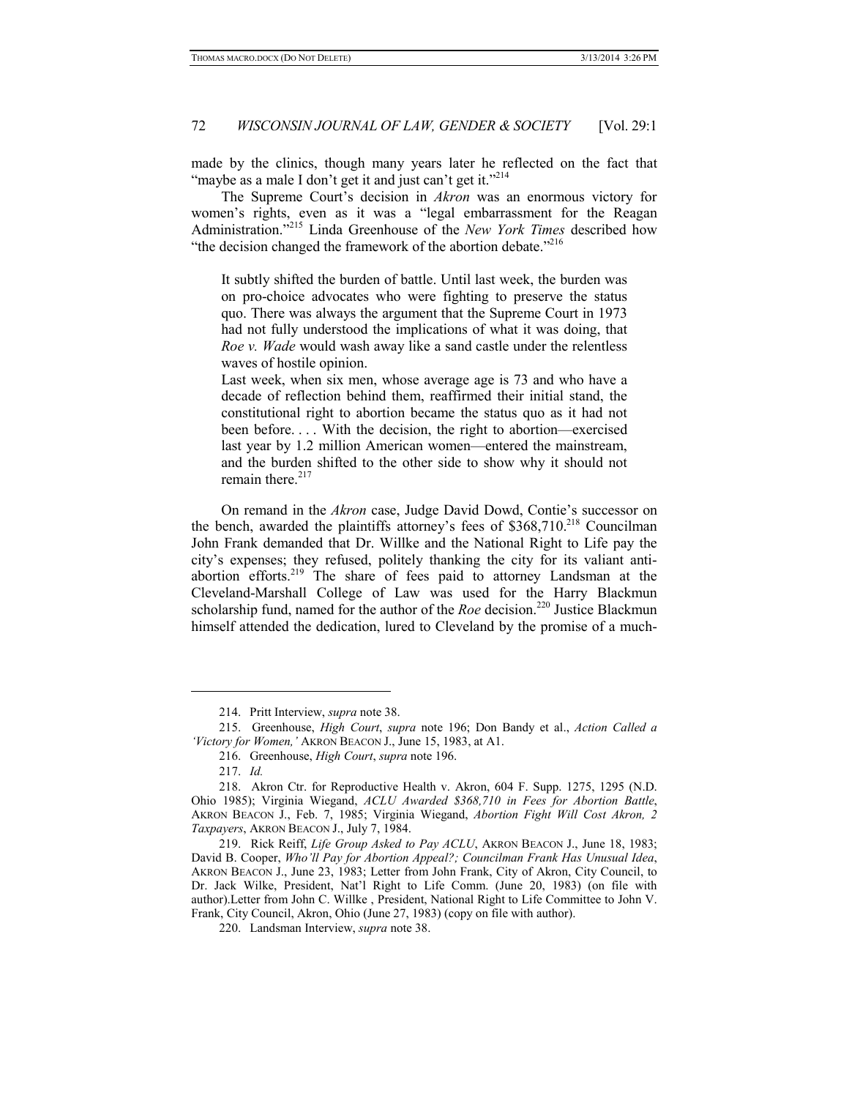made by the clinics, though many years later he reflected on the fact that "maybe as a male I don't get it and just can't get it."<sup>214</sup>

The Supreme Court's decision in *Akron* was an enormous victory for women's rights, even as it was a "legal embarrassment for the Reagan Administration."215 Linda Greenhouse of the *New York Times* described how "the decision changed the framework of the abortion debate."<sup>216</sup>

It subtly shifted the burden of battle. Until last week, the burden was on pro-choice advocates who were fighting to preserve the status quo. There was always the argument that the Supreme Court in 1973 had not fully understood the implications of what it was doing, that *Roe v. Wade* would wash away like a sand castle under the relentless waves of hostile opinion.

Last week, when six men, whose average age is 73 and who have a decade of reflection behind them, reaffirmed their initial stand, the constitutional right to abortion became the status quo as it had not been before. . . . With the decision, the right to abortion—exercised last year by 1.2 million American women—entered the mainstream, and the burden shifted to the other side to show why it should not remain there. $217$ 

On remand in the *Akron* case, Judge David Dowd, Contie's successor on the bench, awarded the plaintiffs attorney's fees of  $$368,710<sup>218</sup>$  Councilman John Frank demanded that Dr. Willke and the National Right to Life pay the city's expenses; they refused, politely thanking the city for its valiant antiabortion efforts.<sup>219</sup> The share of fees paid to attorney Landsman at the Cleveland-Marshall College of Law was used for the Harry Blackmun scholarship fund, named for the author of the *Roe* decision.<sup>220</sup> Justice Blackmun himself attended the dedication, lured to Cleveland by the promise of a much-

1

<sup>214.</sup> Pritt Interview, *supra* note 38.

<sup>215.</sup> Greenhouse, *High Court*, *supra* note 196; Don Bandy et al., *Action Called a 'Victory for Women,'* AKRON BEACON J., June 15, 1983, at A1.

<sup>216.</sup> Greenhouse, *High Court*, *supra* note 196.

<sup>217.</sup> *Id.* 

<sup>218.</sup> Akron Ctr. for Reproductive Health v. Akron, 604 F. Supp. 1275, 1295 (N.D. Ohio 1985); Virginia Wiegand, *ACLU Awarded \$368,710 in Fees for Abortion Battle*, AKRON BEACON J., Feb. 7, 1985; Virginia Wiegand, *Abortion Fight Will Cost Akron, 2 Taxpayers*, AKRON BEACON J., July 7, 1984.

<sup>219.</sup> Rick Reiff, *Life Group Asked to Pay ACLU*, AKRON BEACON J., June 18, 1983; David B. Cooper, *Who'll Pay for Abortion Appeal?; Councilman Frank Has Unusual Idea*, AKRON BEACON J., June 23, 1983; Letter from John Frank, City of Akron, City Council, to Dr. Jack Wilke, President, Nat'l Right to Life Comm. (June 20, 1983) (on file with author).Letter from John C. Willke , President, National Right to Life Committee to John V. Frank, City Council, Akron, Ohio (June 27, 1983) (copy on file with author).

<sup>220.</sup> Landsman Interview, *supra* note 38.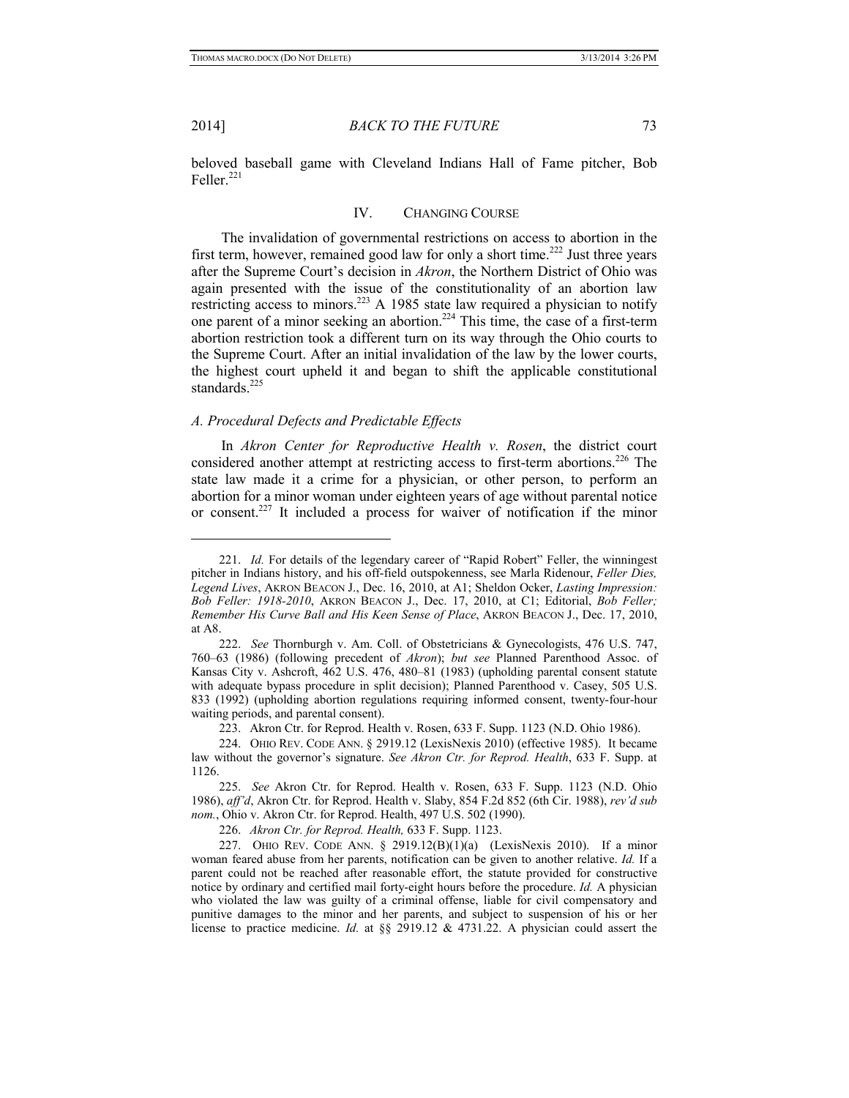2014] *BACK TO THE FUTURE* 73

beloved baseball game with Cleveland Indians Hall of Fame pitcher, Bob Feller. $^{221}$ 

## IV. CHANGING COURSE

The invalidation of governmental restrictions on access to abortion in the first term, however, remained good law for only a short time.<sup>222</sup> Just three years after the Supreme Court's decision in *Akron*, the Northern District of Ohio was again presented with the issue of the constitutionality of an abortion law restricting access to minors.<sup>223</sup> A 1985 state law required a physician to notify one parent of a minor seeking an abortion.224 This time, the case of a first-term abortion restriction took a different turn on its way through the Ohio courts to the Supreme Court. After an initial invalidation of the law by the lower courts, the highest court upheld it and began to shift the applicable constitutional standards.<sup>225</sup>

## *A. Procedural Defects and Predictable Effects*

In *Akron Center for Reproductive Health v. Rosen*, the district court considered another attempt at restricting access to first-term abortions.<sup>226</sup> The state law made it a crime for a physician, or other person, to perform an abortion for a minor woman under eighteen years of age without parental notice or consent.227 It included a process for waiver of notification if the minor

<sup>221.</sup> *Id.* For details of the legendary career of "Rapid Robert" Feller, the winningest pitcher in Indians history, and his off-field outspokenness, see Marla Ridenour, *Feller Dies, Legend Lives*, AKRON BEACON J., Dec. 16, 2010, at A1; Sheldon Ocker, *Lasting Impression: Bob Feller: 1918-2010*, AKRON BEACON J., Dec. 17, 2010, at C1; Editorial, *Bob Feller; Remember His Curve Ball and His Keen Sense of Place*, AKRON BEACON J., Dec. 17, 2010, at A8.

<sup>222.</sup> *See* Thornburgh v. Am. Coll. of Obstetricians & Gynecologists, 476 U.S. 747, 760–63 (1986) (following precedent of *Akron*); *but see* Planned Parenthood Assoc. of Kansas City v. Ashcroft, 462 U.S. 476, 480–81 (1983) (upholding parental consent statute with adequate bypass procedure in split decision); Planned Parenthood v. Casey, 505 U.S. 833 (1992) (upholding abortion regulations requiring informed consent, twenty-four-hour waiting periods, and parental consent).

<sup>223.</sup> Akron Ctr. for Reprod. Health v. Rosen, 633 F. Supp. 1123 (N.D. Ohio 1986).

<sup>224.</sup> OHIO REV. CODE ANN. § 2919.12 (LexisNexis 2010) (effective 1985). It became law without the governor's signature. *See Akron Ctr. for Reprod. Health*, 633 F. Supp. at 1126.

<sup>225.</sup> *See* Akron Ctr. for Reprod. Health v. Rosen, 633 F. Supp. 1123 (N.D. Ohio 1986), *aff'd*, Akron Ctr. for Reprod. Health v. Slaby, 854 F.2d 852 (6th Cir. 1988), *rev'd sub nom.*, Ohio v. Akron Ctr. for Reprod. Health, 497 U.S. 502 (1990).

<sup>226.</sup> *Akron Ctr. for Reprod. Health,* 633 F. Supp. 1123.

<sup>227.</sup> OHIO REV. CODE ANN. § 2919.12(B)(1)(a) (LexisNexis 2010). If a minor woman feared abuse from her parents, notification can be given to another relative. *Id.* If a parent could not be reached after reasonable effort, the statute provided for constructive notice by ordinary and certified mail forty-eight hours before the procedure. *Id.* A physician who violated the law was guilty of a criminal offense, liable for civil compensatory and punitive damages to the minor and her parents, and subject to suspension of his or her license to practice medicine. *Id.* at §§ 2919.12 & 4731.22. A physician could assert the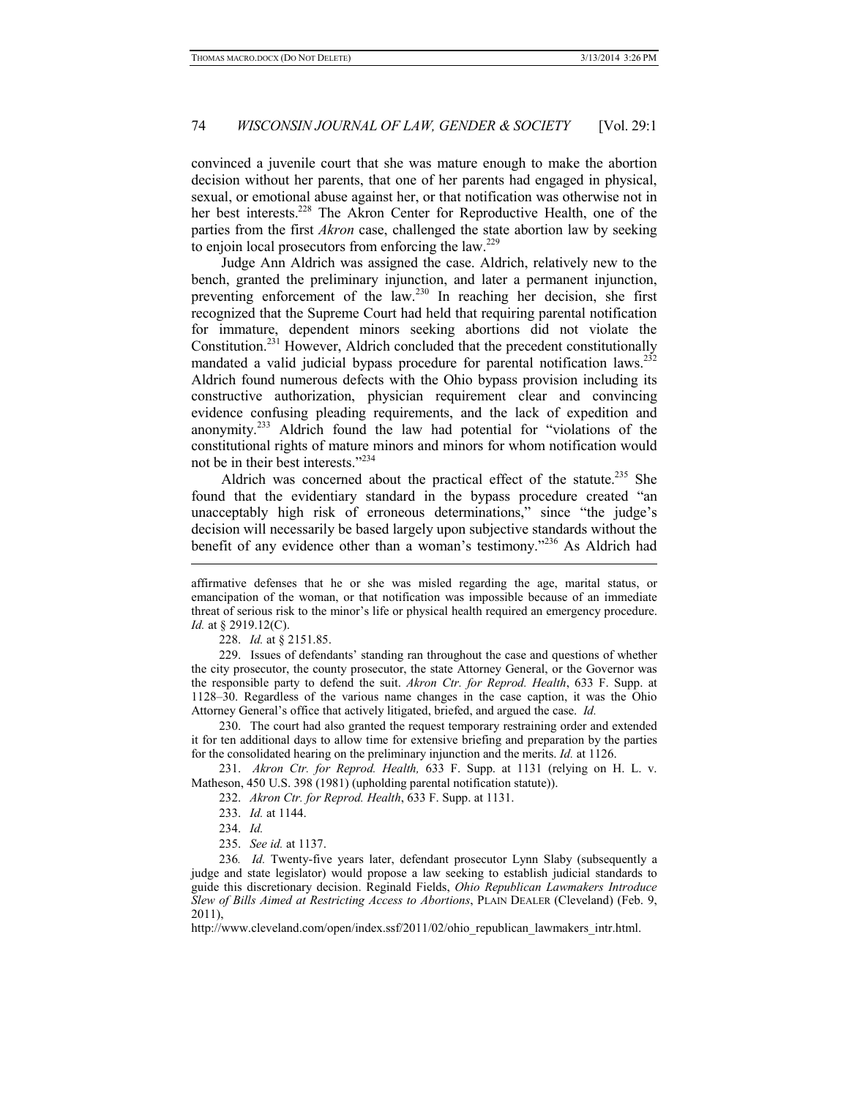convinced a juvenile court that she was mature enough to make the abortion decision without her parents, that one of her parents had engaged in physical, sexual, or emotional abuse against her, or that notification was otherwise not in her best interests.<sup>228</sup> The Akron Center for Reproductive Health, one of the parties from the first *Akron* case, challenged the state abortion law by seeking to enjoin local prosecutors from enforcing the law.<sup>229</sup>

Judge Ann Aldrich was assigned the case. Aldrich, relatively new to the bench, granted the preliminary injunction, and later a permanent injunction, preventing enforcement of the law.230 In reaching her decision, she first recognized that the Supreme Court had held that requiring parental notification for immature, dependent minors seeking abortions did not violate the Constitution.231 However, Aldrich concluded that the precedent constitutionally mandated a valid judicial bypass procedure for parental notification laws.<sup>232</sup> Aldrich found numerous defects with the Ohio bypass provision including its constructive authorization, physician requirement clear and convincing evidence confusing pleading requirements, and the lack of expedition and anonymity.233 Aldrich found the law had potential for "violations of the constitutional rights of mature minors and minors for whom notification would not be in their best interests."234

Aldrich was concerned about the practical effect of the statute.<sup>235</sup> She found that the evidentiary standard in the bypass procedure created "an unacceptably high risk of erroneous determinations," since "the judge's decision will necessarily be based largely upon subjective standards without the benefit of any evidence other than a woman's testimony."<sup>236</sup> As Aldrich had

228. *Id.* at § 2151.85.

-

229. Issues of defendants' standing ran throughout the case and questions of whether the city prosecutor, the county prosecutor, the state Attorney General, or the Governor was the responsible party to defend the suit. *Akron Ctr. for Reprod. Health*, 633 F. Supp. at 1128–30. Regardless of the various name changes in the case caption, it was the Ohio Attorney General's office that actively litigated, briefed, and argued the case. *Id.* 

230. The court had also granted the request temporary restraining order and extended it for ten additional days to allow time for extensive briefing and preparation by the parties for the consolidated hearing on the preliminary injunction and the merits. *Id.* at 1126.

231. *Akron Ctr. for Reprod. Health,* 633 F. Supp. at 1131 (relying on H. L. v. Matheson, 450 U.S. 398 (1981) (upholding parental notification statute)).

232. *Akron Ctr. for Reprod. Health*, 633 F. Supp. at 1131.

- 233. *Id.* at 1144.
- 234. *Id.*
- 235. *See id.* at 1137.

236*. Id.* Twenty-five years later, defendant prosecutor Lynn Slaby (subsequently a judge and state legislator) would propose a law seeking to establish judicial standards to guide this discretionary decision. Reginald Fields, *Ohio Republican Lawmakers Introduce Slew of Bills Aimed at Restricting Access to Abortions*, PLAIN DEALER (Cleveland) (Feb. 9, 2011),

http://www.cleveland.com/open/index.ssf/2011/02/ohio\_republican\_lawmakers\_intr.html.

affirmative defenses that he or she was misled regarding the age, marital status, or emancipation of the woman, or that notification was impossible because of an immediate threat of serious risk to the minor's life or physical health required an emergency procedure. *Id.* at § 2919.12(C).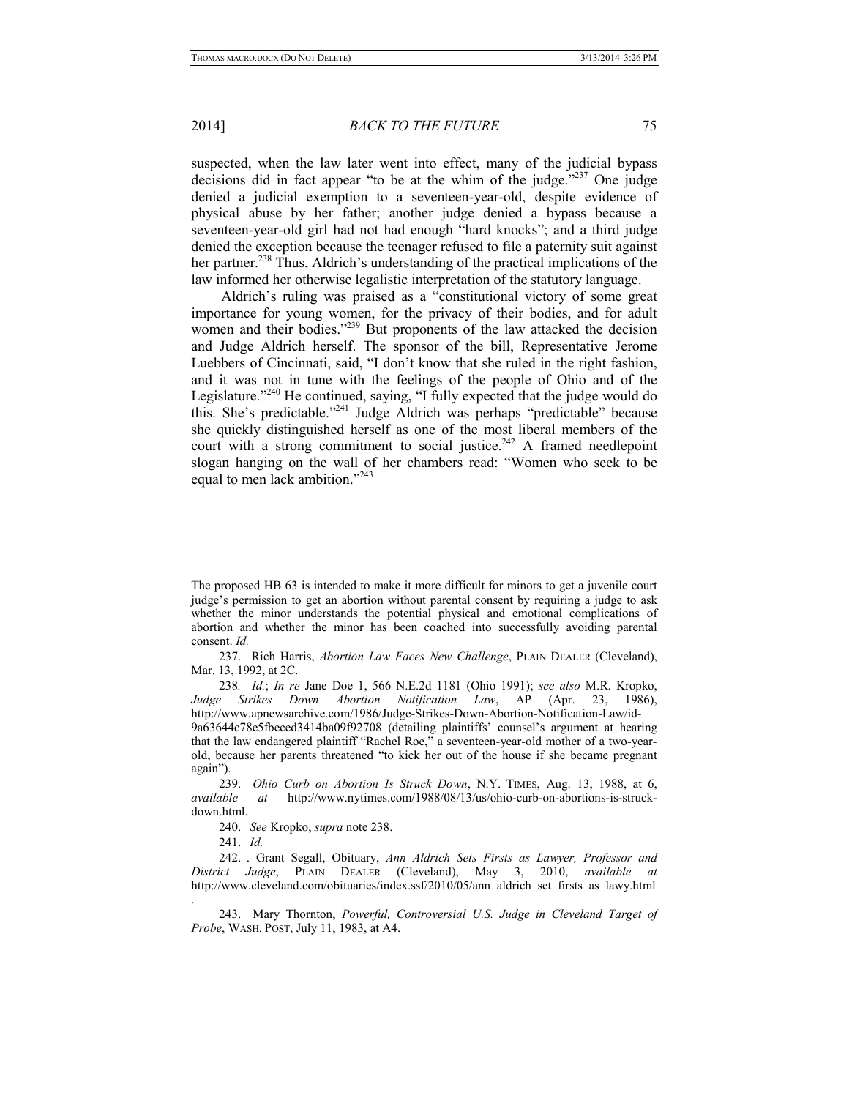1

### 2014] *BACK TO THE FUTURE* 75

suspected, when the law later went into effect, many of the judicial bypass decisions did in fact appear "to be at the whim of the judge."<sup>237</sup> One judge denied a judicial exemption to a seventeen-year-old, despite evidence of physical abuse by her father; another judge denied a bypass because a seventeen-year-old girl had not had enough "hard knocks"; and a third judge denied the exception because the teenager refused to file a paternity suit against her partner.<sup>238</sup> Thus, Aldrich's understanding of the practical implications of the law informed her otherwise legalistic interpretation of the statutory language.

Aldrich's ruling was praised as a "constitutional victory of some great importance for young women, for the privacy of their bodies, and for adult women and their bodies."<sup>239</sup> But proponents of the law attacked the decision and Judge Aldrich herself. The sponsor of the bill, Representative Jerome Luebbers of Cincinnati, said, "I don't know that she ruled in the right fashion, and it was not in tune with the feelings of the people of Ohio and of the Legislature."<sup>240</sup> He continued, saying, "I fully expected that the judge would do this. She's predictable."241 Judge Aldrich was perhaps "predictable" because she quickly distinguished herself as one of the most liberal members of the court with a strong commitment to social justice.<sup>242</sup> A framed needlepoint slogan hanging on the wall of her chambers read: "Women who seek to be equal to men lack ambition."243

.

The proposed HB 63 is intended to make it more difficult for minors to get a juvenile court judge's permission to get an abortion without parental consent by requiring a judge to ask whether the minor understands the potential physical and emotional complications of abortion and whether the minor has been coached into successfully avoiding parental consent. *Id.* 

<sup>237.</sup> Rich Harris, *Abortion Law Faces New Challenge*, PLAIN DEALER (Cleveland), Mar. 13, 1992, at 2C.

<sup>238</sup>*. Id.*; *In re* Jane Doe 1, 566 N.E.2d 1181 (Ohio 1991); *see also* M.R. Kropko, *Judge Strikes Down Abortion Notification Law*, AP (Apr. 23, 1986), http://www.apnewsarchive.com/1986/Judge-Strikes-Down-Abortion-Notification-Law/id-

<sup>9</sup>a63644c78e5fbeced3414ba09f92708 (detailing plaintiffs' counsel's argument at hearing that the law endangered plaintiff "Rachel Roe," a seventeen-year-old mother of a two-yearold, because her parents threatened "to kick her out of the house if she became pregnant again").

<sup>239.</sup> *Ohio Curb on Abortion Is Struck Down*, N.Y. TIMES, Aug. 13, 1988, at 6, *available at* http://www.nytimes.com/1988/08/13/us/ohio-curb-on-abortions-is-struckdown.html.

<sup>240.</sup> *See* Kropko, *supra* note 238.

<sup>241.</sup> *Id.* 

<sup>242. .</sup> Grant Segall, Obituary, *Ann Aldrich Sets Firsts as Lawyer, Professor and District Judge*, PLAIN DEALER (Cleveland), May 3, 2010, *available at*  http://www.cleveland.com/obituaries/index.ssf/2010/05/ann\_aldrich\_set\_firsts\_as\_lawy.html

<sup>243.</sup> Mary Thornton, *Powerful, Controversial U.S. Judge in Cleveland Target of Probe*, WASH. POST, July 11, 1983, at A4.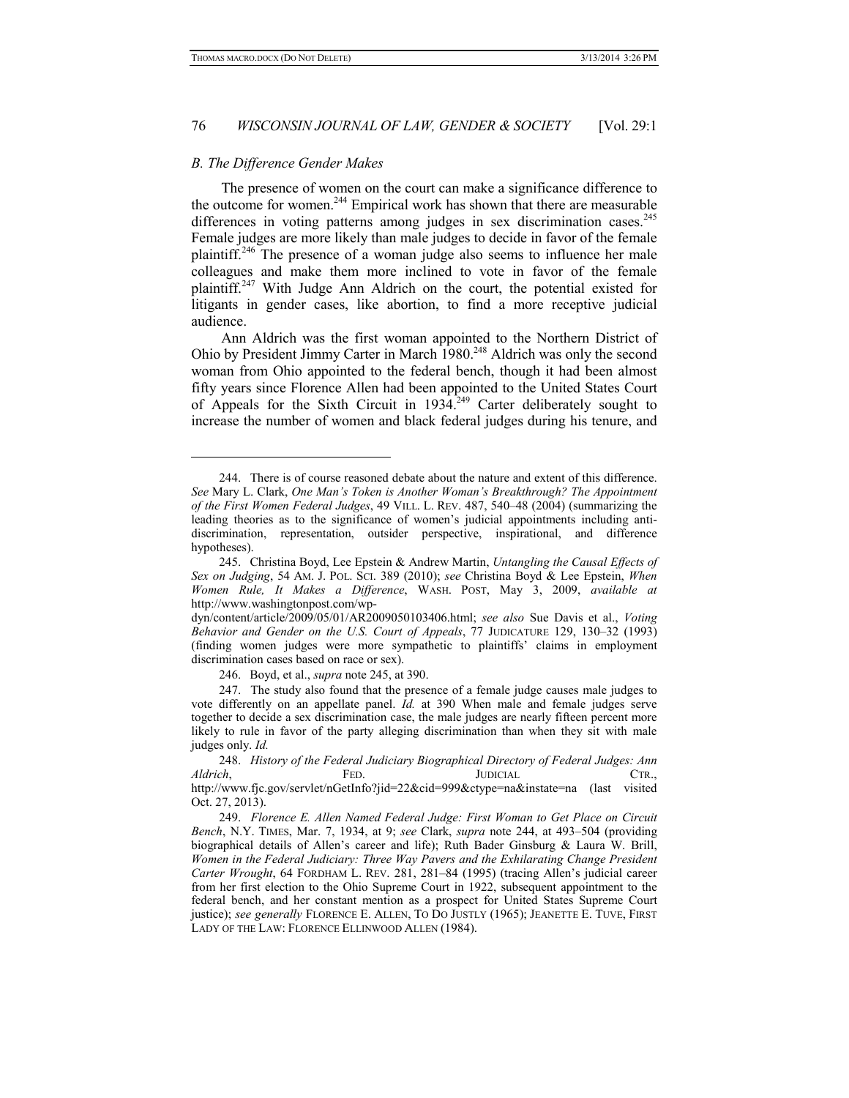#### *B. The Difference Gender Makes*

-

The presence of women on the court can make a significance difference to the outcome for women.<sup>244</sup> Empirical work has shown that there are measurable differences in voting patterns among judges in sex discrimination cases.<sup>245</sup> Female judges are more likely than male judges to decide in favor of the female plaintiff.246 The presence of a woman judge also seems to influence her male colleagues and make them more inclined to vote in favor of the female plaintiff.<sup>247</sup> With Judge Ann Aldrich on the court, the potential existed for litigants in gender cases, like abortion, to find a more receptive judicial audience.

Ann Aldrich was the first woman appointed to the Northern District of Ohio by President Jimmy Carter in March 1980.<sup>248</sup> Aldrich was only the second woman from Ohio appointed to the federal bench, though it had been almost fifty years since Florence Allen had been appointed to the United States Court of Appeals for the Sixth Circuit in 1934.<sup>249</sup> Carter deliberately sought to increase the number of women and black federal judges during his tenure, and

246. Boyd, et al., *supra* note 245, at 390.

<sup>244.</sup> There is of course reasoned debate about the nature and extent of this difference. *See* Mary L. Clark, *One Man's Token is Another Woman's Breakthrough? The Appointment of the First Women Federal Judges*, 49 VILL. L. REV. 487, 540–48 (2004) (summarizing the leading theories as to the significance of women's judicial appointments including antidiscrimination, representation, outsider perspective, inspirational, and difference hypotheses).

<sup>245.</sup> Christina Boyd, Lee Epstein & Andrew Martin, *Untangling the Causal Effects of Sex on Judging*, 54 AM. J. POL. SCI. 389 (2010); *see* Christina Boyd & Lee Epstein, *When Women Rule, It Makes a Difference*, WASH. POST, May 3, 2009, *available at* http://www.washingtonpost.com/wp-

dyn/content/article/2009/05/01/AR2009050103406.html; *see also* Sue Davis et al., *Voting Behavior and Gender on the U.S. Court of Appeals*, 77 JUDICATURE 129, 130–32 (1993) (finding women judges were more sympathetic to plaintiffs' claims in employment discrimination cases based on race or sex).

<sup>247.</sup> The study also found that the presence of a female judge causes male judges to vote differently on an appellate panel. *Id.* at 390 When male and female judges serve together to decide a sex discrimination case, the male judges are nearly fifteen percent more likely to rule in favor of the party alleging discrimination than when they sit with male judges only. *Id.* 

<sup>248.</sup> *History of the Federal Judiciary Biographical Directory of Federal Judges: Ann Aldrich*, **FED.** FED. JUDICIAL CTR., http://www.fjc.gov/servlet/nGetInfo?jid=22&cid=999&ctype=na&instate=na (last visited Oct. 27, 2013).

<sup>249.</sup> *Florence E. Allen Named Federal Judge: First Woman to Get Place on Circuit Bench*, N.Y. TIMES, Mar. 7, 1934, at 9; *see* Clark, *supra* note 244, at 493–504 (providing biographical details of Allen's career and life); Ruth Bader Ginsburg & Laura W. Brill, *Women in the Federal Judiciary: Three Way Pavers and the Exhilarating Change President Carter Wrought*, 64 FORDHAM L. REV. 281, 281–84 (1995) (tracing Allen's judicial career from her first election to the Ohio Supreme Court in 1922, subsequent appointment to the federal bench, and her constant mention as a prospect for United States Supreme Court justice); *see generally* FLORENCE E. ALLEN, TO DO JUSTLY (1965); JEANETTE E. TUVE, FIRST LADY OF THE LAW: FLORENCE ELLINWOOD ALLEN (1984).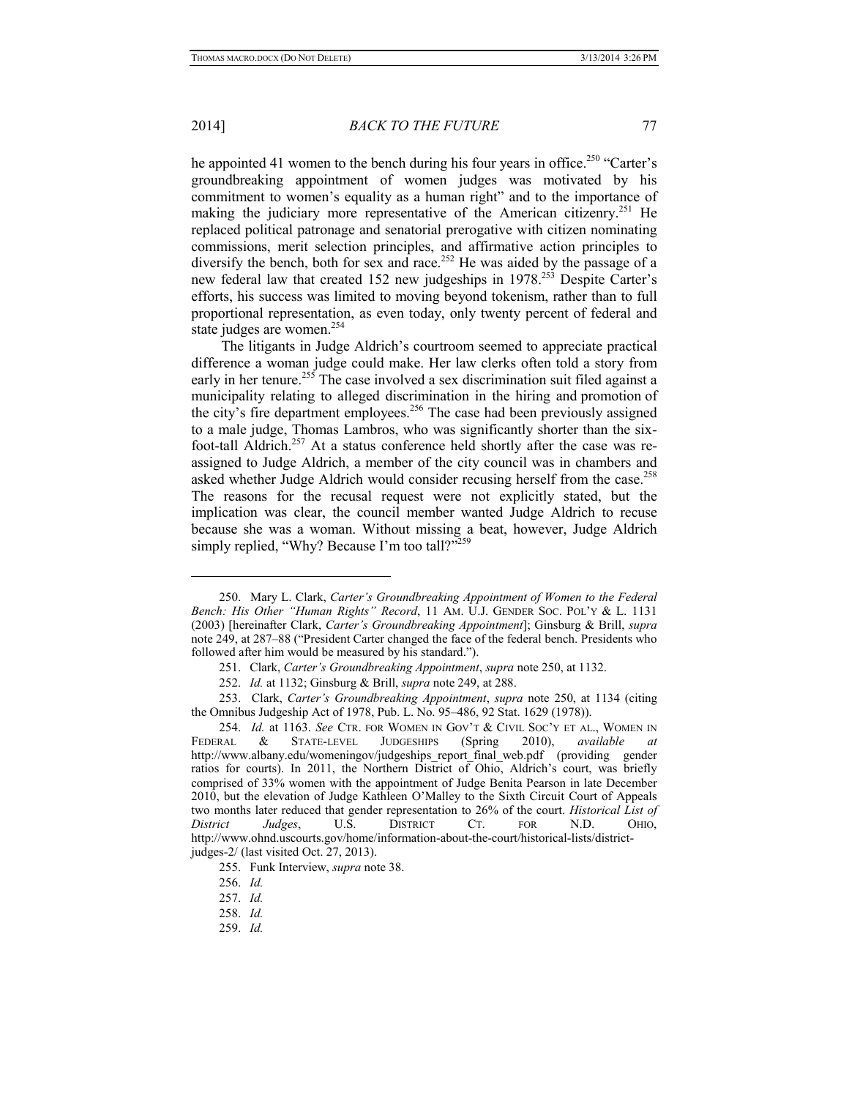## 2014] *BACK TO THE FUTURE* 77

he appointed 41 women to the bench during his four years in office.<sup>250</sup> "Carter's groundbreaking appointment of women judges was motivated by his commitment to women's equality as a human right" and to the importance of making the judiciary more representative of the American citizenry.<sup>251</sup> He replaced political patronage and senatorial prerogative with citizen nominating commissions, merit selection principles, and affirmative action principles to diversify the bench, both for sex and race.<sup>252</sup> He was aided by the passage of a new federal law that created 152 new judgeships in 1978.<sup>253</sup> Despite Carter's efforts, his success was limited to moving beyond tokenism, rather than to full proportional representation, as even today, only twenty percent of federal and state judges are women.<sup>254</sup>

The litigants in Judge Aldrich's courtroom seemed to appreciate practical difference a woman judge could make. Her law clerks often told a story from early in her tenure.<sup>255</sup> The case involved a sex discrimination suit filed against a municipality relating to alleged discrimination in the hiring and promotion of the city's fire department employees.<sup>256</sup> The case had been previously assigned to a male judge, Thomas Lambros, who was significantly shorter than the sixfoot-tall Aldrich.<sup>257</sup> At a status conference held shortly after the case was reassigned to Judge Aldrich, a member of the city council was in chambers and asked whether Judge Aldrich would consider recusing herself from the case.<sup>258</sup> The reasons for the recusal request were not explicitly stated, but the implication was clear, the council member wanted Judge Aldrich to recuse because she was a woman. Without missing a beat, however, Judge Aldrich simply replied, "Why? Because I'm too tall?"<sup>259</sup>

<sup>250.</sup> Mary L. Clark, *Carter's Groundbreaking Appointment of Women to the Federal Bench: His Other "Human Rights" Record*, 11 AM. U.J. GENDER SOC. POL'Y & L. 1131 (2003) [hereinafter Clark, *Carter's Groundbreaking Appointment*]; Ginsburg & Brill, *supra* note 249, at 287–88 ("President Carter changed the face of the federal bench. Presidents who followed after him would be measured by his standard.").

<sup>251.</sup> Clark, *Carter's Groundbreaking Appointment*, *supra* note 250, at 1132.

<sup>252.</sup> *Id.* at 1132; Ginsburg & Brill, *supra* note 249, at 288.

<sup>253.</sup> Clark, *Carter's Groundbreaking Appointment*, *supra* note 250, at 1134 (citing the Omnibus Judgeship Act of 1978, Pub. L. No. 95–486, 92 Stat. 1629 (1978)).

<sup>254.</sup> *Id.* at 1163. *See* CTR. FOR WOMEN IN GOV'T & CIVIL SOC'Y ET AL., WOMEN IN FEDERAL & STATE-LEVEL JUDGESHIPS (Spring 2010), *available at* http://www.albany.edu/womeningov/judgeships\_report\_final\_web.pdf (providing gender ratios for courts). In 2011, the Northern District of Ohio, Aldrich's court, was briefly comprised of 33% women with the appointment of Judge Benita Pearson in late December 2010, but the elevation of Judge Kathleen O'Malley to the Sixth Circuit Court of Appeals two months later reduced that gender representation to 26% of the court. *Historical List of District Judges*, U.S. DISTRICT CT. FOR N.D. OHIO, http://www.ohnd.uscourts.gov/home/information-about-the-court/historical-lists/districtjudges-2/ (last visited Oct. 27, 2013).

<sup>255.</sup> Funk Interview, *supra* note 38.

<sup>256.</sup> *Id.* 

<sup>257.</sup> *Id.* 

<sup>258.</sup> *Id.* 

<sup>259.</sup> *Id.*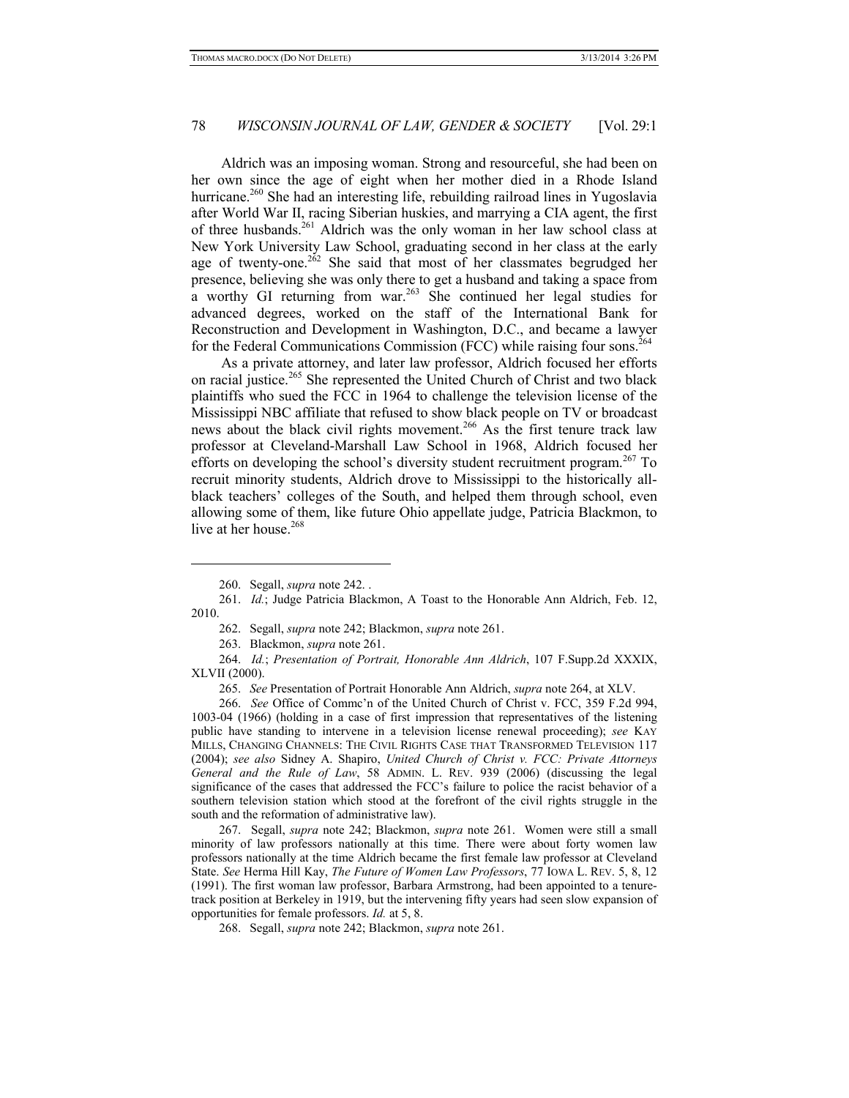Aldrich was an imposing woman. Strong and resourceful, she had been on her own since the age of eight when her mother died in a Rhode Island hurricane.<sup>260</sup> She had an interesting life, rebuilding railroad lines in Yugoslavia after World War II, racing Siberian huskies, and marrying a CIA agent, the first of three husbands.<sup>261</sup> Aldrich was the only woman in her law school class at New York University Law School, graduating second in her class at the early age of twenty-one.<sup>262</sup> She said that most of her classmates begrudged her presence, believing she was only there to get a husband and taking a space from a worthy GI returning from war.263 She continued her legal studies for advanced degrees, worked on the staff of the International Bank for Reconstruction and Development in Washington, D.C., and became a lawyer for the Federal Communications Commission (FCC) while raising four sons.<sup>264</sup>

As a private attorney, and later law professor, Aldrich focused her efforts on racial justice.<sup>265</sup> She represented the United Church of Christ and two black plaintiffs who sued the FCC in 1964 to challenge the television license of the Mississippi NBC affiliate that refused to show black people on TV or broadcast news about the black civil rights movement.<sup>266</sup> As the first tenure track law professor at Cleveland-Marshall Law School in 1968, Aldrich focused her efforts on developing the school's diversity student recruitment program.<sup>267</sup> To recruit minority students, Aldrich drove to Mississippi to the historically allblack teachers' colleges of the South, and helped them through school, even allowing some of them, like future Ohio appellate judge, Patricia Blackmon, to live at her house.<sup>268</sup>

-

262. Segall, *supra* note 242; Blackmon, *supra* note 261.

266. *See* Office of Commc'n of the United Church of Christ v. FCC, 359 F.2d 994, 1003-04 (1966) (holding in a case of first impression that representatives of the listening public have standing to intervene in a television license renewal proceeding); *see* KAY MILLS, CHANGING CHANNELS: THE CIVIL RIGHTS CASE THAT TRANSFORMED TELEVISION 117 (2004); *see also* Sidney A. Shapiro, *United Church of Christ v. FCC: Private Attorneys General and the Rule of Law*, 58 ADMIN. L. REV. 939 (2006) (discussing the legal significance of the cases that addressed the FCC's failure to police the racist behavior of a southern television station which stood at the forefront of the civil rights struggle in the south and the reformation of administrative law).

267. Segall, *supra* note 242; Blackmon, *supra* note 261. Women were still a small minority of law professors nationally at this time. There were about forty women law professors nationally at the time Aldrich became the first female law professor at Cleveland State. *See* Herma Hill Kay, *The Future of Women Law Professors*, 77 IOWA L. REV. 5, 8, 12 (1991). The first woman law professor, Barbara Armstrong, had been appointed to a tenuretrack position at Berkeley in 1919, but the intervening fifty years had seen slow expansion of opportunities for female professors. *Id.* at 5, 8.

268. Segall, *supra* note 242; Blackmon, *supra* note 261.

<sup>260.</sup> Segall, *supra* note 242. .

<sup>261.</sup> *Id.*; Judge Patricia Blackmon, A Toast to the Honorable Ann Aldrich, Feb. 12, 2010.

<sup>263.</sup> Blackmon, *supra* note 261.

<sup>264.</sup> *Id.*; *Presentation of Portrait, Honorable Ann Aldrich*, 107 F.Supp.2d XXXIX, XLVII (2000).

<sup>265.</sup> *See* Presentation of Portrait Honorable Ann Aldrich, *supra* note 264, at XLV.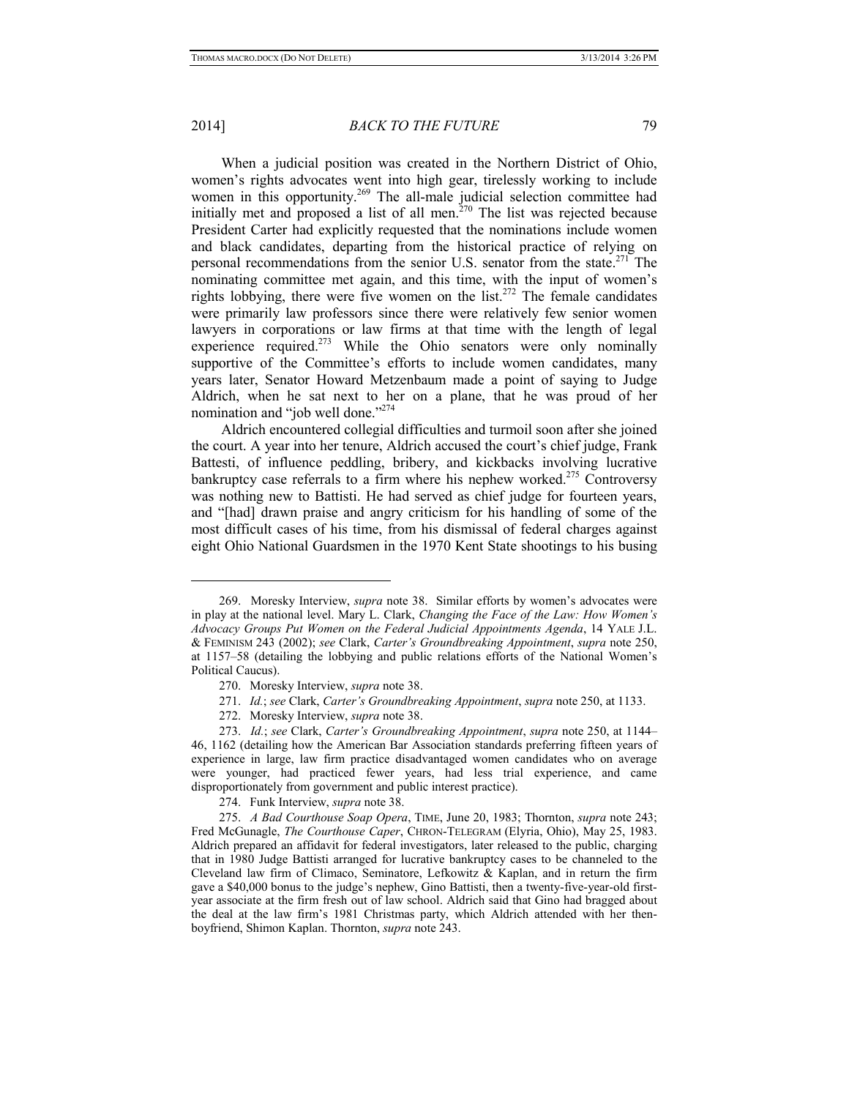#### 2014] *BACK TO THE FUTURE* 79

When a judicial position was created in the Northern District of Ohio, women's rights advocates went into high gear, tirelessly working to include women in this opportunity.<sup>269</sup> The all-male judicial selection committee had initially met and proposed a list of all men.<sup> $270$ </sup> The list was rejected because President Carter had explicitly requested that the nominations include women and black candidates, departing from the historical practice of relying on personal recommendations from the senior U.S. senator from the state.<sup>271</sup> The nominating committee met again, and this time, with the input of women's rights lobbying, there were five women on the list.<sup>272</sup> The female candidates were primarily law professors since there were relatively few senior women lawyers in corporations or law firms at that time with the length of legal experience required.<sup>273</sup> While the Ohio senators were only nominally supportive of the Committee's efforts to include women candidates, many years later, Senator Howard Metzenbaum made a point of saying to Judge Aldrich, when he sat next to her on a plane, that he was proud of her nomination and "job well done."<sup>274</sup>

Aldrich encountered collegial difficulties and turmoil soon after she joined the court. A year into her tenure, Aldrich accused the court's chief judge, Frank Battesti, of influence peddling, bribery, and kickbacks involving lucrative bankruptcy case referrals to a firm where his nephew worked.<sup>275</sup> Controversy was nothing new to Battisti. He had served as chief judge for fourteen years, and "[had] drawn praise and angry criticism for his handling of some of the most difficult cases of his time, from his dismissal of federal charges against eight Ohio National Guardsmen in the 1970 Kent State shootings to his busing

<sup>269.</sup> Moresky Interview, *supra* note 38. Similar efforts by women's advocates were in play at the national level. Mary L. Clark, *Changing the Face of the Law: How Women's Advocacy Groups Put Women on the Federal Judicial Appointments Agenda*, 14 YALE J.L. & FEMINISM 243 (2002); *see* Clark, *Carter's Groundbreaking Appointment*, *supra* note 250, at 1157–58 (detailing the lobbying and public relations efforts of the National Women's Political Caucus).

<sup>270.</sup> Moresky Interview, *supra* note 38.

<sup>271.</sup> *Id.*; *see* Clark, *Carter's Groundbreaking Appointment*, *supra* note 250, at 1133.

<sup>272.</sup> Moresky Interview, *supra* note 38.

<sup>273.</sup> *Id.*; *see* Clark, *Carter's Groundbreaking Appointment*, *supra* note 250, at 1144– 46, 1162 (detailing how the American Bar Association standards preferring fifteen years of experience in large, law firm practice disadvantaged women candidates who on average were younger, had practiced fewer years, had less trial experience, and came disproportionately from government and public interest practice).

<sup>274.</sup> Funk Interview, *supra* note 38.

<sup>275.</sup> *A Bad Courthouse Soap Opera*, TIME, June 20, 1983; Thornton, *supra* note 243; Fred McGunagle, *The Courthouse Caper*, CHRON-TELEGRAM (Elyria, Ohio), May 25, 1983. Aldrich prepared an affidavit for federal investigators, later released to the public, charging that in 1980 Judge Battisti arranged for lucrative bankruptcy cases to be channeled to the Cleveland law firm of Climaco, Seminatore, Lefkowitz & Kaplan, and in return the firm gave a \$40,000 bonus to the judge's nephew, Gino Battisti, then a twenty-five-year-old firstyear associate at the firm fresh out of law school. Aldrich said that Gino had bragged about the deal at the law firm's 1981 Christmas party, which Aldrich attended with her thenboyfriend, Shimon Kaplan. Thornton, *supra* note 243.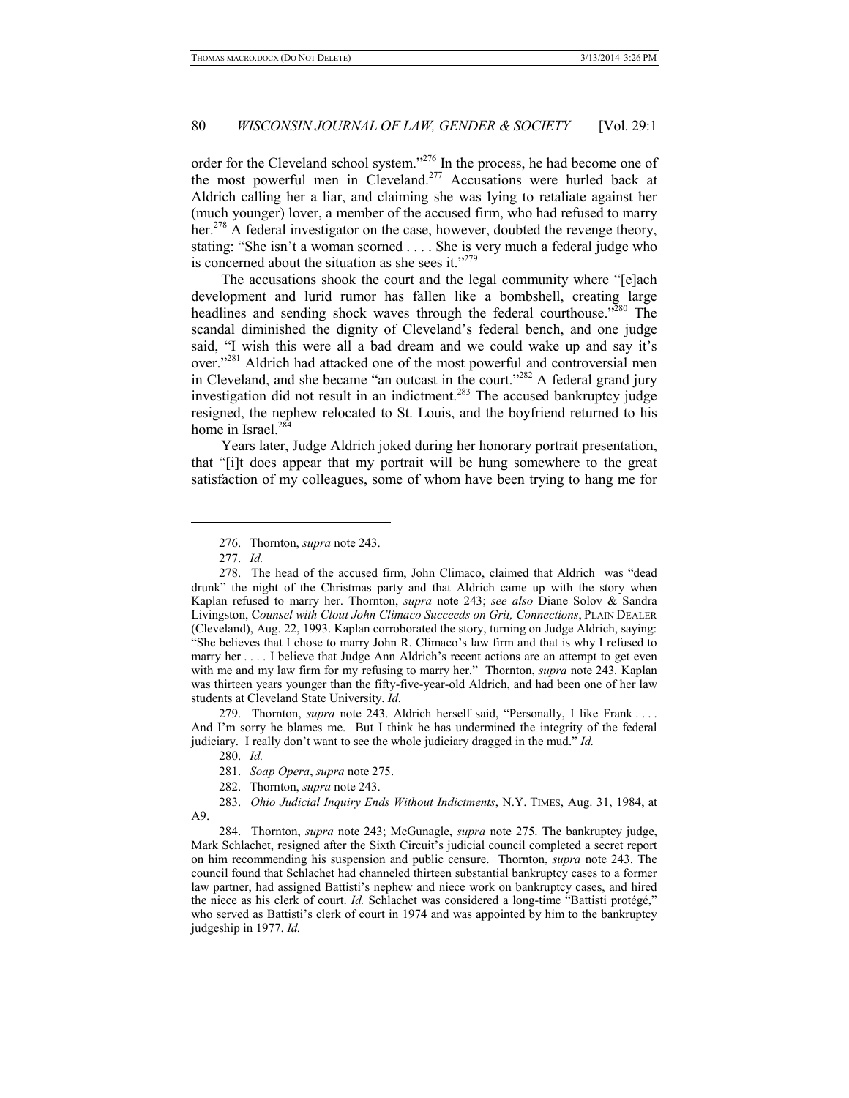order for the Cleveland school system."<sup>276</sup> In the process, he had become one of the most powerful men in Cleveland.<sup>277</sup> Accusations were hurled back at Aldrich calling her a liar, and claiming she was lying to retaliate against her (much younger) lover, a member of the accused firm, who had refused to marry her.<sup>278</sup> A federal investigator on the case, however, doubted the revenge theory, stating: "She isn't a woman scorned . . . . She is very much a federal judge who is concerned about the situation as she sees it."279

The accusations shook the court and the legal community where "[e]ach development and lurid rumor has fallen like a bombshell, creating large headlines and sending shock waves through the federal courthouse."<sup>280</sup> The scandal diminished the dignity of Cleveland's federal bench, and one judge said, "I wish this were all a bad dream and we could wake up and say it's over."281 Aldrich had attacked one of the most powerful and controversial men in Cleveland, and she became "an outcast in the court."<sup>282</sup> A federal grand jury investigation did not result in an indictment.<sup>283</sup> The accused bankruptcy judge resigned, the nephew relocated to St. Louis, and the boyfriend returned to his home in Israel.<sup>284</sup>

Years later, Judge Aldrich joked during her honorary portrait presentation, that "[i]t does appear that my portrait will be hung somewhere to the great satisfaction of my colleagues, some of whom have been trying to hang me for

-

279. Thornton, *supra* note 243. Aldrich herself said, "Personally, I like Frank . . . . And I'm sorry he blames me. But I think he has undermined the integrity of the federal judiciary. I really don't want to see the whole judiciary dragged in the mud." *Id.* 

280. *Id.*

281. *Soap Opera*, *supra* note 275.

282. Thornton, *supra* note 243.

283. *Ohio Judicial Inquiry Ends Without Indictments*, N.Y. TIMES, Aug. 31, 1984, at A9.

284. Thornton, *supra* note 243; McGunagle, *supra* note 275. The bankruptcy judge, Mark Schlachet, resigned after the Sixth Circuit's judicial council completed a secret report on him recommending his suspension and public censure. Thornton, *supra* note 243. The council found that Schlachet had channeled thirteen substantial bankruptcy cases to a former law partner, had assigned Battisti's nephew and niece work on bankruptcy cases, and hired the niece as his clerk of court. *Id.* Schlachet was considered a long-time "Battisti protégé," who served as Battisti's clerk of court in 1974 and was appointed by him to the bankruptcy judgeship in 1977. *Id.*

<sup>276.</sup> Thornton, *supra* note 243.

<sup>277.</sup> *Id.* 

<sup>278.</sup> The head of the accused firm, John Climaco, claimed that Aldrich was "dead drunk" the night of the Christmas party and that Aldrich came up with the story when Kaplan refused to marry her. Thornton, *supra* note 243; *see also* Diane Solov & Sandra Livingston, C*ounsel with Clout John Climaco Succeeds on Grit, Connections*, PLAIN DEALER (Cleveland), Aug. 22, 1993. Kaplan corroborated the story, turning on Judge Aldrich, saying: "She believes that I chose to marry John R. Climaco's law firm and that is why I refused to marry her . . . . I believe that Judge Ann Aldrich's recent actions are an attempt to get even with me and my law firm for my refusing to marry her." Thornton, *supra* note 243*.* Kaplan was thirteen years younger than the fifty-five-year-old Aldrich, and had been one of her law students at Cleveland State University. *Id.*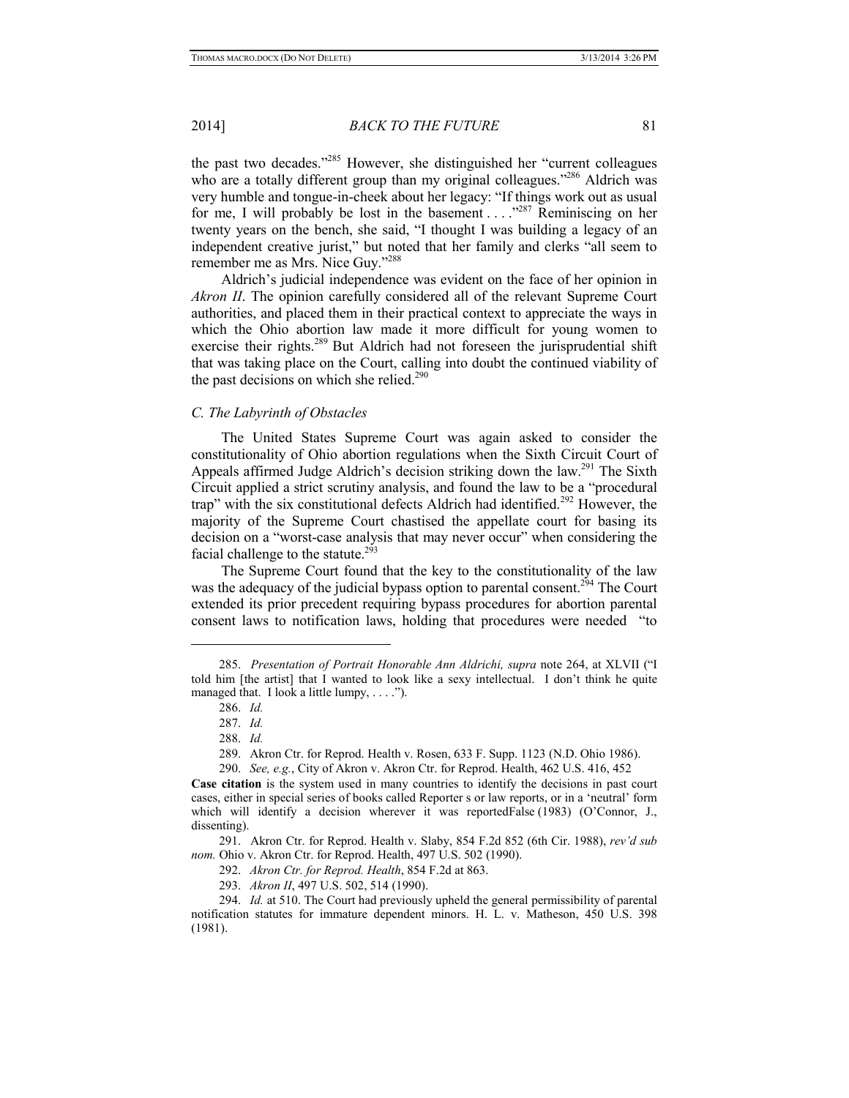2014] *BACK TO THE FUTURE* 81

the past two decades."285 However, she distinguished her "current colleagues who are a totally different group than my original colleagues."<sup>286</sup> Aldrich was very humble and tongue-in-cheek about her legacy: "If things work out as usual for me, I will probably be lost in the basement  $\dots$  . . ...  $287$  Reminiscing on her twenty years on the bench, she said, "I thought I was building a legacy of an independent creative jurist," but noted that her family and clerks "all seem to remember me as Mrs. Nice Guy."288

Aldrich's judicial independence was evident on the face of her opinion in *Akron II*. The opinion carefully considered all of the relevant Supreme Court authorities, and placed them in their practical context to appreciate the ways in which the Ohio abortion law made it more difficult for young women to exercise their rights.<sup>289</sup> But Aldrich had not foreseen the jurisprudential shift that was taking place on the Court, calling into doubt the continued viability of the past decisions on which she relied.<sup>290</sup>

#### *C. The Labyrinth of Obstacles*

The United States Supreme Court was again asked to consider the constitutionality of Ohio abortion regulations when the Sixth Circuit Court of Appeals affirmed Judge Aldrich's decision striking down the law.<sup>291</sup> The Sixth Circuit applied a strict scrutiny analysis, and found the law to be a "procedural trap" with the six constitutional defects Aldrich had identified.<sup>292</sup> However, the majority of the Supreme Court chastised the appellate court for basing its decision on a "worst-case analysis that may never occur" when considering the facial challenge to the statute.<sup>293</sup>

The Supreme Court found that the key to the constitutionality of the law was the adequacy of the judicial bypass option to parental consent.<sup>294</sup> The Court extended its prior precedent requiring bypass procedures for abortion parental consent laws to notification laws, holding that procedures were needed "to

-

<sup>285.</sup> *Presentation of Portrait Honorable Ann Aldrichi, supra* note 264, at XLVII ("I told him [the artist] that I wanted to look like a sexy intellectual. I don't think he quite managed that. I look a little lumpy, . . . .").

<sup>286.</sup> *Id.* 

<sup>287.</sup> *Id.* 

<sup>288.</sup> *Id.* 

<sup>289.</sup> Akron Ctr. for Reprod. Health v. Rosen, 633 F. Supp. 1123 (N.D. Ohio 1986).

<sup>290.</sup> *See, e.g.*, City of Akron v. Akron Ctr. for Reprod. Health, 462 U.S. 416, 452

**Case citation** is the system used in many countries to identify the decisions in past court cases, either in special series of books called Reporter s or law reports, or in a 'neutral' form which will identify a decision wherever it was reportedFalse (1983) (O'Connor, J., dissenting).

<sup>291.</sup> Akron Ctr. for Reprod. Health v. Slaby, 854 F.2d 852 (6th Cir. 1988), *rev'd sub nom.* Ohio v. Akron Ctr. for Reprod. Health, 497 U.S. 502 (1990).

<sup>292.</sup> *Akron Ctr. for Reprod. Health*, 854 F.2d at 863.

<sup>293.</sup> *Akron II*, 497 U.S. 502, 514 (1990).

<sup>294.</sup> *Id.* at 510. The Court had previously upheld the general permissibility of parental notification statutes for immature dependent minors. H. L. v. Matheson, 450 U.S. 398 (1981).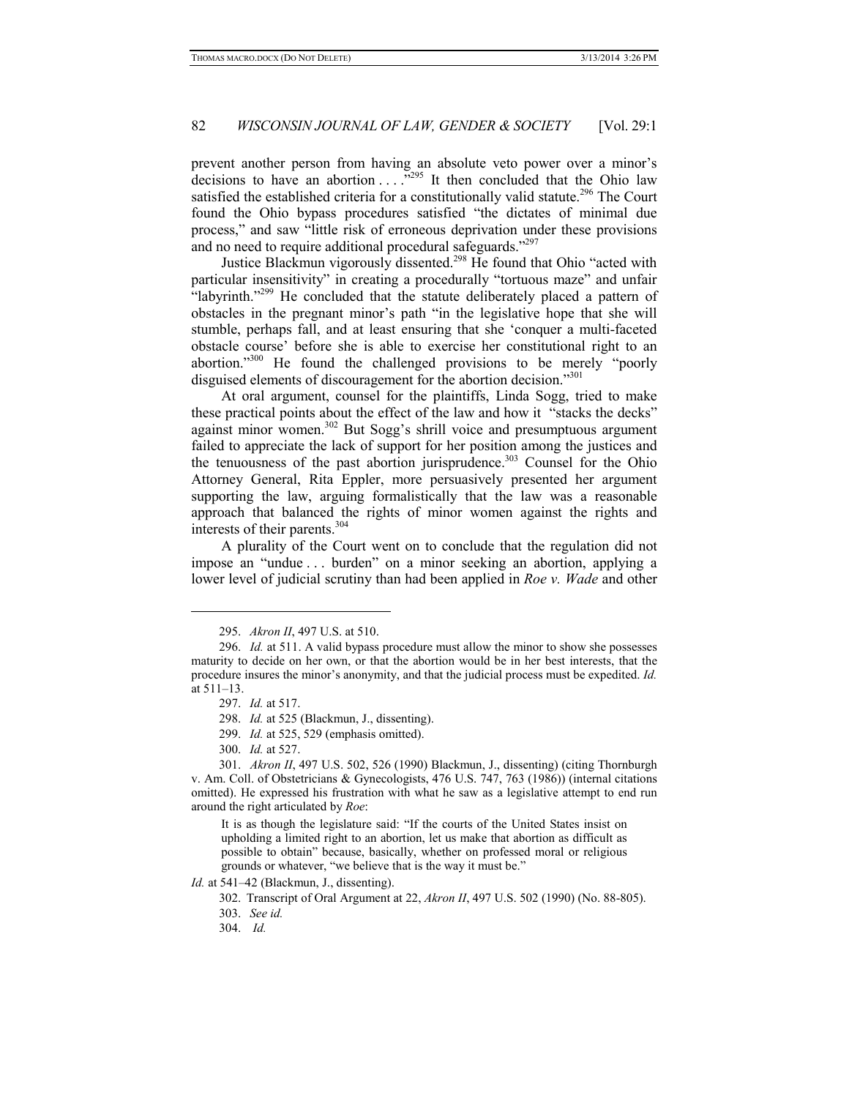prevent another person from having an absolute veto power over a minor's decisions to have an abortion ... ...<sup>5295</sup> It then concluded that the Ohio law satisfied the established criteria for a constitutionally valid statute.<sup>296</sup> The Court found the Ohio bypass procedures satisfied "the dictates of minimal due process," and saw "little risk of erroneous deprivation under these provisions and no need to require additional procedural safeguards."<sup>297</sup>

Justice Blackmun vigorously dissented.298 He found that Ohio "acted with particular insensitivity" in creating a procedurally "tortuous maze" and unfair "labyrinth."<sup>299</sup> He concluded that the statute deliberately placed a pattern of obstacles in the pregnant minor's path "in the legislative hope that she will stumble, perhaps fall, and at least ensuring that she 'conquer a multi-faceted obstacle course' before she is able to exercise her constitutional right to an abortion."<sup>300</sup> He found the challenged provisions to be merely "poorly disguised elements of discouragement for the abortion decision."<sup>301</sup>

At oral argument, counsel for the plaintiffs, Linda Sogg, tried to make these practical points about the effect of the law and how it "stacks the decks" against minor women.<sup>302</sup> But Sogg's shrill voice and presumptuous argument failed to appreciate the lack of support for her position among the justices and the tenuousness of the past abortion jurisprudence.<sup>303</sup> Counsel for the Ohio Attorney General, Rita Eppler, more persuasively presented her argument supporting the law, arguing formalistically that the law was a reasonable approach that balanced the rights of minor women against the rights and interests of their parents.304

A plurality of the Court went on to conclude that the regulation did not impose an "undue . . . burden" on a minor seeking an abortion, applying a lower level of judicial scrutiny than had been applied in *Roe v. Wade* and other

-

It is as though the legislature said: "If the courts of the United States insist on upholding a limited right to an abortion, let us make that abortion as difficult as possible to obtain" because, basically, whether on professed moral or religious grounds or whatever, "we believe that is the way it must be."

*Id.* at 541–42 (Blackmun, J., dissenting).

302. Transcript of Oral Argument at 22, *Akron II*, 497 U.S. 502 (1990) (No. 88-805).

303. *See id.*

<sup>295.</sup> *Akron II*, 497 U.S. at 510.

<sup>296.</sup> *Id.* at 511. A valid bypass procedure must allow the minor to show she possesses maturity to decide on her own, or that the abortion would be in her best interests, that the procedure insures the minor's anonymity, and that the judicial process must be expedited. *Id.*  at 511–13.

<sup>297.</sup> *Id.* at 517.

<sup>298.</sup> *Id.* at 525 (Blackmun, J., dissenting).

<sup>299.</sup> *Id.* at 525, 529 (emphasis omitted).

<sup>300.</sup> *Id.* at 527.

<sup>301.</sup> *Akron II*, 497 U.S. 502, 526 (1990) Blackmun, J., dissenting) (citing Thornburgh v. Am. Coll. of Obstetricians & Gynecologists, 476 U.S. 747, 763 (1986)) (internal citations omitted). He expressed his frustration with what he saw as a legislative attempt to end run around the right articulated by *Roe*:

<sup>304.</sup> *Id.*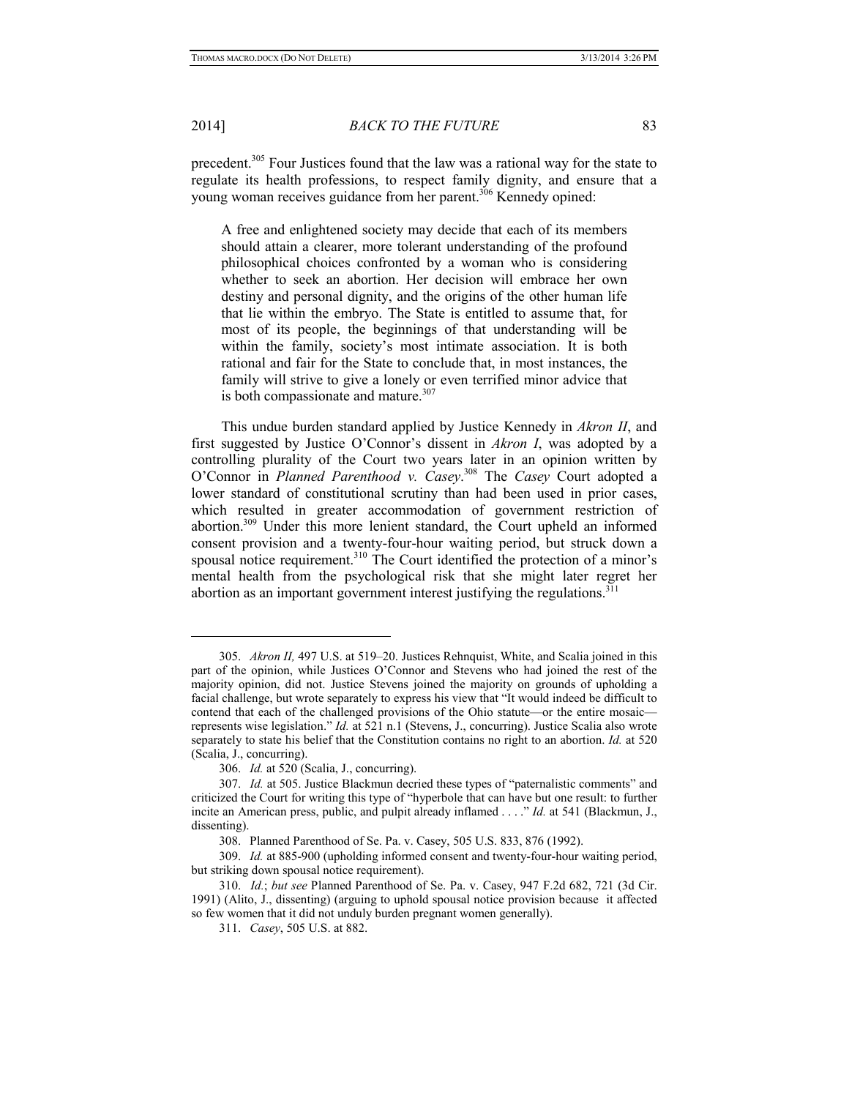2014] *BACK TO THE FUTURE* 83

precedent.305 Four Justices found that the law was a rational way for the state to regulate its health professions, to respect family dignity, and ensure that a young woman receives guidance from her parent.<sup>306</sup> Kennedy opined:

A free and enlightened society may decide that each of its members should attain a clearer, more tolerant understanding of the profound philosophical choices confronted by a woman who is considering whether to seek an abortion. Her decision will embrace her own destiny and personal dignity, and the origins of the other human life that lie within the embryo. The State is entitled to assume that, for most of its people, the beginnings of that understanding will be within the family, society's most intimate association. It is both rational and fair for the State to conclude that, in most instances, the family will strive to give a lonely or even terrified minor advice that is both compassionate and mature.<sup>307</sup>

This undue burden standard applied by Justice Kennedy in *Akron II*, and first suggested by Justice O'Connor's dissent in *Akron I*, was adopted by a controlling plurality of the Court two years later in an opinion written by O'Connor in *Planned Parenthood v. Casey*. 308 The *Casey* Court adopted a lower standard of constitutional scrutiny than had been used in prior cases, which resulted in greater accommodation of government restriction of abortion.309 Under this more lenient standard, the Court upheld an informed consent provision and a twenty-four-hour waiting period, but struck down a spousal notice requirement.<sup>310</sup> The Court identified the protection of a minor's mental health from the psychological risk that she might later regret her abortion as an important government interest justifying the regulations.<sup>311</sup>

<sup>305.</sup> *Akron II,* 497 U.S. at 519–20. Justices Rehnquist, White, and Scalia joined in this part of the opinion, while Justices O'Connor and Stevens who had joined the rest of the majority opinion, did not. Justice Stevens joined the majority on grounds of upholding a facial challenge, but wrote separately to express his view that "It would indeed be difficult to contend that each of the challenged provisions of the Ohio statute—or the entire mosaic represents wise legislation." *Id.* at 521 n.1 (Stevens, J., concurring). Justice Scalia also wrote separately to state his belief that the Constitution contains no right to an abortion. *Id.* at 520 (Scalia, J., concurring).

<sup>306.</sup> *Id.* at 520 (Scalia, J., concurring).

<sup>307.</sup> *Id.* at 505. Justice Blackmun decried these types of "paternalistic comments" and criticized the Court for writing this type of "hyperbole that can have but one result: to further incite an American press, public, and pulpit already inflamed . . . ." *Id.* at 541 (Blackmun, J., dissenting).

<sup>308.</sup> Planned Parenthood of Se. Pa. v. Casey, 505 U.S. 833, 876 (1992).

<sup>309.</sup> *Id.* at 885-900 (upholding informed consent and twenty-four-hour waiting period, but striking down spousal notice requirement).

<sup>310.</sup> *Id.*; *but see* Planned Parenthood of Se. Pa. v. Casey, 947 F.2d 682, 721 (3d Cir. 1991) (Alito, J., dissenting) (arguing to uphold spousal notice provision because it affected so few women that it did not unduly burden pregnant women generally).

<sup>311.</sup> *Casey*, 505 U.S. at 882.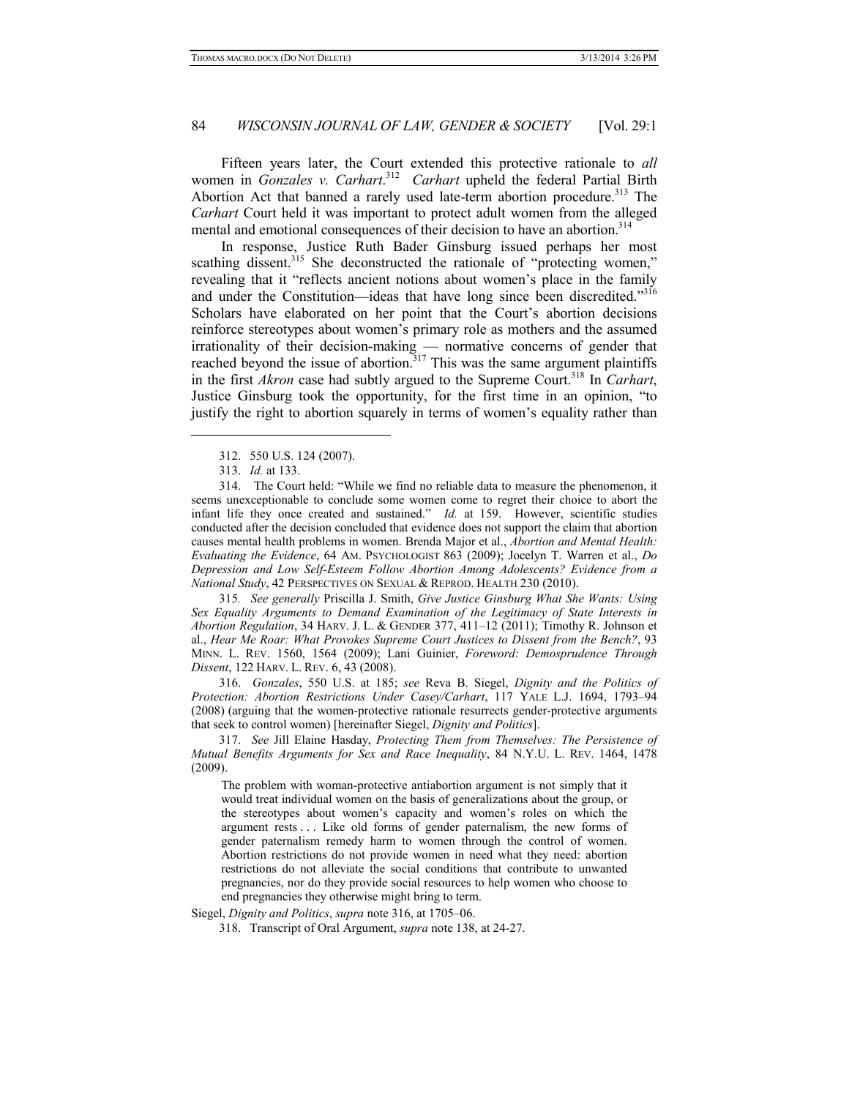Fifteen years later, the Court extended this protective rationale to *all* women in *Gonzales v. Carhart*. 312 *Carhart* upheld the federal Partial Birth Abortion Act that banned a rarely used late-term abortion procedure.<sup>313</sup> The *Carhart* Court held it was important to protect adult women from the alleged mental and emotional consequences of their decision to have an abortion.<sup>314</sup>

In response, Justice Ruth Bader Ginsburg issued perhaps her most scathing dissent.<sup>315</sup> She deconstructed the rationale of "protecting women," revealing that it "reflects ancient notions about women's place in the family and under the Constitution—ideas that have long since been discredited."316 Scholars have elaborated on her point that the Court's abortion decisions reinforce stereotypes about women's primary role as mothers and the assumed irrationality of their decision-making — normative concerns of gender that reached beyond the issue of abortion.<sup>317</sup> This was the same argument plaintiffs in the first *Akron* case had subtly argued to the Supreme Court.<sup>318</sup> In *Carhart*, Justice Ginsburg took the opportunity, for the first time in an opinion, "to justify the right to abortion squarely in terms of women's equality rather than

-

314. The Court held: "While we find no reliable data to measure the phenomenon, it seems unexceptionable to conclude some women come to regret their choice to abort the infant life they once created and sustained." *Id.* at 159. However, scientific studies conducted after the decision concluded that evidence does not support the claim that abortion causes mental health problems in women. Brenda Major et al., *Abortion and Mental Health: Evaluating the Evidence*, 64 AM. PSYCHOLOGIST 863 (2009); Jocelyn T. Warren et al., *Do Depression and Low Self-Esteem Follow Abortion Among Adolescents? Evidence from a National Study*, 42 PERSPECTIVES ON SEXUAL & REPROD. HEALTH 230 (2010).

315*. See generally* Priscilla J. Smith, *Give Justice Ginsburg What She Wants: Using Sex Equality Arguments to Demand Examination of the Legitimacy of State Interests in Abortion Regulation*, 34 HARV. J. L. & GENDER 377, 411–12 (2011); Timothy R. Johnson et al., *Hear Me Roar: What Provokes Supreme Court Justices to Dissent from the Bench?*, 93 MINN. L. REV. 1560, 1564 (2009); Lani Guinier, *Foreword: Demosprudence Through Dissent*, 122 HARV. L. REV. 6, 43 (2008).

316. *Gonzales*, 550 U.S. at 185; *see* Reva B. Siegel, *Dignity and the Politics of Protection: Abortion Restrictions Under Casey/Carhart*, 117 YALE L.J. 1694, 1793–94 (2008) (arguing that the women-protective rationale resurrects gender-protective arguments that seek to control women) [hereinafter Siegel, *Dignity and Politics*].

317. *See* Jill Elaine Hasday, *Protecting Them from Themselves: The Persistence of Mutual Benefits Arguments for Sex and Race Inequality*, 84 N.Y.U. L. REV. 1464, 1478 (2009).

The problem with woman-protective antiabortion argument is not simply that it would treat individual women on the basis of generalizations about the group, or the stereotypes about women's capacity and women's roles on which the argument rests . . . Like old forms of gender paternalism, the new forms of gender paternalism remedy harm to women through the control of women. Abortion restrictions do not provide women in need what they need: abortion restrictions do not alleviate the social conditions that contribute to unwanted pregnancies, nor do they provide social resources to help women who choose to end pregnancies they otherwise might bring to term.

Siegel, *Dignity and Politics*, *supra* note 316, at 1705–06.

318. Transcript of Oral Argument, *supra* note 138, at 24-27.

<sup>312. 550</sup> U.S. 124 (2007).

<sup>313.</sup> *Id.* at 133.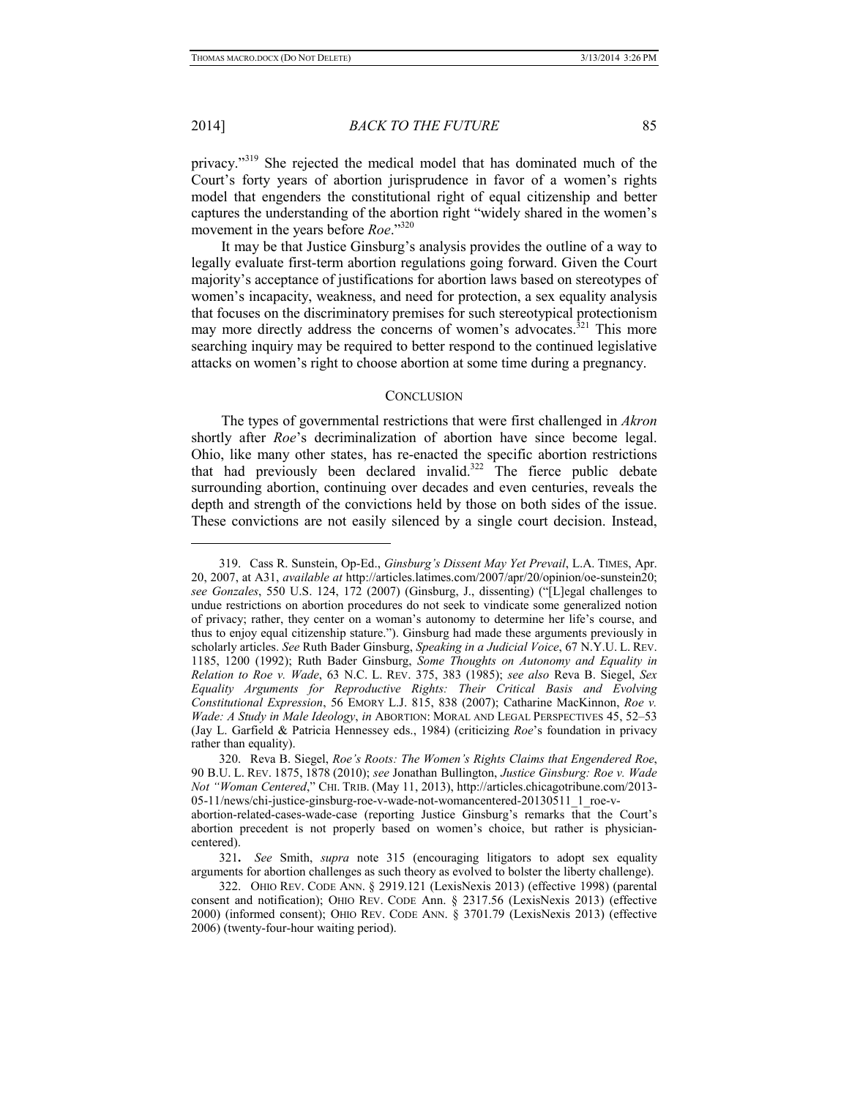#### 2014] *BACK TO THE FUTURE* 85

privacy."319 She rejected the medical model that has dominated much of the Court's forty years of abortion jurisprudence in favor of a women's rights model that engenders the constitutional right of equal citizenship and better captures the understanding of the abortion right "widely shared in the women's movement in the years before *Roe*."320

It may be that Justice Ginsburg's analysis provides the outline of a way to legally evaluate first-term abortion regulations going forward. Given the Court majority's acceptance of justifications for abortion laws based on stereotypes of women's incapacity, weakness, and need for protection, a sex equality analysis that focuses on the discriminatory premises for such stereotypical protectionism may more directly address the concerns of women's advocates.<sup>321</sup> This more searching inquiry may be required to better respond to the continued legislative attacks on women's right to choose abortion at some time during a pregnancy.

## **CONCLUSION**

The types of governmental restrictions that were first challenged in *Akron* shortly after *Roe*'s decriminalization of abortion have since become legal. Ohio, like many other states, has re-enacted the specific abortion restrictions that had previously been declared invalid.322 The fierce public debate surrounding abortion, continuing over decades and even centuries, reveals the depth and strength of the convictions held by those on both sides of the issue. These convictions are not easily silenced by a single court decision. Instead,

<sup>319.</sup> Cass R. Sunstein, Op-Ed., *Ginsburg's Dissent May Yet Prevail*, L.A. TIMES, Apr. 20, 2007, at A31, *available at* http://articles.latimes.com/2007/apr/20/opinion/oe-sunstein20; *see Gonzales*, 550 U.S. 124, 172 (2007) (Ginsburg, J., dissenting) ("[L]egal challenges to undue restrictions on abortion procedures do not seek to vindicate some generalized notion of privacy; rather, they center on a woman's autonomy to determine her life's course, and thus to enjoy equal citizenship stature."). Ginsburg had made these arguments previously in scholarly articles. *See* Ruth Bader Ginsburg, *Speaking in a Judicial Voice*, 67 N.Y.U. L. REV. 1185, 1200 (1992); Ruth Bader Ginsburg, *Some Thoughts on Autonomy and Equality in Relation to Roe v. Wade*, 63 N.C. L. REV. 375, 383 (1985); *see also* Reva B. Siegel, *Sex Equality Arguments for Reproductive Rights: Their Critical Basis and Evolving Constitutional Expression*, 56 EMORY L.J. 815, 838 (2007); Catharine MacKinnon, *Roe v. Wade: A Study in Male Ideology*, *in* ABORTION: MORAL AND LEGAL PERSPECTIVES 45, 52–53 (Jay L. Garfield & Patricia Hennessey eds., 1984) (criticizing *Roe*'s foundation in privacy rather than equality).

<sup>320.</sup> Reva B. Siegel, *Roe's Roots: The Women's Rights Claims that Engendered Roe*, 90 B.U. L. REV. 1875, 1878 (2010); *see* Jonathan Bullington, *Justice Ginsburg: Roe v. Wade Not "Woman Centered*," CHI. TRIB. (May 11, 2013), http://articles.chicagotribune.com/2013- 05-11/news/chi-justice-ginsburg-roe-v-wade-not-womancentered-20130511\_1\_roe-vabortion-related-cases-wade-case (reporting Justice Ginsburg's remarks that the Court's

abortion precedent is not properly based on women's choice, but rather is physiciancentered).

<sup>321</sup>**.** *See* Smith, *supra* note 315 (encouraging litigators to adopt sex equality arguments for abortion challenges as such theory as evolved to bolster the liberty challenge).

<sup>322.</sup> OHIO REV. CODE ANN. § 2919.121 (LexisNexis 2013) (effective 1998) (parental consent and notification); OHIO REV. CODE Ann. § 2317.56 (LexisNexis 2013) (effective 2000) (informed consent); OHIO REV. CODE ANN. § 3701.79 (LexisNexis 2013) (effective 2006) (twenty-four-hour waiting period).